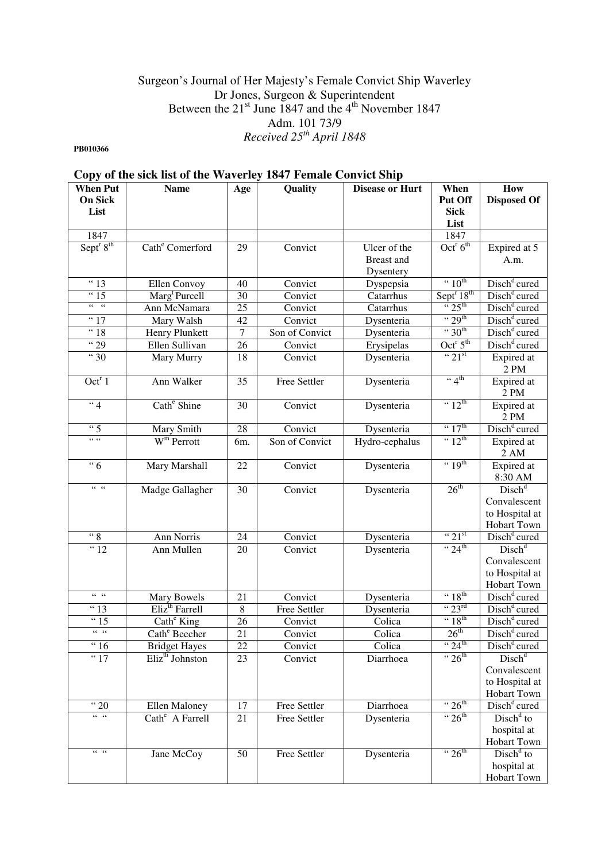## Surgeon's Journal of Her Majesty's Female Convict Ship Waverley Dr Jones, Surgeon & Superintendent Between the  $21^{st}$  June 1847 and the  $4^{th}$  November 1847 Adm. 101 73/9 *Received 25th April 1848*

**PB010366** 

# **Copy of the sick list of the Waverley 1847 Female Convict Ship**

| <b>When Put</b>                   | <b>Name</b>                     | Age             | Quality        | <b>Disease or Hurt</b> | When                               | How                      |
|-----------------------------------|---------------------------------|-----------------|----------------|------------------------|------------------------------------|--------------------------|
| <b>On Sick</b>                    |                                 |                 |                |                        | Put Off                            | <b>Disposed Of</b>       |
| List                              |                                 |                 |                |                        | <b>Sick</b>                        |                          |
|                                   |                                 |                 |                |                        | List                               |                          |
| 1847                              |                                 |                 |                |                        | 1847                               |                          |
| Sept <sup>r</sup> 8 <sup>th</sup> | Cath <sup>e</sup> Comerford     | 29              | Convict        | Ulcer of the           | Oct <sup>r</sup> $6th$             | Expired at 5             |
|                                   |                                 |                 |                | Breast and             |                                    | A.m.                     |
|                                   |                                 |                 |                | Dysentery              |                                    |                          |
| $\overline{4}$ 13                 | Ellen Convoy                    | 40              | Convict        | Dyspepsia              | $\cdot \cdot 10^{th}$              | Disch <sup>d</sup> cured |
| <sup>"</sup> 15                   | Marg <sup>t</sup> Purcell       | 30              | Convict        | Catarrhus              | Sept <sup>r</sup> 18 <sup>th</sup> | Disch <sup>d</sup> cured |
| $66-66$                           | Ann McNamara                    | 25              | Convict        | Catarrhus              | $\frac{1}{25}$ th                  | Disch <sup>d</sup> cured |
| $\frac{1}{17}$                    | Mary Walsh                      | 42              | Convict        | Dysenteria             | $\cdot \cdot 29^{th}$              | Disch <sup>d</sup> cured |
| "18                               | Henry Plunkett                  | $\overline{7}$  | Son of Convict | Dysenteria             | $\cdot \cdot 30$ <sup>th</sup>     | Disch <sup>d</sup> cured |
| $\frac{1}{29}$                    | Ellen Sullivan                  | 26              | Convict        | Erysipelas             | Oct <sup>r</sup> $5^{\text{th}}$   | Disch <sup>d</sup> cured |
| " 30                              | Mary Murry                      | 18              | Convict        | Dysenteria             | $\cdot \cdot 21$ <sup>st</sup>     | Expired at               |
|                                   |                                 |                 |                |                        |                                    | 2 PM                     |
| Oct <sup>r<math>1</math></sup>    | Ann Walker                      | 35              | Free Settler   | Dysenteria             | $\lq \lq 4$ <sup>th</sup>          | Expired at               |
|                                   |                                 |                 |                |                        |                                    | 2 PM                     |
| $\overline{4}$                    | Cath <sup>e</sup> Shine         | $\overline{30}$ | Convict        | Dysenteria             | $\cdot \cdot 12^{\text{th}}$       | Expired at               |
|                                   |                                 |                 |                |                        |                                    | 2 PM                     |
| $\overline{\cdots}$ 5             | Mary Smith                      | 28              | Convict        | Dysenteria             | $\cdot \cdot 17^{\text{th}}$       | Disch <sup>d</sup> cured |
| 66, 66                            | $W^{\text{m}}$ Perrott          | 6m.             | Son of Convict | Hydro-cephalus         | $\cdot \cdot 12^{\text{th}}$       | Expired at               |
|                                   |                                 |                 |                |                        |                                    | $2\ \mathrm{AM}$         |
| $\overline{6}$                    | Mary Marshall                   | 22              | Convict        | Dysenteria             | $\cdot \cdot 19^{\text{th}}$       | Expired at               |
|                                   |                                 |                 |                |                        |                                    | 8:30 AM                  |
| $66 - 66$                         | Madge Gallagher                 | $\overline{30}$ | Convict        | Dysenteria             | 26 <sup>th</sup>                   | Disch <sup>d</sup>       |
|                                   |                                 |                 |                |                        |                                    | Convalescent             |
|                                   |                                 |                 |                |                        |                                    | to Hospital at           |
|                                   |                                 |                 |                |                        |                                    | Hobart Town              |
| $\overline{\cdots}$               | Ann Norris                      | 24              | Convict        | Dysenteria             | $\cdot \cdot 21$ <sup>st</sup>     | Disch <sup>d</sup> cured |
| " <sup>12</sup>                   | Ann Mullen                      | 20              | Convict        | Dysenteria             | $\cdot \cdot 24^{\text{th}}$       | Disch <sup>d</sup>       |
|                                   |                                 |                 |                |                        |                                    | Convalescent             |
|                                   |                                 |                 |                |                        |                                    | to Hospital at           |
|                                   |                                 |                 |                |                        |                                    | <b>Hobart Town</b>       |
| $66 - 66$                         | Mary Bowels                     | 21              | Convict        | Dysenteria             | $\cdot \cdot 18^{\text{th}}$       | Disch <sup>d</sup> cured |
| $\frac{13}{13}$                   | Eliz <sup>th</sup> Farrell      | $\overline{8}$  | Free Settler   | Dysenteria             | $\cdot \cdot 23^{\text{rd}}$       | Disch <sup>d</sup> cured |
| "15                               | $\overline{\text{Cath}}^e$ King | 26              | Convict        | Colica                 | $\cdot \cdot 18^{th}$              | Disch <sup>d</sup> cured |
| $66 - 66$                         | Cath <sup>e</sup> Beecher       | 21              | Convict        | Colica                 | 26 <sup>th</sup>                   | Disch <sup>d</sup> cured |
| $\lq$ 16                          | <b>Bridget Hayes</b>            | $22\,$          | Convict        | Colica                 | $\cdot \cdot 24^{\text{th}}$       | Disch <sup>d</sup> cured |
| $\frac{17}{17}$                   | Eliz <sup>th</sup> Johnston     | 23              | Convict        | Diarrhoea              | $\cdot \cdot 26^{\text{th}}$       | Disch <sup>d</sup>       |
|                                   |                                 |                 |                |                        |                                    | Convalescent             |
|                                   |                                 |                 |                |                        |                                    | to Hospital at           |
|                                   |                                 |                 |                |                        |                                    | Hobart Town              |
| $\cdot \cdot 20$                  | Ellen Maloney                   | 17              | Free Settler   | Diarrhoea              | $\cdot \cdot 26^{\text{th}}$       | Disch <sup>d</sup> cured |
| $66 - 66$                         | Cath <sup>e</sup> A Farrell     | $\overline{21}$ | Free Settler   | Dysenteria             | " $26^{\text{th}}$                 | $Dischd$ to              |
|                                   |                                 |                 |                |                        |                                    | hospital at              |
|                                   |                                 |                 |                |                        |                                    | Hobart Town              |
| $66 - 66$                         | Jane McCoy                      | 50              | Free Settler   | Dysenteria             | $\cdot \cdot 26^{\text{th}}$       | $Dischd$ to              |
|                                   |                                 |                 |                |                        |                                    | hospital at              |
|                                   |                                 |                 |                |                        |                                    | Hobart Town              |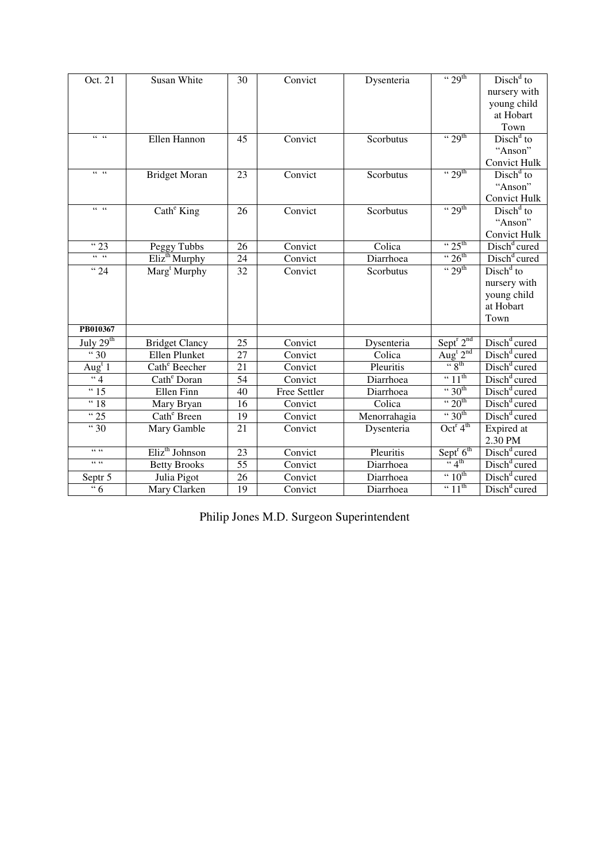| Oct. 21                        | Susan White                | 30              | Convict      | Dysenteria   | $\cdot \cdot 29$ <sup>th</sup>    | $Dischd$ to                   |
|--------------------------------|----------------------------|-----------------|--------------|--------------|-----------------------------------|-------------------------------|
|                                |                            |                 |              |              |                                   | nursery with                  |
|                                |                            |                 |              |              |                                   | young child                   |
|                                |                            |                 |              |              |                                   | at Hobart                     |
|                                |                            |                 |              |              |                                   | Town                          |
| $66 - 66$                      | Ellen Hannon               | 45              | Convict      | Scorbutus    | $\cdot \cdot 29$ <sup>th</sup>    | $Dischd$ to                   |
|                                |                            |                 |              |              |                                   | "Anson"                       |
|                                |                            |                 |              |              |                                   | <b>Convict Hulk</b>           |
| $66 - 66$                      | <b>Bridget Moran</b>       | $\overline{23}$ | Convict      | Scorbutus    | $\cdot \cdot 29^{\text{th}}$      | $Dischd$ to                   |
|                                |                            |                 |              |              |                                   | "Anson"                       |
|                                |                            |                 |              |              |                                   | <b>Convict Hulk</b>           |
| $66 - 66$                      | Cath <sup>e</sup> King     | 26              | Convict      | Scorbutus    | $\cdot \cdot 29$ <sup>th</sup>    | $Dischd$ to                   |
|                                |                            |                 |              |              |                                   | "Anson"                       |
|                                |                            |                 |              |              |                                   | <b>Convict Hulk</b>           |
| $\sqrt{4}$ 23                  | Peggy Tubbs                | 26              | Convict      | Colica       | $\cdot \cdot 25^{\text{th}}$      | Disch <sup>d</sup> cured      |
| $66 - 66$                      | Eliz <sup>th</sup> Murphy  | $\overline{24}$ | Convict      | Diarrhoea    | $\cdot \cdot 26^{\text{th}}$      | Disch <sup>d</sup> cured      |
| $\sqrt{24}$                    | Marg <sup>t</sup> Murphy   | 32              | Convict      | Scorbutus    | $\cdot \cdot 29^{\text{th}}$      | $\overline{\text{Disk}}^d$ to |
|                                |                            |                 |              |              |                                   | nursery with                  |
|                                |                            |                 |              |              |                                   | young child                   |
|                                |                            |                 |              |              |                                   | at Hobart                     |
|                                |                            |                 |              |              |                                   | Town                          |
| PB010367                       |                            |                 |              |              |                                   |                               |
| July $29th$                    | <b>Bridget Clancy</b>      | 25              | Convict      | Dysenteria   | Sept <sup>r</sup> 2 <sup>nd</sup> | Disch <sup>d</sup> cured      |
| 30                             | Ellen Plunket              | $\overline{27}$ | Convict      | Colica       | Aug <sup>t</sup> 2 <sup>nd</sup>  | Disch <sup>d</sup> cured      |
| $\overline{Aug}^t\overline{1}$ | Cath <sup>e</sup> Beecher  | 21              | Convict      | Pleuritis    | $\frac{1}{6}$ $\frac{1}{8}$       | Disch <sup>d</sup> cured      |
| $\overline{\cdots}$            | Cath <sup>e</sup> Doran    | 54              | Convict      | Diarrhoea    | $\cdot \cdot 11^{\text{th}}$      | Disch <sup>d</sup> cured      |
| $\overline{4}$ 15              | Ellen Finn                 | 40              | Free Settler | Diarrhoea    | $\cdot \cdot 30^{th}$             | Disch <sup>d</sup> cured      |
| "18                            | Mary Bryan                 | 16              | Convict      | Colica       | $\cdot \cdot 20^{th}$             | Disch <sup>d</sup> cured      |
| $\sqrt{25}$                    | Cath <sup>e</sup> Breen    | 19              | Convict      | Menorrahagia | $\cdot \cdot 30^{th}$             | Disch <sup>d</sup> cured      |
| $\frac{1}{11}30$               | Mary Gamble                | 21              | Convict      | Dysenteria   | $Oct^r 4th$                       | Expired at                    |
|                                |                            |                 |              |              |                                   | 2.30 PM                       |
| 66, 66                         | Eliz <sup>th</sup> Johnson | $\overline{23}$ | Convict      | Pleuritis    | Sept $^{r}$ 6 <sup>th</sup>       | Disch <sup>d</sup> cured      |
| 66, 66                         | <b>Betty Brooks</b>        | 55              | Convict      | Diarrhoea    | $\frac{1}{4}$                     | Disch <sup>d</sup> cured      |
| Septr 5                        | Julia Pigot                | 26              | Convict      | Diarrhoea    | $\cdot \cdot 10^{\text{th}}$      | Disch <sup>d</sup> cured      |
| $\frac{1}{6}$                  | Mary Clarken               | $\overline{19}$ | Convict      | Diarrhoea    | $\cdot \cdot 11^{\text{th}}$      | Disch <sup>d</sup> cured      |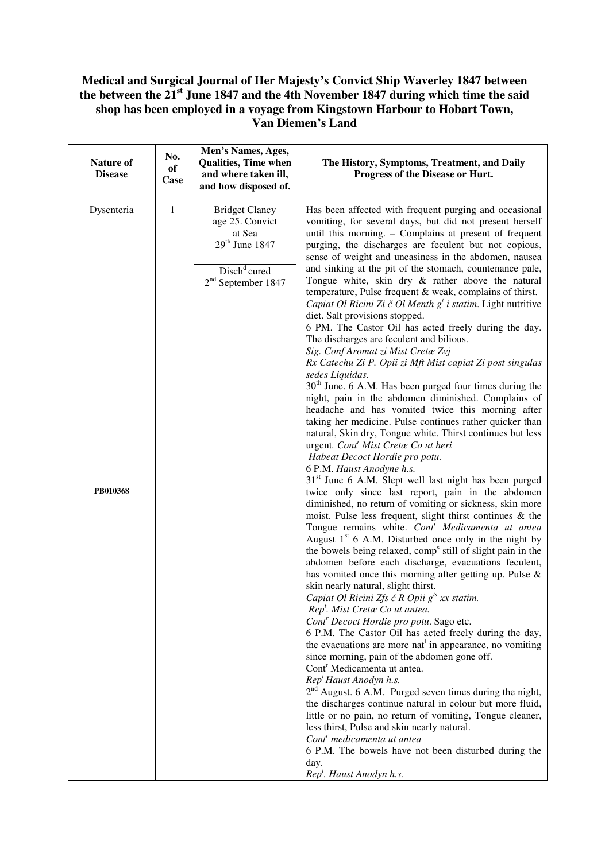## **Medical and Surgical Journal of Her Majesty's Convict Ship Waverley 1847 between the between the 21st June 1847 and the 4th November 1847 during which time the said shop has been employed in a voyage from Kingstown Harbour to Hobart Town, Van Diemen's Land**

| Nature of<br><b>Disease</b> | No.<br>of<br>Case | Men's Names, Ages,<br>Qualities, Time when<br>and where taken ill,<br>and how disposed of.                                 | The History, Symptoms, Treatment, and Daily<br>Progress of the Disease or Hurt.                                                                                                                                                                                                                                                                                                                                                                                                                                                                                                                                                                                                                                                                                                                                                                                                                                                                                                                                                                                                                                                                                                                                                                                                                                                                                                                                                                                                                                                                                                                                                                                                                                                                                                                                                                                                                                                                                                                                                                                                                                                                                                                                                                                                                                                                                                                                                                                                                                                                                                                                                                                                     |
|-----------------------------|-------------------|----------------------------------------------------------------------------------------------------------------------------|-------------------------------------------------------------------------------------------------------------------------------------------------------------------------------------------------------------------------------------------------------------------------------------------------------------------------------------------------------------------------------------------------------------------------------------------------------------------------------------------------------------------------------------------------------------------------------------------------------------------------------------------------------------------------------------------------------------------------------------------------------------------------------------------------------------------------------------------------------------------------------------------------------------------------------------------------------------------------------------------------------------------------------------------------------------------------------------------------------------------------------------------------------------------------------------------------------------------------------------------------------------------------------------------------------------------------------------------------------------------------------------------------------------------------------------------------------------------------------------------------------------------------------------------------------------------------------------------------------------------------------------------------------------------------------------------------------------------------------------------------------------------------------------------------------------------------------------------------------------------------------------------------------------------------------------------------------------------------------------------------------------------------------------------------------------------------------------------------------------------------------------------------------------------------------------------------------------------------------------------------------------------------------------------------------------------------------------------------------------------------------------------------------------------------------------------------------------------------------------------------------------------------------------------------------------------------------------------------------------------------------------------------------------------------------------|
| Dysenteria<br>PB010368      | 1                 | <b>Bridget Clancy</b><br>age 25. Convict<br>at Sea<br>$29th$ June 1847<br>Disch <sup>d</sup> cured<br>$2nd$ September 1847 | Has been affected with frequent purging and occasional<br>vomiting, for several days, but did not present herself<br>until this morning. - Complains at present of frequent<br>purging, the discharges are feculent but not copious,<br>sense of weight and uneasiness in the abdomen, nausea<br>and sinking at the pit of the stomach, countenance pale,<br>Tongue white, skin dry & rather above the natural<br>temperature, Pulse frequent & weak, complains of thirst.<br>Capiat Ol Ricini Zi č Ol Menth $g^t$ i statim. Light nutritive<br>diet. Salt provisions stopped.<br>6 PM. The Castor Oil has acted freely during the day.<br>The discharges are feculent and bilious.<br>Sig. Conf Aromat zi Mist Cretæ Zvj<br>Rx Catechu Zi P. Opii zi Mft Mist capiat Zi post singulas<br>sedes Liquidas.<br>30 <sup>th</sup> June. 6 A.M. Has been purged four times during the<br>night, pain in the abdomen diminished. Complains of<br>headache and has vomited twice this morning after<br>taking her medicine. Pulse continues rather quicker than<br>natural, Skin dry, Tongue white. Thirst continues but less<br>urgent. Cont <sup>r</sup> Mist Cretae Co ut heri<br>Habeat Decoct Hordie pro potu.<br>6 P.M. Haust Anodyne h.s.<br>31 <sup>st</sup> June 6 A.M. Slept well last night has been purged<br>twice only since last report, pain in the abdomen<br>diminished, no return of vomiting or sickness, skin more<br>moist. Pulse less frequent, slight thirst continues & the<br>Tongue remains white. Cont <sup>r</sup> Medicamenta ut antea<br>August $1st$ 6 A.M. Disturbed once only in the night by<br>the bowels being relaxed, comp <sup>s</sup> still of slight pain in the<br>abdomen before each discharge, evacuations feculent,<br>has vomited once this morning after getting up. Pulse &<br>skin nearly natural, slight thirst.<br>Capiat Ol Ricini Zfs č R Opii $g^{ts}$ xx statim.<br>Rep <sup>t</sup> . Mist Cretae Co ut antea.<br>Cont <sup>r</sup> Decoct Hordie pro potu. Sago etc.<br>6 P.M. The Castor Oil has acted freely during the day,<br>the evacuations are more nat <sup>1</sup> in appearance, no vomiting<br>since morning, pain of the abdomen gone off.<br>Cont <sup>r</sup> Medicamenta ut antea.<br>Rep <sup>t</sup> Haust Anodyn h.s.<br>$2nd$ August. 6 A.M. Purged seven times during the night,<br>the discharges continue natural in colour but more fluid,<br>little or no pain, no return of vomiting, Tongue cleaner,<br>less thirst, Pulse and skin nearly natural.<br>Cont <sup>r</sup> medicamenta ut antea<br>6 P.M. The bowels have not been disturbed during the<br>day.<br>Rep <sup>t</sup> . Haust Anodyn h.s. |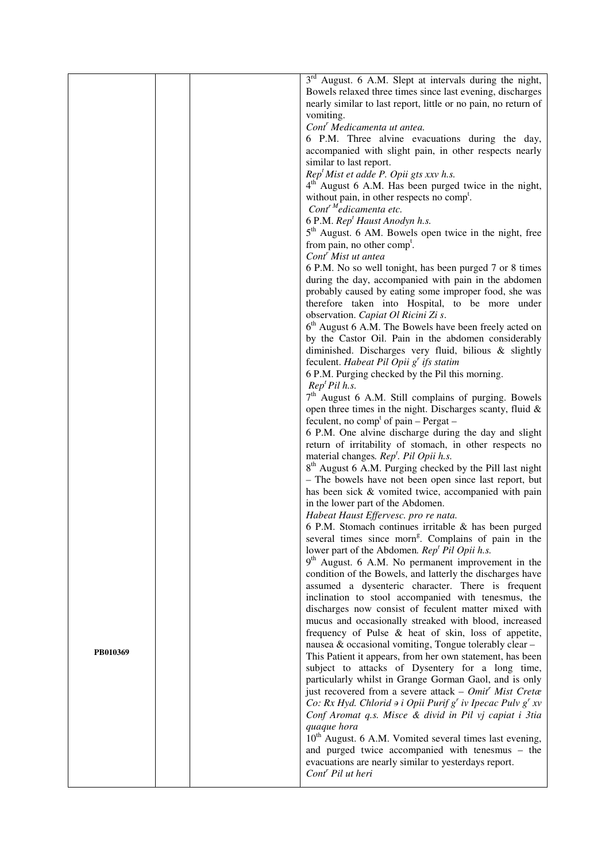|          |  | $3rd$ August. 6 A.M. Slept at intervals during the night,              |
|----------|--|------------------------------------------------------------------------|
|          |  | Bowels relaxed three times since last evening, discharges              |
|          |  | nearly similar to last report, little or no pain, no return of         |
|          |  | vomiting.                                                              |
|          |  | Cont' Medicamenta ut antea.                                            |
|          |  | 6 P.M. Three alvine evacuations during the day,                        |
|          |  | accompanied with slight pain, in other respects nearly                 |
|          |  | similar to last report.                                                |
|          |  | Rep <sup>t</sup> Mist et adde P. Opii gts xxv h.s.                     |
|          |  | $4th$ August 6 A.M. Has been purged twice in the night,                |
|          |  | without pain, in other respects no comp <sup>t</sup> .                 |
|          |  | Cont <sup>r M</sup> edicamenta etc.                                    |
|          |  | 6 P.M. Rep <sup>t</sup> Haust Anodyn h.s.                              |
|          |  |                                                                        |
|          |  | 5 <sup>th</sup> August. 6 AM. Bowels open twice in the night, free     |
|          |  | from pain, no other comp <sup>t</sup> .                                |
|          |  | Cont <sup>'</sup> Mist ut antea                                        |
|          |  | 6 P.M. No so well tonight, has been purged 7 or 8 times                |
|          |  | during the day, accompanied with pain in the abdomen                   |
|          |  | probably caused by eating some improper food, she was                  |
|          |  | therefore taken into Hospital, to be more under                        |
|          |  | observation. Capiat Ol Ricini Zi s.                                    |
|          |  | 6 <sup>th</sup> August 6 A.M. The Bowels have been freely acted on     |
|          |  | by the Castor Oil. Pain in the abdomen considerably                    |
|          |  | diminished. Discharges very fluid, bilious & slightly                  |
|          |  | feculent. Habeat Pil Opii $g'$ ifs statim                              |
|          |  | 6 P.M. Purging checked by the Pil this morning.                        |
|          |  | Rep <sup>t</sup> Pil h.s.                                              |
|          |  | 7 <sup>th</sup> August 6 A.M. Still complains of purging. Bowels       |
|          |  | open three times in the night. Discharges scanty, fluid $\&$           |
|          |  | feculent, no comp <sup>t</sup> of pain – Pergat –                      |
|          |  | 6 P.M. One alvine discharge during the day and slight                  |
|          |  | return of irritability of stomach, in other respects no                |
|          |  | material changes. Rep <sup>t</sup> . Pil Opii h.s.                     |
|          |  | 8 <sup>th</sup> August 6 A.M. Purging checked by the Pill last night   |
|          |  | - The bowels have not been open since last report, but                 |
|          |  | has been sick & vomited twice, accompanied with pain                   |
|          |  | in the lower part of the Abdomen.                                      |
|          |  | Habeat Haust Effervesc. pro re nata.                                   |
|          |  | 6 P.M. Stomach continues irritable $\&$ has been purged                |
|          |  | several times since morn <sup>g</sup> . Complains of pain in the       |
|          |  | lower part of the Abdomen. Rep <sup>t</sup> Pil Opii h.s.              |
|          |  | $9th$ August. 6 A.M. No permanent improvement in the                   |
|          |  | condition of the Bowels, and latterly the discharges have              |
|          |  | assumed a dysenteric character. There is frequent                      |
|          |  | inclination to stool accompanied with tenesmus, the                    |
|          |  | discharges now consist of feculent matter mixed with                   |
|          |  | mucus and occasionally streaked with blood, increased                  |
|          |  | frequency of Pulse & heat of skin, loss of appetite,                   |
|          |  | nausea & occasional vomiting, Tongue tolerably clear -                 |
| PB010369 |  | This Patient it appears, from her own statement, has been              |
|          |  | subject to attacks of Dysentery for a long time,                       |
|          |  | particularly whilst in Grange Gorman Gaol, and is only                 |
|          |  | just recovered from a severe attack – Omit <sup>r</sup> Mist Cretæ     |
|          |  | Co: Rx Hyd. Chlorid $\Rightarrow$ i Opii Purif g' iv Ipecac Pulv g' xv |
|          |  | Conf Aromat q.s. Misce & divid in Pil vj capiat i 3tia                 |
|          |  | quaque hora                                                            |
|          |  | 10 <sup>th</sup> August. 6 A.M. Vomited several times last evening,    |
|          |  | and purged twice accompanied with tenesmus – the                       |
|          |  | evacuations are nearly similar to yesterdays report.                   |
|          |  | Cont <sup>r</sup> Pil ut heri                                          |
|          |  |                                                                        |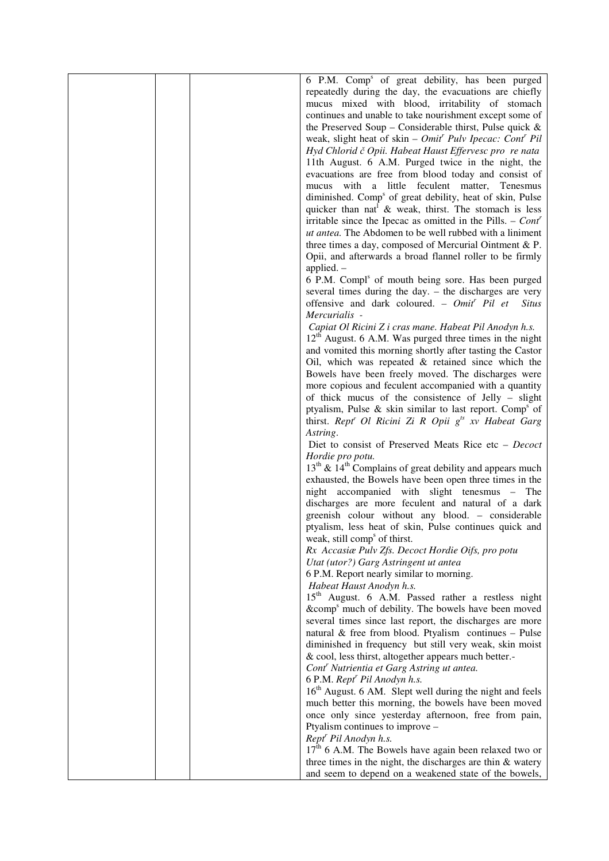| 6 P.M. Comp <sup>s</sup> of great debility, has been purged             |
|-------------------------------------------------------------------------|
| repeatedly during the day, the evacuations are chiefly                  |
| mucus mixed with blood, irritability of stomach                         |
| continues and unable to take nourishment except some of                 |
| the Preserved Soup – Considerable thirst, Pulse quick $\&$              |
| weak, slight heat of skin – $Omit'$ Pulv Ipecac: Cont' Pil              |
|                                                                         |
| Hyd Chlorid č Opii. Habeat Haust Effervesc pro re nata                  |
| 11th August. 6 A.M. Purged twice in the night, the                      |
| evacuations are free from blood today and consist of                    |
| mucus with a little feculent matter, Tenesmus                           |
| diminished. Comp <sup>s</sup> of great debility, heat of skin, Pulse    |
| quicker than nat $\&$ weak, thirst. The stomach is less                 |
| irritable since the Ipecac as omitted in the Pills. – $Contr$           |
| ut antea. The Abdomen to be well rubbed with a liniment                 |
| three times a day, composed of Mercurial Ointment $& P.$                |
|                                                                         |
| Opii, and afterwards a broad flannel roller to be firmly                |
| applied. $-$                                                            |
| 6 P.M. Compl <sup>s</sup> of mouth being sore. Has been purged          |
| several times during the day. - the discharges are very                 |
| offensive and dark coloured. - Omit <sup>r</sup> Pil et<br><b>Situs</b> |
| Mercurialis -                                                           |
| Capiat Ol Ricini Z i cras mane. Habeat Pil Anodyn h.s.                  |
| $12th$ August. 6 A.M. Was purged three times in the night               |
| and vomited this morning shortly after tasting the Castor               |
|                                                                         |
| Oil, which was repeated $\&$ retained since which the                   |
| Bowels have been freely moved. The discharges were                      |
| more copious and feculent accompanied with a quantity                   |
| of thick mucus of the consistence of Jelly - slight                     |
| ptyalism, Pulse & skin similar to last report. Comp <sup>s</sup> of     |
| thirst. Rept <sup>r</sup> Ol Ricini Zi R Opii $g^{ts}$ xv Habeat Garg   |
| Astring.                                                                |
| Diet to consist of Preserved Meats Rice etc - Decoct                    |
| Hordie pro potu.                                                        |
| $13th$ & $14th$ Complains of great debility and appears much            |
|                                                                         |
| exhausted, the Bowels have been open three times in the                 |
| night accompanied with slight tenesmus - The                            |
| discharges are more feculent and natural of a dark                      |
| greenish colour without any blood. - considerable                       |
| ptyalism, less heat of skin, Pulse continues quick and                  |
| weak, still comp <sup>s</sup> of thirst.                                |
| Rx Accasiæ Pulv Zfs. Decoct Hordie Oifs, pro potu                       |
| Utat (utor?) Garg Astringent ut antea                                   |
| 6 P.M. Report nearly similar to morning.                                |
| Habeat Haust Anodyn h.s.                                                |
|                                                                         |
| 15 <sup>th</sup> August. 6 A.M. Passed rather a restless night          |
| ∁ <sup>s</sup> much of debility. The bowels have been moved             |
| several times since last report, the discharges are more                |
| natural $\&$ free from blood. Ptyalism continues - Pulse                |
| diminished in frequency but still very weak, skin moist                 |
| & cool, less thirst, altogether appears much better.-                   |
| Cont <sup>r</sup> Nutrientia et Garg Astring ut antea.                  |
| 6 P.M. Rept <sup>r</sup> Pil Anodyn h.s.                                |
| 16 <sup>th</sup> August. 6 AM. Slept well during the night and feels    |
|                                                                         |
| much better this morning, the bowels have been moved                    |
| once only since yesterday afternoon, free from pain,                    |
| Ptyalism continues to improve -                                         |
| Rept <sup>r</sup> Pil Anodyn h.s.                                       |
| $17^{\bar{th}}$ 6 A.M. The Bowels have again been relaxed two or        |
| three times in the night, the discharges are thin $\&$ watery           |
| and seem to depend on a weakened state of the bowels,                   |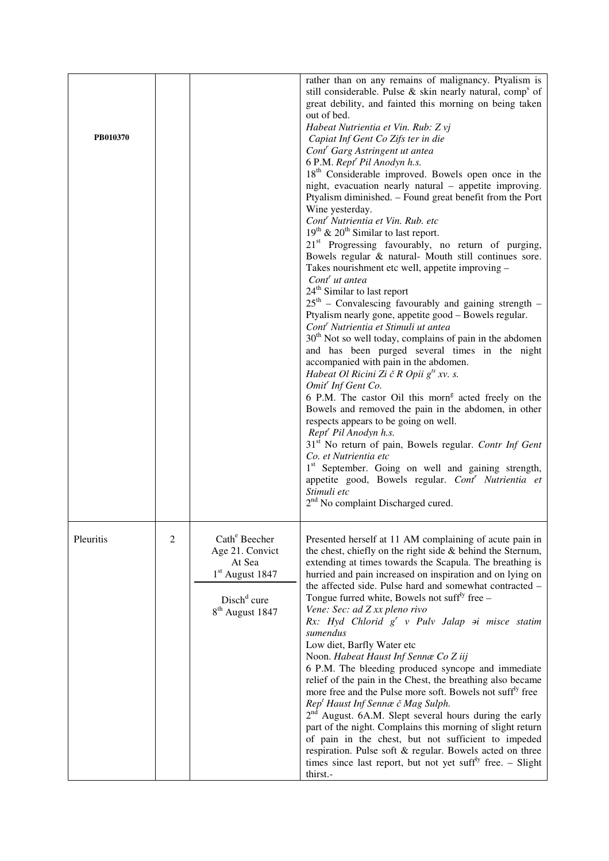| PB010370  |                |                                                                                                                                       | rather than on any remains of malignancy. Ptyalism is<br>still considerable. Pulse & skin nearly natural, comp <sup>s</sup> of<br>great debility, and fainted this morning on being taken<br>out of bed.<br>Habeat Nutrientia et Vin. Rub: Z vj<br>Capiat Inf Gent Co Zifs ter in die<br>Cont <sup>r</sup> Garg Astringent ut antea<br>6 P.M. Rept <sup>r</sup> Pil Anodyn h.s.<br>18 <sup>th</sup> Considerable improved. Bowels open once in the<br>night, evacuation nearly natural - appetite improving.<br>Ptyalism diminished. - Found great benefit from the Port<br>Wine yesterday.<br>Cont <sup>r</sup> Nutrientia et Vin. Rub. etc<br>$19th$ & $20th$ Similar to last report.<br>21 <sup>st</sup> Progressing favourably, no return of purging,<br>Bowels regular & natural- Mouth still continues sore.<br>Takes nourishment etc well, appetite improving -<br>Cont <sup>r</sup> ut antea<br>24 <sup>th</sup> Similar to last report<br>$25th$ – Convalescing favourably and gaining strength –<br>Ptyalism nearly gone, appetite good - Bowels regular.<br>Cont <sup>r</sup> Nutrientia et Stimuli ut antea<br>30 <sup>th</sup> Not so well today, complains of pain in the abdomen<br>and has been purged several times in the night<br>accompanied with pain in the abdomen.<br>Habeat Ol Ricini Zi č R Opii $g^{ts}$ xv. s.<br>Omit <sup>r</sup> Inf Gent Co.<br>6 P.M. The castor Oil this morn <sup>g</sup> acted freely on the<br>Bowels and removed the pain in the abdomen, in other<br>respects appears to be going on well.<br>Rept <sup>r</sup> Pil Anodyn h.s.<br>31 <sup>st</sup> No return of pain, Bowels regular. Contr Inf Gent<br>Co. et Nutrientia etc<br>1 <sup>st</sup> September. Going on well and gaining strength,<br>appetite good, Bowels regular. Cont <sup>r</sup> Nutrientia et<br>Stimuli etc<br>2 <sup>nd</sup> No complaint Discharged cured. |
|-----------|----------------|---------------------------------------------------------------------------------------------------------------------------------------|--------------------------------------------------------------------------------------------------------------------------------------------------------------------------------------------------------------------------------------------------------------------------------------------------------------------------------------------------------------------------------------------------------------------------------------------------------------------------------------------------------------------------------------------------------------------------------------------------------------------------------------------------------------------------------------------------------------------------------------------------------------------------------------------------------------------------------------------------------------------------------------------------------------------------------------------------------------------------------------------------------------------------------------------------------------------------------------------------------------------------------------------------------------------------------------------------------------------------------------------------------------------------------------------------------------------------------------------------------------------------------------------------------------------------------------------------------------------------------------------------------------------------------------------------------------------------------------------------------------------------------------------------------------------------------------------------------------------------------------------------------------------------------------------------------------------------------------------------------------------------------------------|
| Pleuritis | $\overline{c}$ | Cath <sup>e</sup> Beecher<br>Age 21. Convict<br>At Sea<br>$1st$ August 1847<br>Disch <sup>d</sup> cure<br>8 <sup>th</sup> August 1847 | Presented herself at 11 AM complaining of acute pain in<br>the chest, chiefly on the right side & behind the Sternum,<br>extending at times towards the Scapula. The breathing is<br>hurried and pain increased on inspiration and on lying on<br>the affected side. Pulse hard and somewhat contracted -<br>Tongue furred white, Bowels not suff <sup>ly</sup> free $-$<br>Vene: Sec: ad Z xx pleno rivo<br>Rx: Hyd Chlorid $g^r$ v Pulv Jalap $\mathcal{P}$ i misce statim<br>sumendus<br>Low diet, Barfly Water etc<br>Noon. Habeat Haust Inf Sennæ Co Z iij<br>6 P.M. The bleeding produced syncope and immediate<br>relief of the pain in the Chest, the breathing also became<br>more free and the Pulse more soft. Bowels not suff <sup>ly</sup> free<br>Rep <sup>t</sup> Haust Inf Sennæ č Mag Sulph.<br>$2nd$ August. 6A.M. Slept several hours during the early<br>part of the night. Complains this morning of slight return<br>of pain in the chest, but not sufficient to impeded<br>respiration. Pulse soft & regular. Bowels acted on three<br>times since last report, but not yet suff <sup>ly</sup> free. $-$ Slight<br>thirst.-                                                                                                                                                                                                                                                                                                                                                                                                                                                                                                                                                                                                                                                                                                                                         |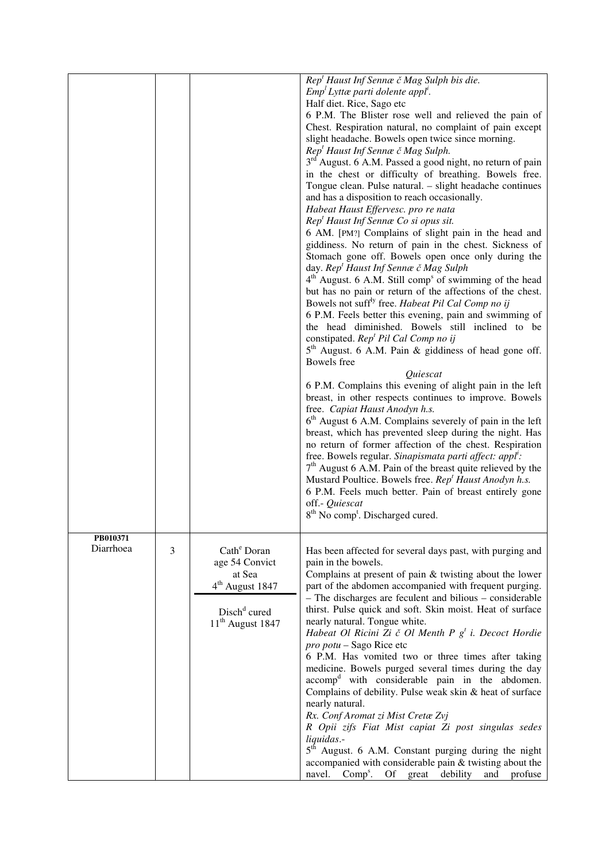|           |   |                             | Rep <sup>t</sup> Haust Inf Sennæ č Mag Sulph bis die.                                                        |
|-----------|---|-----------------------------|--------------------------------------------------------------------------------------------------------------|
|           |   |                             | $Empl Lytta$ parti dolente appl <sup>i</sup> .                                                               |
|           |   |                             | Half diet. Rice, Sago etc                                                                                    |
|           |   |                             |                                                                                                              |
|           |   |                             | 6 P.M. The Blister rose well and relieved the pain of                                                        |
|           |   |                             | Chest. Respiration natural, no complaint of pain except<br>slight headache. Bowels open twice since morning. |
|           |   |                             | Rep <sup>t</sup> Haust Inf Sennæ č Mag Sulph.                                                                |
|           |   |                             |                                                                                                              |
|           |   |                             | 3 <sup>rd</sup> August. 6 A.M. Passed a good night, no return of pain                                        |
|           |   |                             | in the chest or difficulty of breathing. Bowels free.                                                        |
|           |   |                             | Tongue clean. Pulse natural. - slight headache continues                                                     |
|           |   |                             | and has a disposition to reach occasionally.                                                                 |
|           |   |                             | Habeat Haust Effervesc. pro re nata                                                                          |
|           |   |                             | Rep <sup>t</sup> Haust Inf Sennæ Co si opus sit.                                                             |
|           |   |                             | 6 AM. [PM?] Complains of slight pain in the head and                                                         |
|           |   |                             | giddiness. No return of pain in the chest. Sickness of                                                       |
|           |   |                             | Stomach gone off. Bowels open once only during the                                                           |
|           |   |                             | day. Rep <sup>t</sup> Haust Inf Sennæ č Mag Sulph                                                            |
|           |   |                             | 4 <sup>th</sup> August. 6 A.M. Still comp <sup>s</sup> of swimming of the head                               |
|           |   |                             | but has no pain or return of the affections of the chest.                                                    |
|           |   |                             | Bowels not suff <sup>ly</sup> free. Habeat Pil Cal Comp no ij                                                |
|           |   |                             | 6 P.M. Feels better this evening, pain and swimming of                                                       |
|           |   |                             | the head diminished. Bowels still inclined to be                                                             |
|           |   |                             | constipated. Rep <sup>t</sup> Pil Cal Comp no ij                                                             |
|           |   |                             | $5th$ August. 6 A.M. Pain & giddiness of head gone off.                                                      |
|           |   |                             | <b>Bowels</b> free                                                                                           |
|           |   |                             | Quiescat                                                                                                     |
|           |   |                             | 6 P.M. Complains this evening of alight pain in the left                                                     |
|           |   |                             | breast, in other respects continues to improve. Bowels                                                       |
|           |   |                             | free. Capiat Haust Anodyn h.s.                                                                               |
|           |   |                             | $6th$ August 6 A.M. Complains severely of pain in the left                                                   |
|           |   |                             | breast, which has prevented sleep during the night. Has                                                      |
|           |   |                             | no return of former affection of the chest. Respiration                                                      |
|           |   |                             | free. Bowels regular. Sinapismata parti affect: appl <sup>i</sup> :                                          |
|           |   |                             | $7th$ August 6 A.M. Pain of the breast quite relieved by the                                                 |
|           |   |                             | Mustard Poultice. Bowels free. Rep <sup>t</sup> Haust Anodyn h.s.                                            |
|           |   |                             | 6 P.M. Feels much better. Pain of breast entirely gone                                                       |
|           |   |                             | off.- Quiescat                                                                                               |
|           |   |                             | 8 <sup>th</sup> No comp <sup>t</sup> . Discharged cured.                                                     |
|           |   |                             |                                                                                                              |
| PB010371  |   |                             |                                                                                                              |
| Diarrhoea |   |                             |                                                                                                              |
|           | 3 | Cath <sup>e</sup> Doran     | Has been affected for several days past, with purging and                                                    |
|           |   | age 54 Convict              | pain in the bowels.                                                                                          |
|           |   | at Sea                      | Complains at present of pain $&$ twisting about the lower                                                    |
|           |   | 4 <sup>th</sup> August 1847 | part of the abdomen accompanied with frequent purging.                                                       |
|           |   |                             | - The discharges are feculent and bilious - considerable                                                     |
|           |   | Disch <sup>d</sup> cured    | thirst. Pulse quick and soft. Skin moist. Heat of surface                                                    |
|           |   | $11th$ August 1847          | nearly natural. Tongue white.                                                                                |
|           |   |                             | Habeat Ol Ricini Zi č Ol Menth P $g^t$ i. Decoct Hordie                                                      |
|           |   |                             | pro potu – Sago Rice etc                                                                                     |
|           |   |                             | 6 P.M. Has vomited two or three times after taking                                                           |
|           |   |                             | medicine. Bowels purged several times during the day                                                         |
|           |   |                             | accomp <sup>d</sup> with considerable pain in the abdomen.                                                   |
|           |   |                             | Complains of debility. Pulse weak skin & heat of surface                                                     |
|           |   |                             | nearly natural.                                                                                              |
|           |   |                             | Rx. Conf Aromat zi Mist Cretæ Zvj                                                                            |
|           |   |                             | R Opii zifs Fiat Mist capiat Zi post singulas sedes                                                          |
|           |   |                             | liquidas.-                                                                                                   |
|           |   |                             | 5 <sup>th</sup> August. 6 A.M. Constant purging during the night                                             |
|           |   |                             | accompanied with considerable pain & twisting about the                                                      |
|           |   |                             | navel. Comp <sup>s</sup> . Of great debility<br>and<br>profuse                                               |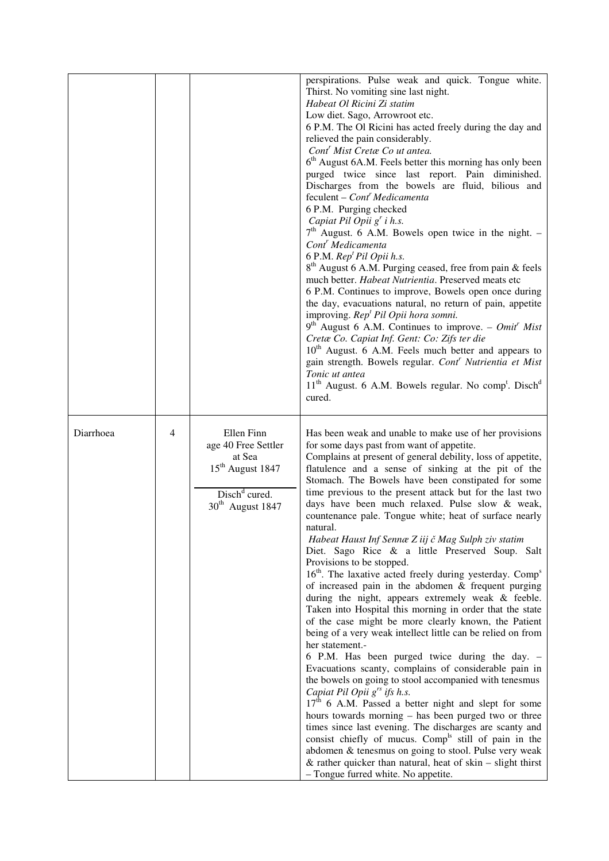|           |   |                                                                                                                      | perspirations. Pulse weak and quick. Tongue white.<br>Thirst. No vomiting sine last night.<br>Habeat Ol Ricini Zi statim<br>Low diet. Sago, Arrowroot etc.<br>6 P.M. The Ol Ricini has acted freely during the day and<br>relieved the pain considerably.<br>Cont' Mist Cretæ Co ut antea.<br>6 <sup>th</sup> August 6A.M. Feels better this morning has only been<br>purged twice since last report. Pain diminished.<br>Discharges from the bowels are fluid, bilious and<br>feculent - Cont <sup>r</sup> Medicamenta<br>6 P.M. Purging checked<br>Capiat Pil Opii $g'$ i h.s.<br>$7th$ August. 6 A.M. Bowels open twice in the night. –<br>Cont <sup>r</sup> Medicamenta<br>6 P.M. Rep <sup>t</sup> Pil Opii h.s.<br>8 <sup>th</sup> August 6 A.M. Purging ceased, free from pain & feels<br>much better. Habeat Nutrientia. Preserved meats etc<br>6 P.M. Continues to improve, Bowels open once during<br>the day, evacuations natural, no return of pain, appetite<br>improving. Rep <sup>t</sup> Pil Opii hora somni.<br>$9th$ August 6 A.M. Continues to improve. – <i>Omit<sup>r</sup> Mist</i><br>Cretæ Co. Capiat Inf. Gent: Co: Zifs ter die<br>10 <sup>th</sup> August. 6 A.M. Feels much better and appears to<br>gain strength. Bowels regular. Cont <sup>r</sup> Nutrientia et Mist<br>Tonic ut antea<br>11 <sup>th</sup> August. 6 A.M. Bowels regular. No comp <sup>t</sup> . Disch <sup>d</sup><br>cured.                                                                                                                                                                                                                    |
|-----------|---|----------------------------------------------------------------------------------------------------------------------|-------------------------------------------------------------------------------------------------------------------------------------------------------------------------------------------------------------------------------------------------------------------------------------------------------------------------------------------------------------------------------------------------------------------------------------------------------------------------------------------------------------------------------------------------------------------------------------------------------------------------------------------------------------------------------------------------------------------------------------------------------------------------------------------------------------------------------------------------------------------------------------------------------------------------------------------------------------------------------------------------------------------------------------------------------------------------------------------------------------------------------------------------------------------------------------------------------------------------------------------------------------------------------------------------------------------------------------------------------------------------------------------------------------------------------------------------------------------------------------------------------------------------------------------------------------------------------------------------------------------------------------------------|
| Diarrhoea | 4 | Ellen Finn<br>age 40 Free Settler<br>at Sea<br>15 <sup>th</sup> August 1847<br>$Dischd$ cured.<br>$30th$ August 1847 | Has been weak and unable to make use of her provisions<br>for some days past from want of appetite.<br>Complains at present of general debility, loss of appetite,<br>flatulence and a sense of sinking at the pit of the<br>Stomach. The Bowels have been constipated for some<br>time previous to the present attack but for the last two<br>days have been much relaxed. Pulse slow & weak,<br>countenance pale. Tongue white; heat of surface nearly<br>natural.<br>Habeat Haust Inf Sennæ Z iij č Mag Sulph ziv statim<br>Diet. Sago Rice & a little Preserved Soup. Salt<br>Provisions to be stopped.<br>16 <sup>th</sup> . The laxative acted freely during yesterday. Comp <sup>s</sup><br>of increased pain in the abdomen & frequent purging<br>during the night, appears extremely weak & feeble.<br>Taken into Hospital this morning in order that the state<br>of the case might be more clearly known, the Patient<br>being of a very weak intellect little can be relied on from<br>her statement.-<br>6 P.M. Has been purged twice during the day. -<br>Evacuations scanty, complains of considerable pain in<br>the bowels on going to stool accompanied with tenesmus<br>Capiat Pil Opii $g^{rs}$ ifs h.s.<br>$17th$ 6 A.M. Passed a better night and slept for some<br>hours towards morning - has been purged two or three<br>times since last evening. The discharges are scanty and<br>consist chiefly of mucus. Comp <sup>1s</sup> still of pain in the<br>abdomen & tenesmus on going to stool. Pulse very weak<br>& rather quicker than natural, heat of $skin$ - slight thirst<br>- Tongue furred white. No appetite. |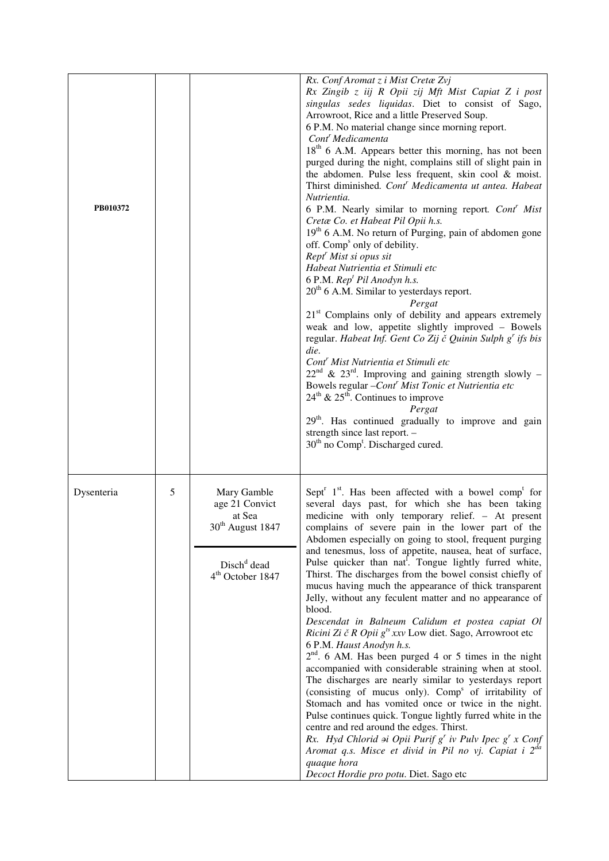| PB010372   |   |                                                                                                                          | Rx. Conf Aromat z i Mist Cretæ Zvj<br>Rx Zingib z iij R Opii zij Mft Mist Capiat Z i post<br>singulas sedes liquidas. Diet to consist of Sago,<br>Arrowroot, Rice and a little Preserved Soup.<br>6 P.M. No material change since morning report.<br>Cont <sup>r</sup> Medicamenta<br>18 <sup>th</sup> 6 A.M. Appears better this morning, has not been<br>purged during the night, complains still of slight pain in<br>the abdomen. Pulse less frequent, skin cool & moist.<br>Thirst diminished. Cont <sup>r</sup> Medicamenta ut antea. Habeat<br>Nutrientia.<br>6 P.M. Nearly similar to morning report. Cont <sup>r</sup> Mist<br>Cretæ Co. et Habeat Pil Opii h.s.<br>19 <sup>th</sup> 6 A.M. No return of Purging, pain of abdomen gone<br>off. Comp <sup>s</sup> only of debility.<br>Rept <sup>r</sup> Mist si opus sit<br>Habeat Nutrientia et Stimuli etc<br>6 P.M. Rep <sup>t</sup> Pil Anodyn h.s.<br>$20th$ 6 A.M. Similar to yesterdays report.<br>Pergat<br>$21st$ Complains only of debility and appears extremely<br>weak and low, appetite slightly improved - Bowels<br>regular. Habeat Inf. Gent Co Zij č Quinin Sulph g' ifs bis<br>die.<br>Cont <sup>r</sup> Mist Nutrientia et Stimuli etc<br>$22nd$ & $23rd$ . Improving and gaining strength slowly –<br>Bowels regular - Cont <sup>r</sup> Mist Tonic et Nutrientia etc<br>$24^{\text{th}}$ & $25^{\text{th}}$ . Continues to improve<br>Pergat<br>29 <sup>th</sup> . Has continued gradually to improve and gain<br>strength since last report. -<br>$30th$ no Comp <sup>t</sup> . Discharged cured. |
|------------|---|--------------------------------------------------------------------------------------------------------------------------|-----------------------------------------------------------------------------------------------------------------------------------------------------------------------------------------------------------------------------------------------------------------------------------------------------------------------------------------------------------------------------------------------------------------------------------------------------------------------------------------------------------------------------------------------------------------------------------------------------------------------------------------------------------------------------------------------------------------------------------------------------------------------------------------------------------------------------------------------------------------------------------------------------------------------------------------------------------------------------------------------------------------------------------------------------------------------------------------------------------------------------------------------------------------------------------------------------------------------------------------------------------------------------------------------------------------------------------------------------------------------------------------------------------------------------------------------------------------------------------------------------------------------------------------------------------------------------------|
| Dysenteria | 5 | Mary Gamble<br>age 21 Convict<br>at Sea<br>$30th$ August 1847<br>Disch <sup>d</sup> dead<br>4 <sup>th</sup> October 1847 | Sept <sup>r</sup> $1st$ . Has been affected with a bowel comp <sup>t</sup> for<br>several days past, for which she has been taking<br>medicine with only temporary relief. - At present<br>complains of severe pain in the lower part of the<br>Abdomen especially on going to stool, frequent purging<br>and tenesmus, loss of appetite, nausea, heat of surface,<br>Pulse quicker than nat. Tongue lightly furred white,<br>Thirst. The discharges from the bowel consist chiefly of<br>mucus having much the appearance of thick transparent<br>Jelly, without any feculent matter and no appearance of<br>blood.<br>Descendat in Balneum Calidum et postea capiat Ol<br>Ricini Zi č R Opii $g^{ts}$ xxv Low diet. Sago, Arrowroot etc<br>6 P.M. Haust Anodyn h.s.<br>$2nd$ . 6 AM. Has been purged 4 or 5 times in the night<br>accompanied with considerable straining when at stool.<br>The discharges are nearly similar to yesterdays report<br>(consisting of mucus only). Comp <sup>s</sup> of irritability of<br>Stomach and has vomited once or twice in the night.<br>Pulse continues quick. Tongue lightly furred white in the<br>centre and red around the edges. Thirst.<br>Rx. Hyd Chlorid $\boldsymbol{\theta}$ i Opii Purif $g^r$ iv Pulv Ipec $g^r$ x Conf<br>Aromat q.s. Misce et divid in Pil no vj. Capiat i 2 <sup>da</sup><br>quaque hora<br>Decoct Hordie pro potu. Diet. Sago etc                                                                                                                                                                      |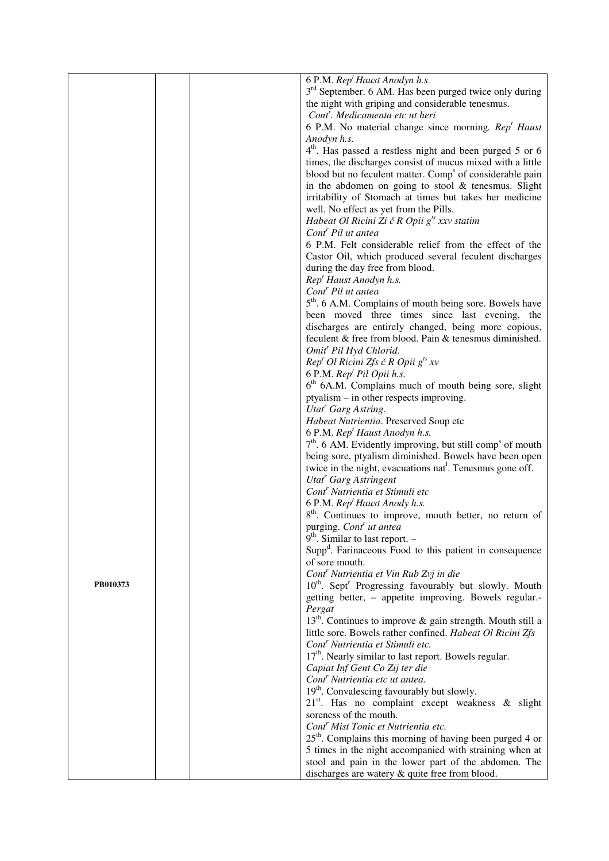|          |  | 6 P.M. Rep <sup>t</sup> Haust Anodyn h.s.                                         |
|----------|--|-----------------------------------------------------------------------------------|
|          |  | 3 <sup>rd</sup> September. 6 AM. Has been purged twice only during                |
|          |  | the night with griping and considerable tenesmus.                                 |
|          |  | Cont <sup>'</sup> . Medicamenta etc ut heri                                       |
|          |  | 6 P.M. No material change since morning. Rep <sup>t</sup> Haust                   |
|          |  | Anodyn h.s.                                                                       |
|          |  | 4 <sup>th</sup> . Has passed a restless night and been purged 5 or 6              |
|          |  | times, the discharges consist of mucus mixed with a little                        |
|          |  | blood but no feculent matter. Comp <sup>s</sup> of considerable pain              |
|          |  | in the abdomen on going to stool $&$ tenesmus. Slight                             |
|          |  | irritability of Stomach at times but takes her medicine                           |
|          |  | well. No effect as yet from the Pills.                                            |
|          |  | Habeat Ol Ricini Zi č R Opii $g^{ts}$ xxv statim                                  |
|          |  | Cont <sup>r</sup> Pil ut antea                                                    |
|          |  | 6 P.M. Felt considerable relief from the effect of the                            |
|          |  | Castor Oil, which produced several feculent discharges                            |
|          |  | during the day free from blood.                                                   |
|          |  | Rep <sup>t</sup> Haust Anodyn h.s.                                                |
|          |  | Cont <sup>r</sup> Pil ut antea                                                    |
|          |  | 5 <sup>th</sup> . 6 A.M. Complains of mouth being sore. Bowels have               |
|          |  | been moved three times since last evening, the                                    |
|          |  | discharges are entirely changed, being more copious,                              |
|          |  | feculent & free from blood. Pain & tenesmus diminished.                           |
|          |  | Omit <sup>r</sup> Pil Hyd Chlorid.                                                |
|          |  | $Rept Ol Ricini Zfs č R Opii gts xv$                                              |
|          |  | 6 P.M. Rep <sup>t</sup> Pil Opii h.s.                                             |
|          |  | 6 <sup>th</sup> 6A.M. Complains much of mouth being sore, slight                  |
|          |  | ptyalism – in other respects improving.                                           |
|          |  | Utat' Garg Astring.                                                               |
|          |  | Habeat Nutrientia. Preserved Soup etc                                             |
|          |  | 6 P.M. Rep <sup>t</sup> Haust Anodyn h.s.                                         |
|          |  | 7 <sup>th</sup> . 6 AM. Evidently improving, but still comp <sup>s</sup> of mouth |
|          |  | being sore, ptyalism diminished. Bowels have been open                            |
|          |  | twice in the night, evacuations nat <sup>1</sup> . Tenesmus gone off.             |
|          |  | Utat <sup>r</sup> Garg Astringent                                                 |
|          |  | Cont <sup>r</sup> Nutrientia et Stimuli etc                                       |
|          |  | 6 P.M. Rep <sup>t</sup> Haust Anody h.s.                                          |
|          |  | 8 <sup>th</sup> . Continues to improve, mouth better, no return of                |
|          |  | purging. Cont <sup>r</sup> ut antea                                               |
|          |  | $9th$ . Similar to last report. –                                                 |
|          |  | Supp <sup>d</sup> . Farinaceous Food to this patient in consequence               |
|          |  | of sore mouth.                                                                    |
|          |  | Cont <sup>r</sup> Nutrientia et Vin Rub Zvj in die                                |
| PB010373 |  | 10 <sup>th</sup> . Sept <sup>r</sup> Progressing favourably but slowly. Mouth     |
|          |  | getting better, - appetite improving. Bowels regular.-                            |
|          |  | Pergat<br>$13th$ . Continues to improve & gain strength. Mouth still a            |
|          |  | little sore. Bowels rather confined. Habeat Ol Ricini Zfs                         |
|          |  | Cont <sup>r</sup> Nutrientia et Stimuli etc.                                      |
|          |  | 17 <sup>th</sup> . Nearly similar to last report. Bowels regular.                 |
|          |  | Capiat Inf Gent Co Zij ter die                                                    |
|          |  | Cont <sup>r</sup> Nutrientia etc ut antea.                                        |
|          |  | 19 <sup>th</sup> . Convalescing favourably but slowly.                            |
|          |  | 21 <sup>st</sup> . Has no complaint except weakness & slight                      |
|          |  | soreness of the mouth.                                                            |
|          |  | Cont <sup>r</sup> Mist Tonic et Nutrientia etc.                                   |
|          |  | 25 <sup>th</sup> . Complains this morning of having been purged 4 or              |
|          |  | 5 times in the night accompanied with straining when at                           |
|          |  | stool and pain in the lower part of the abdomen. The                              |
|          |  | discharges are watery & quite free from blood.                                    |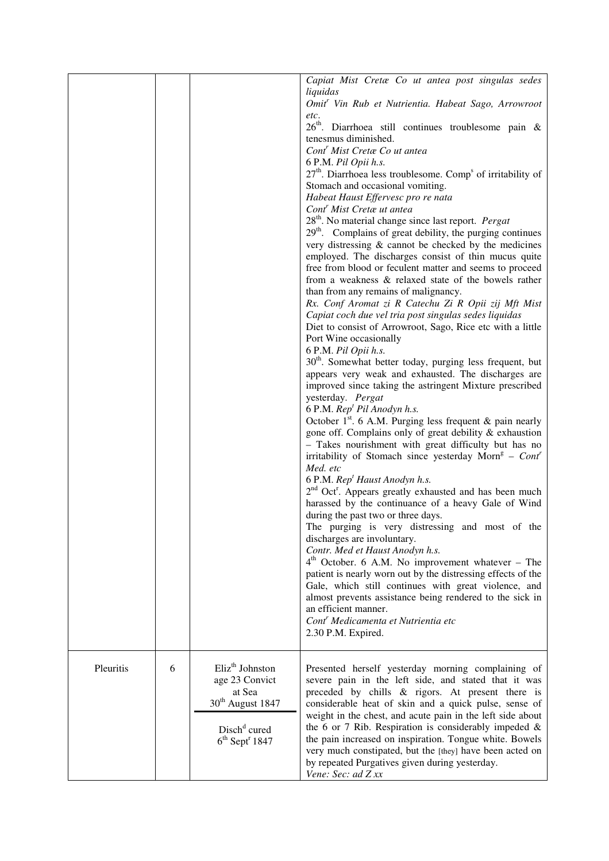| Capiat Mist Cretæ Co ut antea post singulas sedes<br>liquidas<br>Omit <sup>r</sup> Vin Rub et Nutrientia. Habeat Sago, Arrowroot<br>etc.<br>26 <sup>th</sup> . Diarrhoea still continues troublesome pain &<br>tenesmus diminished.<br>Cont <sup>r</sup> Mist Creta Co ut antea<br>6 P.M. Pil Opii h.s.<br>$27th$ . Diarrhoea less troublesome. Comp <sup>s</sup> of irritability of<br>Stomach and occasional vomiting.<br>Habeat Haust Effervesc pro re nata<br>Cont <sup>r</sup> Mist Cretae ut antea<br>$28th$ . No material change since last report. <i>Pergat</i><br>29 <sup>th</sup> . Complains of great debility, the purging continues<br>very distressing & cannot be checked by the medicines<br>employed. The discharges consist of thin mucus quite<br>free from blood or feculent matter and seems to proceed<br>from a weakness & relaxed state of the bowels rather<br>than from any remains of malignancy.<br>Rx. Conf Aromat zi R Catechu Zi R Opii zij Mft Mist<br>Capiat coch due vel tria post singulas sedes liquidas<br>Diet to consist of Arrowroot, Sago, Rice etc with a little<br>Port Wine occasionally<br>6 P.M. Pil Opii h.s.<br>30 <sup>th</sup> . Somewhat better today, purging less frequent, but<br>appears very weak and exhausted. The discharges are<br>improved since taking the astringent Mixture prescribed<br>yesterday. Pergat<br>6 P.M. Rep <sup>t</sup> Pil Anodyn h.s.<br>October $1st$ . 6 A.M. Purging less frequent & pain nearly<br>gone off. Complains only of great debility & exhaustion<br>- Takes nourishment with great difficulty but has no<br>irritability of Stomach since yesterday Morn <sup>g</sup> - Cont <sup>r</sup><br>Med. etc |  |
|-------------------------------------------------------------------------------------------------------------------------------------------------------------------------------------------------------------------------------------------------------------------------------------------------------------------------------------------------------------------------------------------------------------------------------------------------------------------------------------------------------------------------------------------------------------------------------------------------------------------------------------------------------------------------------------------------------------------------------------------------------------------------------------------------------------------------------------------------------------------------------------------------------------------------------------------------------------------------------------------------------------------------------------------------------------------------------------------------------------------------------------------------------------------------------------------------------------------------------------------------------------------------------------------------------------------------------------------------------------------------------------------------------------------------------------------------------------------------------------------------------------------------------------------------------------------------------------------------------------------------------------------------------------------------------------------------------|--|
|                                                                                                                                                                                                                                                                                                                                                                                                                                                                                                                                                                                                                                                                                                                                                                                                                                                                                                                                                                                                                                                                                                                                                                                                                                                                                                                                                                                                                                                                                                                                                                                                                                                                                                       |  |
|                                                                                                                                                                                                                                                                                                                                                                                                                                                                                                                                                                                                                                                                                                                                                                                                                                                                                                                                                                                                                                                                                                                                                                                                                                                                                                                                                                                                                                                                                                                                                                                                                                                                                                       |  |
|                                                                                                                                                                                                                                                                                                                                                                                                                                                                                                                                                                                                                                                                                                                                                                                                                                                                                                                                                                                                                                                                                                                                                                                                                                                                                                                                                                                                                                                                                                                                                                                                                                                                                                       |  |
|                                                                                                                                                                                                                                                                                                                                                                                                                                                                                                                                                                                                                                                                                                                                                                                                                                                                                                                                                                                                                                                                                                                                                                                                                                                                                                                                                                                                                                                                                                                                                                                                                                                                                                       |  |
|                                                                                                                                                                                                                                                                                                                                                                                                                                                                                                                                                                                                                                                                                                                                                                                                                                                                                                                                                                                                                                                                                                                                                                                                                                                                                                                                                                                                                                                                                                                                                                                                                                                                                                       |  |
|                                                                                                                                                                                                                                                                                                                                                                                                                                                                                                                                                                                                                                                                                                                                                                                                                                                                                                                                                                                                                                                                                                                                                                                                                                                                                                                                                                                                                                                                                                                                                                                                                                                                                                       |  |
|                                                                                                                                                                                                                                                                                                                                                                                                                                                                                                                                                                                                                                                                                                                                                                                                                                                                                                                                                                                                                                                                                                                                                                                                                                                                                                                                                                                                                                                                                                                                                                                                                                                                                                       |  |
|                                                                                                                                                                                                                                                                                                                                                                                                                                                                                                                                                                                                                                                                                                                                                                                                                                                                                                                                                                                                                                                                                                                                                                                                                                                                                                                                                                                                                                                                                                                                                                                                                                                                                                       |  |
|                                                                                                                                                                                                                                                                                                                                                                                                                                                                                                                                                                                                                                                                                                                                                                                                                                                                                                                                                                                                                                                                                                                                                                                                                                                                                                                                                                                                                                                                                                                                                                                                                                                                                                       |  |
|                                                                                                                                                                                                                                                                                                                                                                                                                                                                                                                                                                                                                                                                                                                                                                                                                                                                                                                                                                                                                                                                                                                                                                                                                                                                                                                                                                                                                                                                                                                                                                                                                                                                                                       |  |
|                                                                                                                                                                                                                                                                                                                                                                                                                                                                                                                                                                                                                                                                                                                                                                                                                                                                                                                                                                                                                                                                                                                                                                                                                                                                                                                                                                                                                                                                                                                                                                                                                                                                                                       |  |
|                                                                                                                                                                                                                                                                                                                                                                                                                                                                                                                                                                                                                                                                                                                                                                                                                                                                                                                                                                                                                                                                                                                                                                                                                                                                                                                                                                                                                                                                                                                                                                                                                                                                                                       |  |
|                                                                                                                                                                                                                                                                                                                                                                                                                                                                                                                                                                                                                                                                                                                                                                                                                                                                                                                                                                                                                                                                                                                                                                                                                                                                                                                                                                                                                                                                                                                                                                                                                                                                                                       |  |
|                                                                                                                                                                                                                                                                                                                                                                                                                                                                                                                                                                                                                                                                                                                                                                                                                                                                                                                                                                                                                                                                                                                                                                                                                                                                                                                                                                                                                                                                                                                                                                                                                                                                                                       |  |
|                                                                                                                                                                                                                                                                                                                                                                                                                                                                                                                                                                                                                                                                                                                                                                                                                                                                                                                                                                                                                                                                                                                                                                                                                                                                                                                                                                                                                                                                                                                                                                                                                                                                                                       |  |
|                                                                                                                                                                                                                                                                                                                                                                                                                                                                                                                                                                                                                                                                                                                                                                                                                                                                                                                                                                                                                                                                                                                                                                                                                                                                                                                                                                                                                                                                                                                                                                                                                                                                                                       |  |
|                                                                                                                                                                                                                                                                                                                                                                                                                                                                                                                                                                                                                                                                                                                                                                                                                                                                                                                                                                                                                                                                                                                                                                                                                                                                                                                                                                                                                                                                                                                                                                                                                                                                                                       |  |
|                                                                                                                                                                                                                                                                                                                                                                                                                                                                                                                                                                                                                                                                                                                                                                                                                                                                                                                                                                                                                                                                                                                                                                                                                                                                                                                                                                                                                                                                                                                                                                                                                                                                                                       |  |
| 6 P.M. Rep <sup>t</sup> Haust Anodyn h.s.<br>2 <sup>nd</sup> Oct <sup>r</sup> . Appears greatly exhausted and has been much                                                                                                                                                                                                                                                                                                                                                                                                                                                                                                                                                                                                                                                                                                                                                                                                                                                                                                                                                                                                                                                                                                                                                                                                                                                                                                                                                                                                                                                                                                                                                                           |  |
| harassed by the continuance of a heavy Gale of Wind<br>during the past two or three days.                                                                                                                                                                                                                                                                                                                                                                                                                                                                                                                                                                                                                                                                                                                                                                                                                                                                                                                                                                                                                                                                                                                                                                                                                                                                                                                                                                                                                                                                                                                                                                                                             |  |
| The purging is very distressing and most of the                                                                                                                                                                                                                                                                                                                                                                                                                                                                                                                                                                                                                                                                                                                                                                                                                                                                                                                                                                                                                                                                                                                                                                                                                                                                                                                                                                                                                                                                                                                                                                                                                                                       |  |
| discharges are involuntary.<br>Contr. Med et Haust Anodyn h.s.                                                                                                                                                                                                                                                                                                                                                                                                                                                                                                                                                                                                                                                                                                                                                                                                                                                                                                                                                                                                                                                                                                                                                                                                                                                                                                                                                                                                                                                                                                                                                                                                                                        |  |
| $4th$ October. 6 A.M. No improvement whatever – The                                                                                                                                                                                                                                                                                                                                                                                                                                                                                                                                                                                                                                                                                                                                                                                                                                                                                                                                                                                                                                                                                                                                                                                                                                                                                                                                                                                                                                                                                                                                                                                                                                                   |  |
| patient is nearly worn out by the distressing effects of the<br>Gale, which still continues with great violence, and                                                                                                                                                                                                                                                                                                                                                                                                                                                                                                                                                                                                                                                                                                                                                                                                                                                                                                                                                                                                                                                                                                                                                                                                                                                                                                                                                                                                                                                                                                                                                                                  |  |
| almost prevents assistance being rendered to the sick in                                                                                                                                                                                                                                                                                                                                                                                                                                                                                                                                                                                                                                                                                                                                                                                                                                                                                                                                                                                                                                                                                                                                                                                                                                                                                                                                                                                                                                                                                                                                                                                                                                              |  |
| an efficient manner.<br>Cont <sup>r</sup> Medicamenta et Nutrientia etc                                                                                                                                                                                                                                                                                                                                                                                                                                                                                                                                                                                                                                                                                                                                                                                                                                                                                                                                                                                                                                                                                                                                                                                                                                                                                                                                                                                                                                                                                                                                                                                                                               |  |
| 2.30 P.M. Expired.                                                                                                                                                                                                                                                                                                                                                                                                                                                                                                                                                                                                                                                                                                                                                                                                                                                                                                                                                                                                                                                                                                                                                                                                                                                                                                                                                                                                                                                                                                                                                                                                                                                                                    |  |
| Eliz <sup>th</sup> Johnston<br>Pleuritis<br>6<br>Presented herself yesterday morning complaining of                                                                                                                                                                                                                                                                                                                                                                                                                                                                                                                                                                                                                                                                                                                                                                                                                                                                                                                                                                                                                                                                                                                                                                                                                                                                                                                                                                                                                                                                                                                                                                                                   |  |
| age 23 Convict<br>severe pain in the left side, and stated that it was<br>at Sea<br>preceded by chills & rigors. At present there is                                                                                                                                                                                                                                                                                                                                                                                                                                                                                                                                                                                                                                                                                                                                                                                                                                                                                                                                                                                                                                                                                                                                                                                                                                                                                                                                                                                                                                                                                                                                                                  |  |
| 30 <sup>th</sup> August 1847<br>considerable heat of skin and a quick pulse, sense of                                                                                                                                                                                                                                                                                                                                                                                                                                                                                                                                                                                                                                                                                                                                                                                                                                                                                                                                                                                                                                                                                                                                                                                                                                                                                                                                                                                                                                                                                                                                                                                                                 |  |
| weight in the chest, and acute pain in the left side about<br>the 6 or 7 Rib. Respiration is considerably impeded $\&$<br>Disch <sup>d</sup> cured                                                                                                                                                                                                                                                                                                                                                                                                                                                                                                                                                                                                                                                                                                                                                                                                                                                                                                                                                                                                                                                                                                                                                                                                                                                                                                                                                                                                                                                                                                                                                    |  |
| the pain increased on inspiration. Tongue white. Bowels<br>$6th$ Sept <sup>r</sup> 1847                                                                                                                                                                                                                                                                                                                                                                                                                                                                                                                                                                                                                                                                                                                                                                                                                                                                                                                                                                                                                                                                                                                                                                                                                                                                                                                                                                                                                                                                                                                                                                                                               |  |
| very much constipated, but the [they] have been acted on<br>by repeated Purgatives given during yesterday.<br>Vene: Sec: ad Z xx                                                                                                                                                                                                                                                                                                                                                                                                                                                                                                                                                                                                                                                                                                                                                                                                                                                                                                                                                                                                                                                                                                                                                                                                                                                                                                                                                                                                                                                                                                                                                                      |  |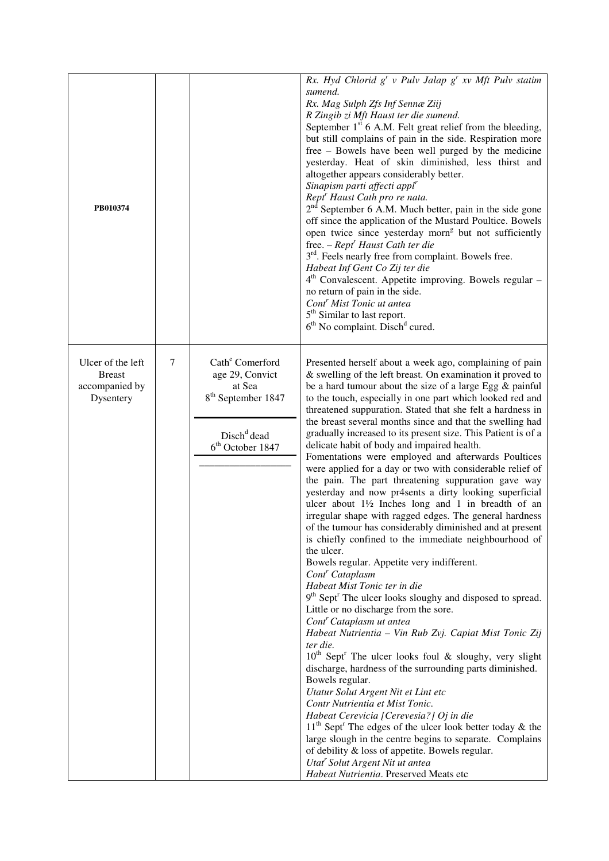| PB010374                                                          |   |                                                                                                                                                       | Rx. Hyd Chlorid $g^r v$ Pulv Jalap $g^r xv$ Mft Pulv statim<br>sumend.<br>Rx. Mag Sulph Zfs Inf Sennæ Ziij<br>R Zingib zi Mft Haust ter die sumend.<br>September $1st$ 6 A.M. Felt great relief from the bleeding,<br>but still complains of pain in the side. Respiration more<br>free – Bowels have been well purged by the medicine<br>yesterday. Heat of skin diminished, less thirst and<br>altogether appears considerably better.<br>Sinapism parti affecti appl <sup>r</sup><br>Rept <sup>r</sup> Haust Cath pro re nata.<br>$2nd$ September 6 A.M. Much better, pain in the side gone<br>off since the application of the Mustard Poultice. Bowels<br>open twice since yesterday morn <sup>g</sup> but not sufficiently<br>free. $-$ Rept <sup>r</sup> Haust Cath ter die<br>3 <sup>rd</sup> . Feels nearly free from complaint. Bowels free.<br>Habeat Inf Gent Co Zij ter die<br>$4th$ Convalescent. Appetite improving. Bowels regular –<br>no return of pain in the side.<br>Cont <sup>r</sup> Mist Tonic ut antea<br>5 <sup>th</sup> Similar to last report.<br>6 <sup>th</sup> No complaint. Disch <sup>d</sup> cured.                                                                                                                                                                                                                                                                                                                                                                                                                                                                                                                                                                                                                                                                                                                                                                                       |
|-------------------------------------------------------------------|---|-------------------------------------------------------------------------------------------------------------------------------------------------------|-----------------------------------------------------------------------------------------------------------------------------------------------------------------------------------------------------------------------------------------------------------------------------------------------------------------------------------------------------------------------------------------------------------------------------------------------------------------------------------------------------------------------------------------------------------------------------------------------------------------------------------------------------------------------------------------------------------------------------------------------------------------------------------------------------------------------------------------------------------------------------------------------------------------------------------------------------------------------------------------------------------------------------------------------------------------------------------------------------------------------------------------------------------------------------------------------------------------------------------------------------------------------------------------------------------------------------------------------------------------------------------------------------------------------------------------------------------------------------------------------------------------------------------------------------------------------------------------------------------------------------------------------------------------------------------------------------------------------------------------------------------------------------------------------------------------------------------------------------------------------------------------------------------------------------|
| Ulcer of the left<br><b>Breast</b><br>accompanied by<br>Dysentery | 7 | Cath <sup>e</sup> Comerford<br>age 29, Convict<br>at Sea<br>8 <sup>th</sup> September 1847<br>Disch <sup>d</sup> dead<br>6 <sup>th</sup> October 1847 | Presented herself about a week ago, complaining of pain<br>& swelling of the left breast. On examination it proved to<br>be a hard tumour about the size of a large Egg $\&$ painful<br>to the touch, especially in one part which looked red and<br>threatened suppuration. Stated that she felt a hardness in<br>the breast several months since and that the swelling had<br>gradually increased to its present size. This Patient is of a<br>delicate habit of body and impaired health.<br>Fomentations were employed and afterwards Poultices<br>were applied for a day or two with considerable relief of<br>the pain. The part threatening suppuration gave way<br>yesterday and now pr4sents a dirty looking superficial<br>ulcer about $1\frac{1}{2}$ Inches long and 1 in breadth of an<br>irregular shape with ragged edges. The general hardness<br>of the tumour has considerably diminished and at present<br>is chiefly confined to the immediate neighbourhood of<br>the ulcer.<br>Bowels regular. Appetite very indifferent.<br>Cont <sup>r</sup> Cataplasm<br>Habeat Mist Tonic ter in die<br>9 <sup>th</sup> Sept <sup>r</sup> The ulcer looks sloughy and disposed to spread.<br>Little or no discharge from the sore.<br>Cont <sup>r</sup> Cataplasm ut antea<br>Habeat Nutrientia - Vin Rub Zvj. Capiat Mist Tonic Zij<br>ter die.<br>$10^{th}$ Sept <sup>r</sup> The ulcer looks foul & sloughy, very slight<br>discharge, hardness of the surrounding parts diminished.<br>Bowels regular.<br>Utatur Solut Argent Nit et Lint etc<br>Contr Nutrientia et Mist Tonic.<br>Habeat Cerevicia [Cerevesia?] Oj in die<br>$11th$ Sept <sup>r</sup> The edges of the ulcer look better today & the<br>large slough in the centre begins to separate. Complains<br>of debility & loss of appetite. Bowels regular.<br>Utat <sup>r</sup> Solut Argent Nit ut antea<br>Habeat Nutrientia. Preserved Meats etc |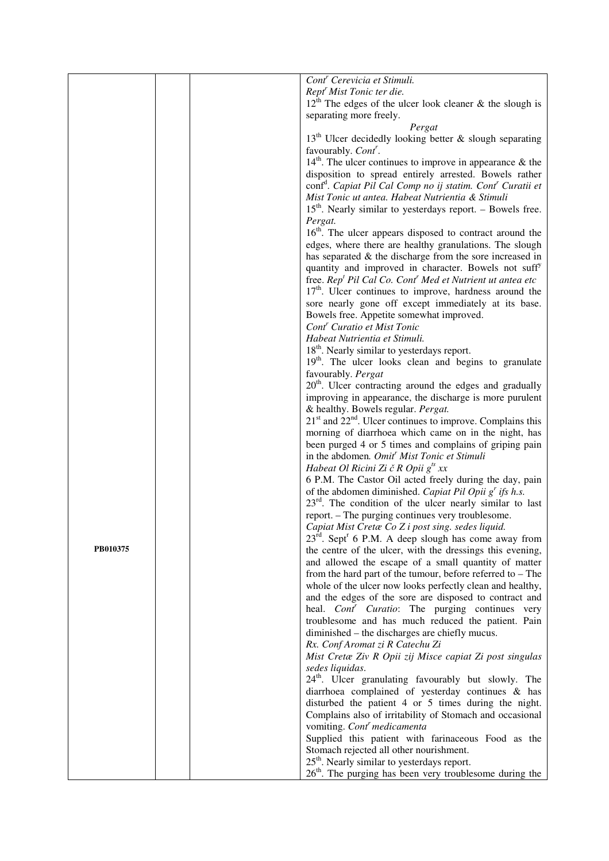|          |  | Cont <sup>r</sup> Cerevicia et Stimuli.                                                                                                      |
|----------|--|----------------------------------------------------------------------------------------------------------------------------------------------|
|          |  | Rept <sup>r</sup> Mist Tonic ter die.                                                                                                        |
|          |  | $12^{\overline{h}}$ The edges of the ulcer look cleaner & the slough is                                                                      |
|          |  | separating more freely.                                                                                                                      |
|          |  | Pergat                                                                                                                                       |
|          |  | $13th$ Ulcer decidedly looking better & slough separating                                                                                    |
|          |  | favourably. Cont <sup>r</sup> .                                                                                                              |
|          |  | $14th$ . The ulcer continues to improve in appearance & the                                                                                  |
|          |  | disposition to spread entirely arrested. Bowels rather<br>conf <sup>d</sup> . Capiat Pil Cal Comp no ij statim. Cont <sup>r</sup> Curatii et |
|          |  | Mist Tonic ut antea. Habeat Nutrientia & Stimuli                                                                                             |
|          |  | $15th$ . Nearly similar to yesterdays report. – Bowels free.                                                                                 |
|          |  | Pergat.                                                                                                                                      |
|          |  | 16 <sup>th</sup> . The ulcer appears disposed to contract around the                                                                         |
|          |  | edges, where there are healthy granulations. The slough                                                                                      |
|          |  | has separated $\&$ the discharge from the sore increased in                                                                                  |
|          |  | quantity and improved in character. Bowels not suff <sup>y</sup>                                                                             |
|          |  | free. Rep <sup>t</sup> Pil Cal Co. Cont <sup>r</sup> Med et Nutrient ut antea etc                                                            |
|          |  | $17th$ . Ulcer continues to improve, hardness around the                                                                                     |
|          |  | sore nearly gone off except immediately at its base.                                                                                         |
|          |  | Bowels free. Appetite somewhat improved.                                                                                                     |
|          |  | Cont <sup>r</sup> Curatio et Mist Tonic                                                                                                      |
|          |  | Habeat Nutrientia et Stimuli.                                                                                                                |
|          |  | 18 <sup>th</sup> . Nearly similar to yesterdays report.                                                                                      |
|          |  | 19 <sup>th</sup> . The ulcer looks clean and begins to granulate                                                                             |
|          |  | favourably. Pergat<br>20 <sup>th</sup> . Ulcer contracting around the edges and gradually                                                    |
|          |  | improving in appearance, the discharge is more purulent                                                                                      |
|          |  | & healthy. Bowels regular. Pergat.                                                                                                           |
|          |  | $21st$ and $22nd$ . Ulcer continues to improve. Complains this                                                                               |
|          |  | morning of diarrhoea which came on in the night, has                                                                                         |
|          |  | been purged 4 or 5 times and complains of griping pain                                                                                       |
|          |  | in the abdomen. Omit <sup>r</sup> Mist Tonic et Stimuli                                                                                      |
|          |  | Habeat Ol Ricini Zi č R Opii g <sup>ts</sup> xx                                                                                              |
|          |  | 6 P.M. The Castor Oil acted freely during the day, pain                                                                                      |
|          |  | of the abdomen diminished. Capiat Pil Opii $gr$ ifs h.s.                                                                                     |
|          |  | $23^{rd}$ . The condition of the ulcer nearly similar to last                                                                                |
|          |  | report. - The purging continues very troublesome.                                                                                            |
|          |  | Capiat Mist Cretæ Co Z i post sing. sedes liquid.                                                                                            |
| PB010375 |  | $23^{\text{rd}}$ . Sept <sup>r</sup> 6 P.M. A deep slough has come away from<br>the centre of the ulcer, with the dressings this evening,    |
|          |  | and allowed the escape of a small quantity of matter                                                                                         |
|          |  | from the hard part of the tumour, before referred to $-$ The                                                                                 |
|          |  | whole of the ulcer now looks perfectly clean and healthy,                                                                                    |
|          |  | and the edges of the sore are disposed to contract and                                                                                       |
|          |  | heal. Cont <sup>r</sup> Curatio: The purging continues very                                                                                  |
|          |  | troublesome and has much reduced the patient. Pain                                                                                           |
|          |  | diminished – the discharges are chiefly mucus.                                                                                               |
|          |  | Rx. Conf Aromat zi R Catechu Zi                                                                                                              |
|          |  | Mist Cretæ Ziv R Opii zij Misce capiat Zi post singulas                                                                                      |
|          |  | sedes liquidas.                                                                                                                              |
|          |  | 24 <sup>th</sup> . Ulcer granulating favourably but slowly. The                                                                              |
|          |  | diarrhoea complained of yesterday continues & has<br>disturbed the patient 4 or 5 times during the night.                                    |
|          |  | Complains also of irritability of Stomach and occasional                                                                                     |
|          |  | vomiting. Cont <sup>r</sup> medicamenta                                                                                                      |
|          |  | Supplied this patient with farinaceous Food as the                                                                                           |
|          |  | Stomach rejected all other nourishment.                                                                                                      |
|          |  | $25th$ . Nearly similar to yesterdays report.                                                                                                |
|          |  | $26th$ . The purging has been very troublesome during the                                                                                    |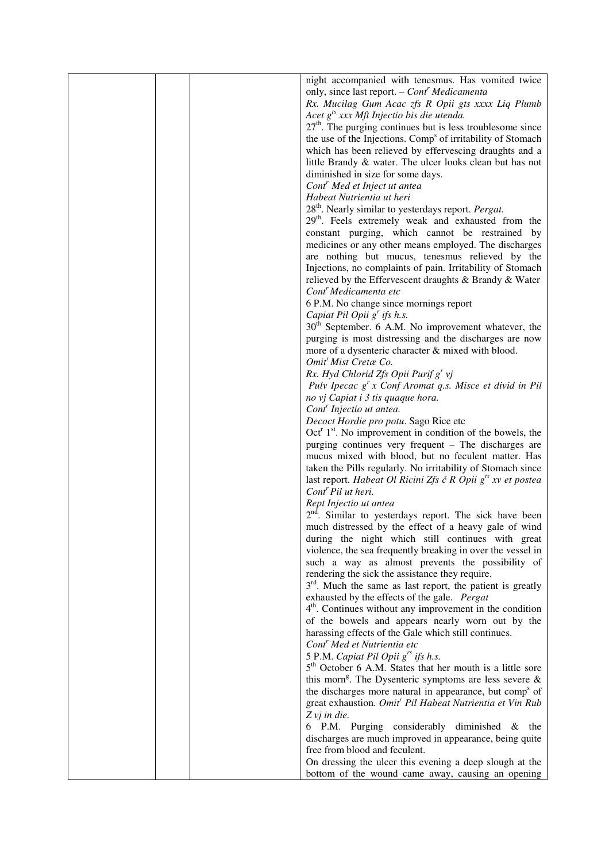|  | night accompanied with tenesmus. Has vomited twice                      |
|--|-------------------------------------------------------------------------|
|  | only, since last report. - Cont <sup>r</sup> Medicamenta                |
|  | Rx. Mucilag Gum Acac zfs R Opii gts xxxx Liq Plumb                      |
|  | Acet $g^{ts}$ xxx Mft Injectio bis die utenda.                          |
|  | $27th$ . The purging continues but is less troublesome since            |
|  |                                                                         |
|  | the use of the Injections. Comp <sup>s</sup> of irritability of Stomach |
|  | which has been relieved by effervescing draughts and a                  |
|  | little Brandy & water. The ulcer looks clean but has not                |
|  | diminished in size for some days.                                       |
|  | Cont <sup>r</sup> Med et Inject ut antea                                |
|  | Habeat Nutrientia ut heri                                               |
|  | 28 <sup>th</sup> . Nearly similar to yesterdays report. Pergat.         |
|  | 29 <sup>th</sup> . Feels extremely weak and exhausted from the          |
|  | constant purging, which cannot be restrained by                         |
|  | medicines or any other means employed. The discharges                   |
|  |                                                                         |
|  | are nothing but mucus, tenesmus relieved by the                         |
|  | Injections, no complaints of pain. Irritability of Stomach              |
|  | relieved by the Effervescent draughts & Brandy & Water                  |
|  | Cont <sup>r</sup> Medicamenta etc                                       |
|  | 6 P.M. No change since mornings report                                  |
|  | Capiat Pil Opii $g^r$ ifs h.s.                                          |
|  | $30th$ September. 6 A.M. No improvement whatever, the                   |
|  | purging is most distressing and the discharges are now                  |
|  | more of a dysenteric character & mixed with blood.                      |
|  | Omit <sup>'</sup> Mist Cretæ Co.                                        |
|  | Rx. Hyd Chlorid Zfs Opii Purif g' vj                                    |
|  |                                                                         |
|  | Pulv Ipecac $g^{r}$ x Conf Aromat q.s. Misce et divid in Pil            |
|  | no vj Capiat i 3 tis quaque hora.                                       |
|  | Cont <sup>r</sup> Injectio ut antea.                                    |
|  | Decoct Hordie pro potu. Sago Rice etc                                   |
|  | $Octr 1st$ . No improvement in condition of the bowels, the             |
|  | purging continues very frequent - The discharges are                    |
|  | mucus mixed with blood, but no feculent matter. Has                     |
|  | taken the Pills regularly. No irritability of Stomach since             |
|  | last report. Habeat Ol Ricini Zfs č R Opii $g^{ts}$ xv et postea        |
|  | Cont <sup>r</sup> Pil ut heri.                                          |
|  | Rept Injectio ut antea                                                  |
|  |                                                                         |
|  | 2 <sup>nd</sup> . Similar to yesterdays report. The sick have been      |
|  | much distressed by the effect of a heavy gale of wind                   |
|  | during the night which still continues with great                       |
|  | violence, the sea frequently breaking in over the vessel in             |
|  | such a way as almost prevents the possibility of                        |
|  | rendering the sick the assistance they require.                         |
|  | 3 <sup>rd</sup> . Much the same as last report, the patient is greatly  |
|  | exhausted by the effects of the gale. Pergat                            |
|  | $4th$ . Continues without any improvement in the condition              |
|  | of the bowels and appears nearly worn out by the                        |
|  | harassing effects of the Gale which still continues.                    |
|  | Cont <sup>r</sup> Med et Nutrientia etc                                 |
|  |                                                                         |
|  | 5 P.M. Capiat Pil Opii $g^{rs}$ ifs h.s.                                |
|  | 5 <sup>th</sup> October 6 A.M. States that her mouth is a little sore   |
|  | this morn <sup>g</sup> . The Dysenteric symptoms are less severe $\&$   |
|  | the discharges more natural in appearance, but comp <sup>s</sup> of     |
|  | great exhaustion. Omit <sup>r</sup> Pil Habeat Nutrientia et Vin Rub    |
|  | $Z$ vj in die.                                                          |
|  | 6 P.M. Purging considerably diminished $\&$ the                         |
|  | discharges are much improved in appearance, being quite                 |
|  | free from blood and feculent.                                           |
|  | On dressing the ulcer this evening a deep slough at the                 |
|  | bottom of the wound came away, causing an opening                       |
|  |                                                                         |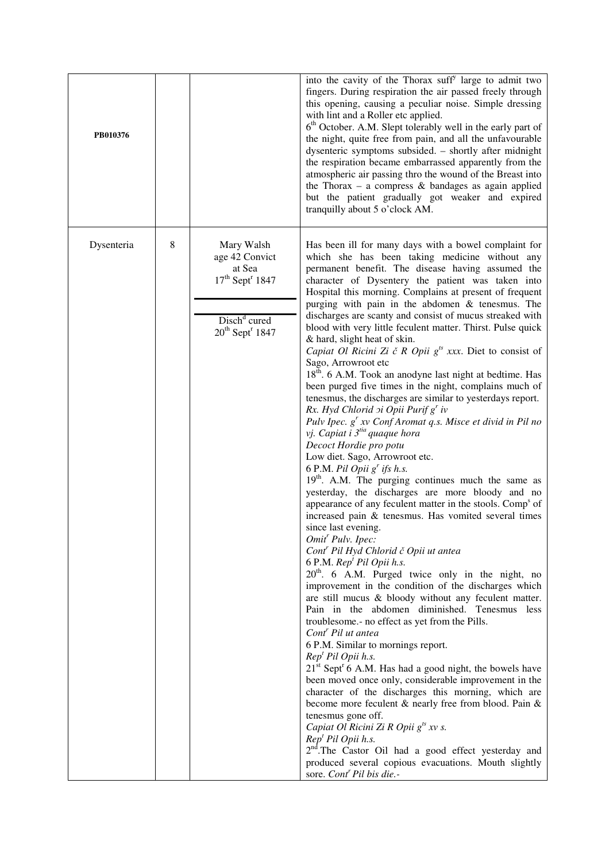| PB010376   |   |                                                                                                                                                   | into the cavity of the Thorax suff <sup>y</sup> large to admit two<br>fingers. During respiration the air passed freely through<br>this opening, causing a peculiar noise. Simple dressing<br>with lint and a Roller etc applied.<br>6 <sup>th</sup> October. A.M. Slept tolerably well in the early part of<br>the night, quite free from pain, and all the unfavourable<br>dysenteric symptoms subsided. - shortly after midnight<br>the respiration became embarrassed apparently from the<br>atmospheric air passing thro the wound of the Breast into<br>the Thorax – a compress $\&$ bandages as again applied<br>but the patient gradually got weaker and expired<br>tranquilly about 5 o'clock AM.                                                                                                                                                                                                                                                                                                                                                                                                                                                                                                                                                                                                                                                                                                                                                                                                                                                                                                                                                                                                                                                                                                                                                                                                                                                                                                                                                                                                                                                                                                                                                                                                                                                                               |
|------------|---|---------------------------------------------------------------------------------------------------------------------------------------------------|------------------------------------------------------------------------------------------------------------------------------------------------------------------------------------------------------------------------------------------------------------------------------------------------------------------------------------------------------------------------------------------------------------------------------------------------------------------------------------------------------------------------------------------------------------------------------------------------------------------------------------------------------------------------------------------------------------------------------------------------------------------------------------------------------------------------------------------------------------------------------------------------------------------------------------------------------------------------------------------------------------------------------------------------------------------------------------------------------------------------------------------------------------------------------------------------------------------------------------------------------------------------------------------------------------------------------------------------------------------------------------------------------------------------------------------------------------------------------------------------------------------------------------------------------------------------------------------------------------------------------------------------------------------------------------------------------------------------------------------------------------------------------------------------------------------------------------------------------------------------------------------------------------------------------------------------------------------------------------------------------------------------------------------------------------------------------------------------------------------------------------------------------------------------------------------------------------------------------------------------------------------------------------------------------------------------------------------------------------------------------------------|
| Dysenteria | 8 | Mary Walsh<br>age 42 Convict<br>at Sea<br>$17^{\text{th}}$ Sept <sup>r</sup> 1847<br>Disch <sup>d</sup> cured<br>$20^{th}$ Sept <sup>r</sup> 1847 | Has been ill for many days with a bowel complaint for<br>which she has been taking medicine without any<br>permanent benefit. The disease having assumed the<br>character of Dysentery the patient was taken into<br>Hospital this morning. Complains at present of frequent<br>purging with pain in the abdomen & tenesmus. The<br>discharges are scanty and consist of mucus streaked with<br>blood with very little feculent matter. Thirst. Pulse quick<br>& hard, slight heat of skin.<br>Capiat Ol Ricini Zi č R Opii $g^{ts}$ xxx. Diet to consist of<br>Sago, Arrowroot etc<br>18 <sup>th</sup> . 6 A.M. Took an anodyne last night at bedtime. Has<br>been purged five times in the night, complains much of<br>tenesmus, the discharges are similar to yesterdays report.<br>Rx. Hyd Chlorid $\sigma$ i Opii Purif g' iv<br>Pulv Ipec. g' xv Conf Aromat q.s. Misce et divid in Pil no<br>vj. Capiat i 3 <sup>tia</sup> quaque hora<br>Decoct Hordie pro potu<br>Low diet. Sago, Arrowroot etc.<br>6 P.M. Pil Opii $g^r$ ifs h.s.<br>19 <sup>th</sup> . A.M. The purging continues much the same as<br>yesterday, the discharges are more bloody and no<br>appearance of any feculent matter in the stools. Comp <sup>s</sup> of<br>increased pain & tenesmus. Has vomited several times<br>since last evening.<br>Omit <sup>r</sup> Pulv. Ipec:<br>Cont <sup>r</sup> Pil Hyd Chlorid č Opii ut antea<br>6 P.M. Rep <sup>t</sup> Pil Opii h.s.<br>20 <sup>th</sup> . 6 A.M. Purged twice only in the night, no<br>improvement in the condition of the discharges which<br>are still mucus & bloody without any feculent matter.<br>Pain in the abdomen diminished. Tenesmus less<br>troublesome.- no effect as yet from the Pills.<br>Cont <sup>r</sup> Pil ut antea<br>6 P.M. Similar to mornings report.<br>Rep <sup>t</sup> Pil Opii h.s.<br>$21st$ Sept <sup>r</sup> 6 A.M. Has had a good night, the bowels have<br>been moved once only, considerable improvement in the<br>character of the discharges this morning, which are<br>become more feculent & nearly free from blood. Pain &<br>tenesmus gone off.<br>Capiat Ol Ricini Zi R Opii g <sup>ts</sup> xv s.<br>Rep <sup>t</sup> Pil Opii h.s.<br>2 <sup>nd</sup> .The Castor Oil had a good effect yesterday and<br>produced several copious evacuations. Mouth slightly<br>sore. Cont <sup>r</sup> Pil bis die.- |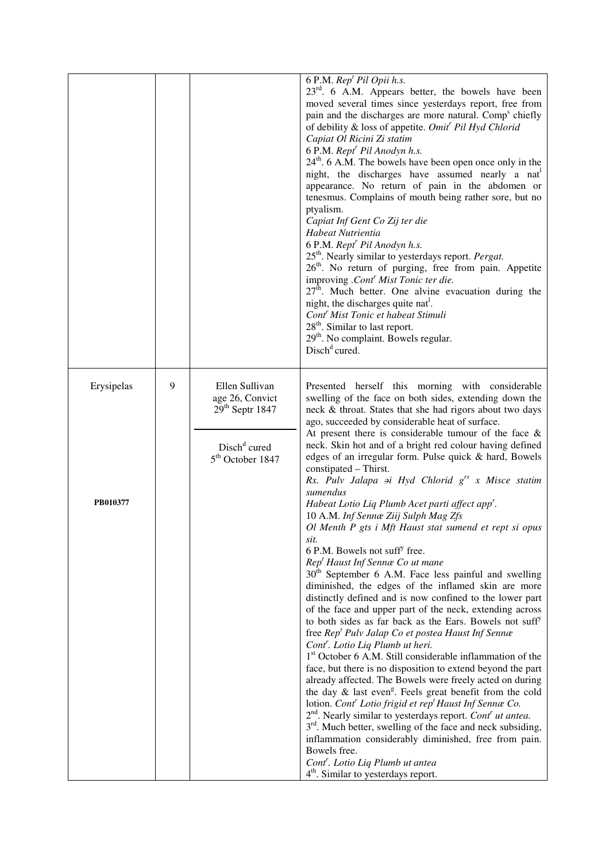|                        |   |                                                                                                                    | 6 P.M. Rep <sup>t</sup> Pil Opii h.s.<br>$23rd$ . 6 A.M. Appears better, the bowels have been<br>moved several times since yesterdays report, free from<br>pain and the discharges are more natural. Comp <sup>8</sup> chiefly<br>of debility & loss of appetite. Omit <sup>r</sup> Pil Hyd Chlorid<br>Capiat Ol Ricini Zi statim<br>6 P.M. Rept <sup>r</sup> Pil Anodyn h.s.<br>$24th$ . 6 A.M. The bowels have been open once only in the<br>night, the discharges have assumed nearly a nat<br>appearance. No return of pain in the abdomen or<br>tenesmus. Complains of mouth being rather sore, but no<br>ptyalism.<br>Capiat Inf Gent Co Zij ter die<br>Habeat Nutrientia<br>6 P.M. Rept <sup>r</sup> Pil Anodyn h.s.<br>25 <sup>th</sup> . Nearly similar to yesterdays report. Pergat.<br>26 <sup>th</sup> . No return of purging, free from pain. Appetite<br>improving .Cont' Mist Tonic ter die.<br>$27th$ . Much better. One alvine evacuation during the<br>night, the discharges quite nat <sup>1</sup> .<br>Cont <sup>r</sup> Mist Tonic et habeat Stimuli<br>28 <sup>th</sup> . Similar to last report.<br>29 <sup>th</sup> . No complaint. Bowels regular.<br>Disch <sup>d</sup> <i>cured</i> .                                                                                                                                                                                                                                                                                                                                                                                                                                                                                                                                                                                                                                                                                                       |
|------------------------|---|--------------------------------------------------------------------------------------------------------------------|------------------------------------------------------------------------------------------------------------------------------------------------------------------------------------------------------------------------------------------------------------------------------------------------------------------------------------------------------------------------------------------------------------------------------------------------------------------------------------------------------------------------------------------------------------------------------------------------------------------------------------------------------------------------------------------------------------------------------------------------------------------------------------------------------------------------------------------------------------------------------------------------------------------------------------------------------------------------------------------------------------------------------------------------------------------------------------------------------------------------------------------------------------------------------------------------------------------------------------------------------------------------------------------------------------------------------------------------------------------------------------------------------------------------------------------------------------------------------------------------------------------------------------------------------------------------------------------------------------------------------------------------------------------------------------------------------------------------------------------------------------------------------------------------------------------------------------------------------------------------------------------------------------------------|
| Erysipelas<br>PB010377 | 9 | Ellen Sullivan<br>age 26, Convict<br>$29th$ Septr 1847<br>Disch <sup>d</sup> cured<br>5 <sup>th</sup> October 1847 | Presented herself this morning with considerable<br>swelling of the face on both sides, extending down the<br>neck & throat. States that she had rigors about two days<br>ago, succeeded by considerable heat of surface.<br>At present there is considerable tumour of the face $\&$<br>neck. Skin hot and of a bright red colour having defined<br>edges of an irregular form. Pulse quick & hard, Bowels<br>constipated - Thirst.<br>Rx. Pulv Jalapa $\pi$ i Hyd Chlorid $g^{rs}$ x Misce statim<br>sumendus<br>Habeat Lotio Liq Plumb Acet parti affect app'.<br>10 A.M. Inf Sennæ Ziij Sulph Mag Zfs<br>Ol Menth P gts i Mft Haust stat sumend et rept si opus<br>sit.<br>6 P.M. Bowels not suff <sup>y</sup> free.<br>Rep <sup>t</sup> Haust Inf Sennæ Co ut mane<br>$30th$ September 6 A.M. Face less painful and swelling<br>diminished, the edges of the inflamed skin are more<br>distinctly defined and is now confined to the lower part<br>of the face and upper part of the neck, extending across<br>to both sides as far back as the Ears. Bowels not suff <sup>y</sup><br>free Rep <sup>t</sup> Pulv Jalap Co et postea Haust Inf Sennæ<br>Cont <sup>r</sup> . Lotio Liq Plumb ut heri.<br>1 <sup>st</sup> October 6 A.M. Still considerable inflammation of the<br>face, but there is no disposition to extend beyond the part<br>already affected. The Bowels were freely acted on during<br>the day $\&$ last even <sup>g</sup> . Feels great benefit from the cold<br>lotion. Cont <sup>r</sup> Lotio frigid et rep <sup>t</sup> Haust Inf Sennæ Co.<br>2 <sup>nd</sup> . Nearly similar to yesterdays report. Cont <sup>r</sup> ut antea.<br>3 <sup>rd</sup> . Much better, swelling of the face and neck subsiding,<br>inflammation considerably diminished, free from pain.<br>Bowels free.<br>Cont <sup>r</sup> . Lotio Liq Plumb ut antea<br>4 <sup>th</sup> . Similar to yesterdays report. |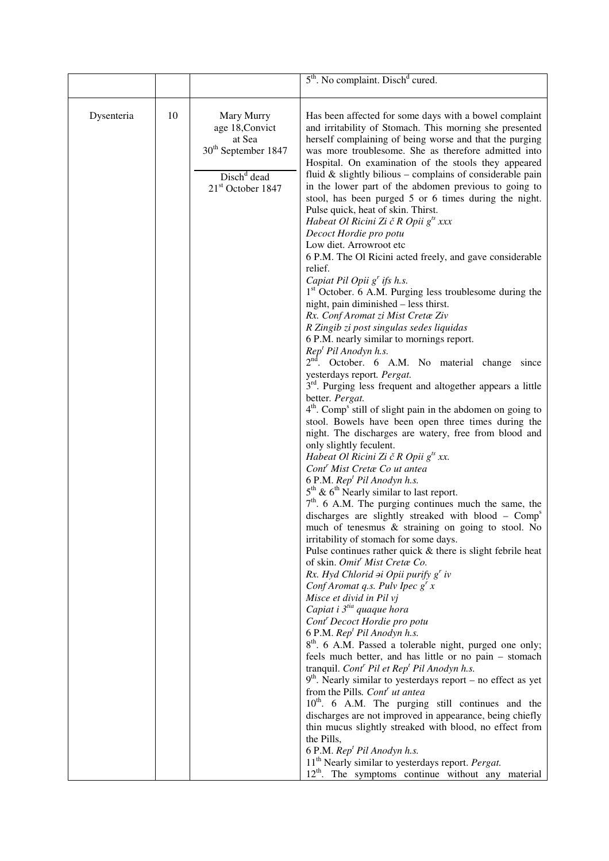|            |    |                                                                                                                                                                                                                                                                                                                                                                                                                                                 | 5 <sup>th</sup> . No complaint. Disch <sup>d</sup> cured.                                                                                                                                                                                                                                        |
|------------|----|-------------------------------------------------------------------------------------------------------------------------------------------------------------------------------------------------------------------------------------------------------------------------------------------------------------------------------------------------------------------------------------------------------------------------------------------------|--------------------------------------------------------------------------------------------------------------------------------------------------------------------------------------------------------------------------------------------------------------------------------------------------|
| Dysenteria | 10 | Mary Murry<br>age 18, Convict                                                                                                                                                                                                                                                                                                                                                                                                                   | Has been affected for some days with a bowel complaint<br>and irritability of Stomach. This morning she presented                                                                                                                                                                                |
|            |    | at Sea<br>$30^{\text{th}}$ September 1847                                                                                                                                                                                                                                                                                                                                                                                                       | herself complaining of being worse and that the purging<br>was more troublesome. She as therefore admitted into<br>Hospital. On examination of the stools they appeared                                                                                                                          |
|            |    | Disch <sup>d</sup> dead<br>21 <sup>st</sup> October 1847                                                                                                                                                                                                                                                                                                                                                                                        | fluid $&$ slightly bilious – complains of considerable pain<br>in the lower part of the abdomen previous to going to<br>stool, has been purged 5 or 6 times during the night.<br>Pulse quick, heat of skin. Thirst.                                                                              |
|            |    |                                                                                                                                                                                                                                                                                                                                                                                                                                                 | Habeat Ol Ricini Zi č R Opii $g^{ts}$ xxx<br>Decoct Hordie pro potu<br>Low diet. Arrowroot etc                                                                                                                                                                                                   |
|            |    |                                                                                                                                                                                                                                                                                                                                                                                                                                                 | 6 P.M. The Ol Ricini acted freely, and gave considerable<br>relief.<br>Capiat Pil Opii $g^r$ ifs h.s.                                                                                                                                                                                            |
|            |    |                                                                                                                                                                                                                                                                                                                                                                                                                                                 | 1 <sup>st</sup> October. 6 A.M. Purging less troublesome during the<br>night, pain diminished – less thirst.<br>Rx. Conf Aromat zi Mist Cretæ Ziv                                                                                                                                                |
|            |    |                                                                                                                                                                                                                                                                                                                                                                                                                                                 | R Zingib zi post singulas sedes liquidas<br>6 P.M. nearly similar to mornings report.<br>Rep <sup>t</sup> Pil Anodyn h.s.<br>2 <sup>nd</sup> . October. 6 A.M. No material change since<br>yesterdays report. Pergat.<br>3 <sup>rd</sup> . Purging less frequent and altogether appears a little |
|            |    |                                                                                                                                                                                                                                                                                                                                                                                                                                                 |                                                                                                                                                                                                                                                                                                  |
|            |    | better. Pergat.<br>4 <sup>th</sup> . Comp <sup>s</sup> still of slight pain in the abdomen on going to<br>stool. Bowels have been open three times during the<br>night. The discharges are watery, free from blood and<br>only slightly feculent.<br>Habeat Ol Ricini Zi č R Opii $g^{ts}$ xx.<br>Cont <sup>'</sup> Mist Cretæ Co ut antea<br>6 P.M. Rep <sup>t</sup> Pil Anodyn h.s.<br>$5th$ & 6 <sup>th</sup> Nearly similar to last report. |                                                                                                                                                                                                                                                                                                  |
|            |    |                                                                                                                                                                                                                                                                                                                                                                                                                                                 |                                                                                                                                                                                                                                                                                                  |
|            |    |                                                                                                                                                                                                                                                                                                                                                                                                                                                 |                                                                                                                                                                                                                                                                                                  |
|            |    | much of tenesmus & straining on going to stool. No<br>irritability of stomach for some days.<br>Pulse continues rather quick & there is slight febrile heat<br>of skin. Omit <sup>r</sup> Mist Cretæ Co.<br>Rx. Hyd Chlorid $\sigma$ i Opii purify g' iv<br>Conf Aromat q.s. Pulv Ipec $g^{r}$ x<br>Misce et divid in Pil vj<br>Capiat i 3 <sup>tia</sup> quaque hora<br>Cont <sup>'</sup> Decoct Hordie pro potu                               |                                                                                                                                                                                                                                                                                                  |
|            |    |                                                                                                                                                                                                                                                                                                                                                                                                                                                 |                                                                                                                                                                                                                                                                                                  |
|            |    |                                                                                                                                                                                                                                                                                                                                                                                                                                                 |                                                                                                                                                                                                                                                                                                  |
|            |    | 6 P.M. Rep <sup>t</sup> Pil Anodyn h.s.<br>8 <sup>th</sup> . 6 A.M. Passed a tolerable night, purged one only;<br>feels much better, and has little or no pain - stomach                                                                                                                                                                                                                                                                        |                                                                                                                                                                                                                                                                                                  |
|            |    | tranquil. Cont <sup>r</sup> Pil et Rep <sup>t</sup> Pil Anodyn h.s.<br>$9th$ . Nearly similar to yesterdays report – no effect as yet<br>from the Pills. Cont <sup>r</sup> ut antea                                                                                                                                                                                                                                                             |                                                                                                                                                                                                                                                                                                  |
|            |    | 10 <sup>th</sup> . 6 A.M. The purging still continues and the<br>discharges are not improved in appearance, being chiefly<br>thin mucus slightly streaked with blood, no effect from                                                                                                                                                                                                                                                            |                                                                                                                                                                                                                                                                                                  |
|            |    |                                                                                                                                                                                                                                                                                                                                                                                                                                                 |                                                                                                                                                                                                                                                                                                  |
|            |    |                                                                                                                                                                                                                                                                                                                                                                                                                                                 | $12th$ . The symptoms continue without any material                                                                                                                                                                                                                                              |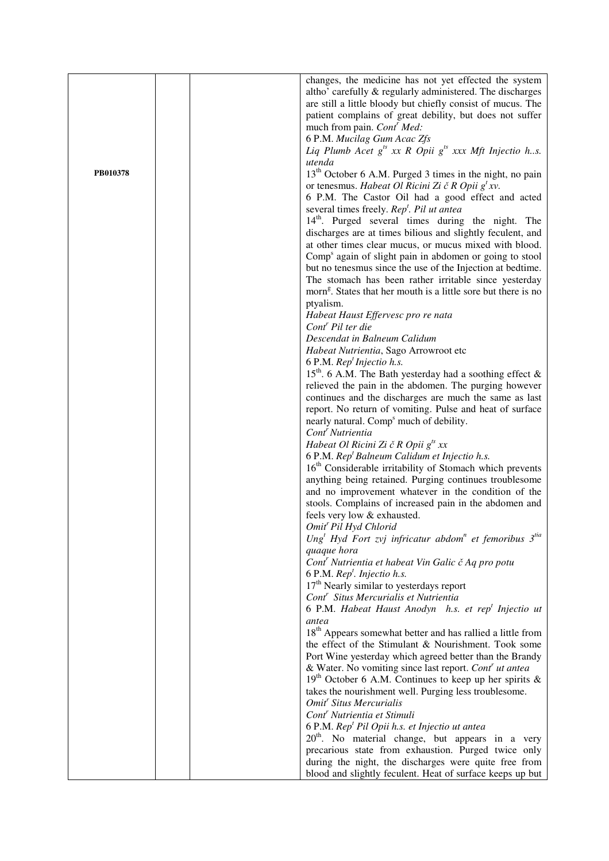|          | changes, the medicine has not yet effected the system                                     |
|----------|-------------------------------------------------------------------------------------------|
|          | altho' carefully & regularly administered. The discharges                                 |
|          |                                                                                           |
|          | are still a little bloody but chiefly consist of mucus. The                               |
|          | patient complains of great debility, but does not suffer                                  |
|          | much from pain. Cont <sup>r</sup> Med:                                                    |
|          | 6 P.M. Mucilag Gum Acac Zfs                                                               |
|          | Liq Plumb Acet $g^{ts}$ xx R Opii $g^{ts}$ xxx Mft Injectio h.s.                          |
|          | utenda                                                                                    |
| PB010378 | 13 <sup>th</sup> October 6 A.M. Purged 3 times in the night, no pain                      |
|          | or tenesmus. Habeat Ol Ricini Zi č R Opii $g^t xv$ .                                      |
|          |                                                                                           |
|          | 6 P.M. The Castor Oil had a good effect and acted                                         |
|          | several times freely. Rep <sup>t</sup> . Pil ut antea                                     |
|          | 14 <sup>th</sup> . Purged several times during the night. The                             |
|          | discharges are at times bilious and slightly feculent, and                                |
|          | at other times clear mucus, or mucus mixed with blood.                                    |
|          | Comp <sup>s</sup> again of slight pain in abdomen or going to stool                       |
|          | but no tenesmus since the use of the Injection at bedtime.                                |
|          | The stomach has been rather irritable since yesterday                                     |
|          |                                                                                           |
|          | morn <sup>g</sup> . States that her mouth is a little sore but there is no                |
|          | ptyalism.                                                                                 |
|          | Habeat Haust Effervesc pro re nata                                                        |
|          | Cont <sup>r</sup> Pil ter die                                                             |
|          | Descendat in Balneum Calidum                                                              |
|          | Habeat Nutrientia, Sago Arrowroot etc                                                     |
|          | 6 P.M. $Rept Injection h.s.$                                                              |
|          | 15 <sup>th</sup> . 6 A.M. The Bath yesterday had a soothing effect $\&$                   |
|          | relieved the pain in the abdomen. The purging however                                     |
|          |                                                                                           |
|          | continues and the discharges are much the same as last                                    |
|          | report. No return of vomiting. Pulse and heat of surface                                  |
|          | nearly natural. Comp <sup>s</sup> much of debility.                                       |
|          | Cont <sup>'</sup> Nutrientia                                                              |
|          | Habeat Ol Ricini Zi č R Opii g <sup>ts</sup> xx                                           |
|          | 6 P.M. Rep <sup>t</sup> Balneum Calidum et Injectio h.s.                                  |
|          | 16 <sup>th</sup> Considerable irritability of Stomach which prevents                      |
|          | anything being retained. Purging continues troublesome                                    |
|          | and no improvement whatever in the condition of the                                       |
|          |                                                                                           |
|          | stools. Complains of increased pain in the abdomen and                                    |
|          | feels very low & exhausted.                                                               |
|          | Omit <sup>r</sup> Pil Hyd Chlorid                                                         |
|          | Ung <sup>t</sup> Hyd Fort zvj infricatur abdom <sup>n</sup> et femoribus 3 <sup>tia</sup> |
|          | quaque hora                                                                               |
|          | Cont <sup>r</sup> Nutrientia et habeat Vin Galic č Aq pro potu                            |
|          | 6 P.M. $Rept$ . Injectio h.s.                                                             |
|          | $17th$ Nearly similar to yesterdays report                                                |
|          | Cont <sup>r</sup> Situs Mercurialis et Nutrientia                                         |
|          | 6 P.M. Habeat Haust Anodyn h.s. et rep <sup>t</sup> Injectio ut                           |
|          | antea                                                                                     |
|          | 18 <sup>th</sup> Appears somewhat better and has rallied a little from                    |
|          |                                                                                           |
|          | the effect of the Stimulant & Nourishment. Took some                                      |
|          | Port Wine yesterday which agreed better than the Brandy                                   |
|          | & Water. No vomiting since last report. Cont' ut antea                                    |
|          | $19th$ October 6 A.M. Continues to keep up her spirits &                                  |
|          | takes the nourishment well. Purging less troublesome.                                     |
|          | Omit <sup>r</sup> Situs Mercurialis                                                       |
|          | Cont <sup>r</sup> Nutrientia et Stimuli                                                   |
|          | 6 P.M. Rep <sup>t</sup> Pil Opii h.s. et Injectio ut antea                                |
|          |                                                                                           |
|          | 20 <sup>th</sup> . No material change, but appears in a very                              |
|          | precarious state from exhaustion. Purged twice only                                       |
|          | during the night, the discharges were quite free from                                     |
|          | blood and slightly feculent. Heat of surface keeps up but                                 |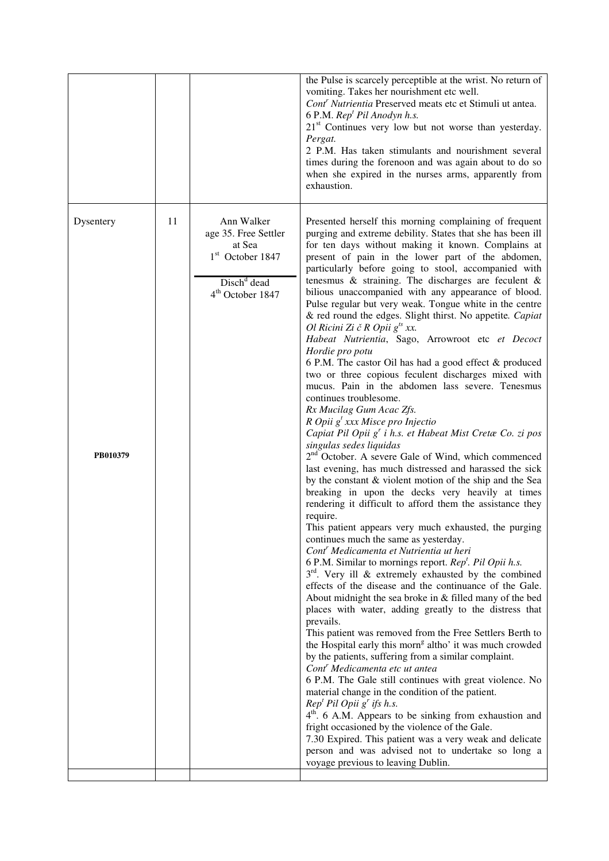|                       |    |                                                                                                                               | the Pulse is scarcely perceptible at the wrist. No return of<br>vomiting. Takes her nourishment etc well.<br>Cont <sup>r</sup> Nutrientia Preserved meats etc et Stimuli ut antea.<br>6 P.M. Rep <sup>t</sup> Pil Anodyn h.s.<br>$21st$ Continues very low but not worse than yesterday.<br>Pergat.<br>2 P.M. Has taken stimulants and nourishment several<br>times during the forenoon and was again about to do so<br>when she expired in the nurses arms, apparently from<br>exhaustion.                                                                                                                                                                                                                                                                                                                                                                                                                                                                                                                                                                                                                                                                                                                                                                                                                                                                                                                                                                                                                                                                                                                                                                                                                                                                                                                                                                                                                                                                                                                                                                                                                                                                                                                                                                                                                                                                                                                                                                                          |
|-----------------------|----|-------------------------------------------------------------------------------------------------------------------------------|--------------------------------------------------------------------------------------------------------------------------------------------------------------------------------------------------------------------------------------------------------------------------------------------------------------------------------------------------------------------------------------------------------------------------------------------------------------------------------------------------------------------------------------------------------------------------------------------------------------------------------------------------------------------------------------------------------------------------------------------------------------------------------------------------------------------------------------------------------------------------------------------------------------------------------------------------------------------------------------------------------------------------------------------------------------------------------------------------------------------------------------------------------------------------------------------------------------------------------------------------------------------------------------------------------------------------------------------------------------------------------------------------------------------------------------------------------------------------------------------------------------------------------------------------------------------------------------------------------------------------------------------------------------------------------------------------------------------------------------------------------------------------------------------------------------------------------------------------------------------------------------------------------------------------------------------------------------------------------------------------------------------------------------------------------------------------------------------------------------------------------------------------------------------------------------------------------------------------------------------------------------------------------------------------------------------------------------------------------------------------------------------------------------------------------------------------------------------------------------|
| Dysentery<br>PB010379 | 11 | Ann Walker<br>age 35. Free Settler<br>at Sea<br>$1st$ October 1847<br>Disch <sup>d</sup> dead<br>4 <sup>th</sup> October 1847 | Presented herself this morning complaining of frequent<br>purging and extreme debility. States that she has been ill<br>for ten days without making it known. Complains at<br>present of pain in the lower part of the abdomen,<br>particularly before going to stool, accompanied with<br>tenesmus & straining. The discharges are feculent $\&$<br>bilious unaccompanied with any appearance of blood.<br>Pulse regular but very weak. Tongue white in the centre<br>& red round the edges. Slight thirst. No appetite. Capiat<br>Ol Ricini Zi č R Opii $g^{ts}$ xx.<br>Habeat Nutrientia, Sago, Arrowroot etc et Decoct<br>Hordie pro potu<br>6 P.M. The castor Oil has had a good effect & produced<br>two or three copious feculent discharges mixed with<br>mucus. Pain in the abdomen lass severe. Tenesmus<br>continues troublesome.<br>Rx Mucilag Gum Acac Zfs.<br>R Opii $g^t$ xxx Misce pro Injectio<br>Capiat Pil Opii g' i h.s. et Habeat Mist Cretae Co. zi pos<br>singulas sedes liquidas<br>2 <sup>nd</sup> October. A severe Gale of Wind, which commenced<br>last evening, has much distressed and harassed the sick<br>by the constant & violent motion of the ship and the Sea<br>breaking in upon the decks very heavily at times<br>rendering it difficult to afford them the assistance they<br>require.<br>This patient appears very much exhausted, the purging<br>continues much the same as yesterday.<br>Cont <sup>r</sup> Medicamenta et Nutrientia ut heri<br>6 P.M. Similar to mornings report. $Rept$ . Pil Opii h.s.<br>$3rd$ . Very ill & extremely exhausted by the combined<br>effects of the disease and the continuance of the Gale.<br>About midnight the sea broke in & filled many of the bed<br>places with water, adding greatly to the distress that<br>prevails.<br>This patient was removed from the Free Settlers Berth to<br>the Hospital early this morn <sup>g</sup> altho' it was much crowded<br>by the patients, suffering from a similar complaint.<br>Cont <sup>'</sup> Medicamenta etc ut antea<br>6 P.M. The Gale still continues with great violence. No<br>material change in the condition of the patient.<br>$Rept Pil Opii gr if s h.s.$<br>4 <sup>th</sup> . 6 A.M. Appears to be sinking from exhaustion and<br>fright occasioned by the violence of the Gale.<br>7.30 Expired. This patient was a very weak and delicate<br>person and was advised not to undertake so long a<br>voyage previous to leaving Dublin. |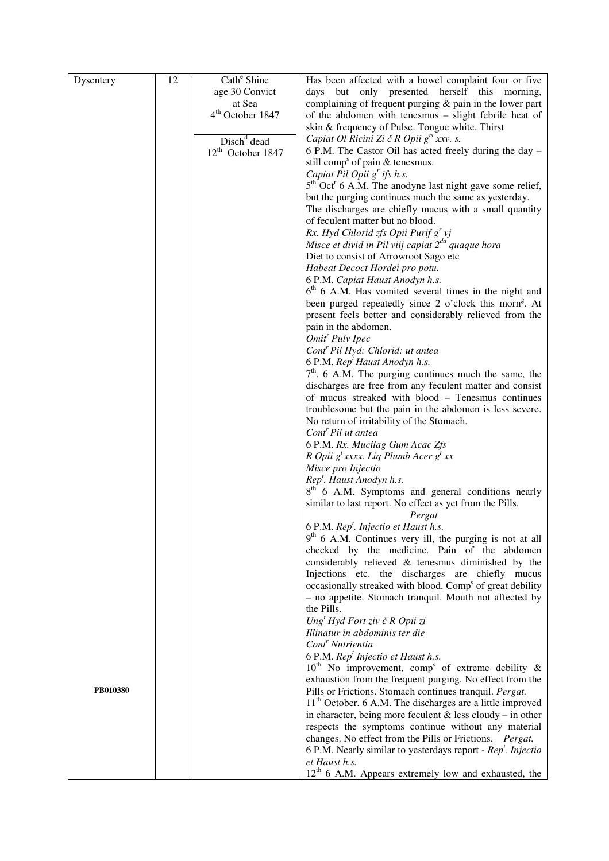| Dysentery | 12 | Cath <sup>e</sup> Shine      | Has been affected with a bowel complaint four or five                                                                     |
|-----------|----|------------------------------|---------------------------------------------------------------------------------------------------------------------------|
|           |    | age 30 Convict               | days but only presented herself this morning,                                                                             |
|           |    | at Sea                       | complaining of frequent purging $&$ pain in the lower part                                                                |
|           |    | 4 <sup>th</sup> October 1847 | of the abdomen with tenesmus - slight febrile heat of                                                                     |
|           |    |                              | skin & frequency of Pulse. Tongue white. Thirst                                                                           |
|           |    | Disch <sup>d</sup> dead      | Capiat Ol Ricini Zi č R Opii $g^{ts}$ xxv. s.                                                                             |
|           |    | $12^{th}$ October 1847       | 6 P.M. The Castor Oil has acted freely during the day -                                                                   |
|           |    |                              | still comp <sup>s</sup> of pain & tenesmus.                                                                               |
|           |    |                              | Capiat Pil Opii $g^r$ ifs h.s.                                                                                            |
|           |    |                              | $5th$ Oct <sup>r</sup> 6 A.M. The anodyne last night gave some relief,                                                    |
|           |    |                              | but the purging continues much the same as yesterday.                                                                     |
|           |    |                              | The discharges are chiefly mucus with a small quantity<br>of feculent matter but no blood.                                |
|           |    |                              | Rx. Hyd Chlorid zfs Opii Purif $g^{r}$ vj                                                                                 |
|           |    |                              | Misce et divid in Pil viij capiat $2^{da}$ quaque hora                                                                    |
|           |    |                              | Diet to consist of Arrowroot Sago etc                                                                                     |
|           |    |                              | Habeat Decoct Hordei pro potu.                                                                                            |
|           |    |                              | 6 P.M. Capiat Haust Anodyn h.s.                                                                                           |
|           |    |                              | $6th$ 6 A.M. Has vomited several times in the night and                                                                   |
|           |    |                              | been purged repeatedly since 2 o'clock this morn <sup>g</sup> . At                                                        |
|           |    |                              | present feels better and considerably relieved from the                                                                   |
|           |    |                              | pain in the abdomen.                                                                                                      |
|           |    |                              | Omit <sup>r</sup> Pulv Ipec                                                                                               |
|           |    |                              | Cont <sup>r</sup> Pil Hyd: Chlorid: ut antea                                                                              |
|           |    |                              | 6 P.M. Rep <sup>t</sup> Haust Anodyn h.s.<br>$7th$ . 6 A.M. The purging continues much the same, the                      |
|           |    |                              | discharges are free from any feculent matter and consist                                                                  |
|           |    |                              | of mucus streaked with blood - Tenesmus continues                                                                         |
|           |    |                              | troublesome but the pain in the abdomen is less severe.                                                                   |
|           |    |                              | No return of irritability of the Stomach.                                                                                 |
|           |    |                              | Cont <sup>r</sup> Pil ut antea                                                                                            |
|           |    |                              | 6 P.M. Rx. Mucilag Gum Acac Zfs                                                                                           |
|           |    |                              | R Opii $g^t$ xxxx. Liq Plumb Acer $g^t$ xx                                                                                |
|           |    |                              | Misce pro Injectio                                                                                                        |
|           |    |                              | Rep <sup>t</sup> . Haust Anodyn h.s.                                                                                      |
|           |    |                              | 8 <sup>th</sup> 6 A.M. Symptoms and general conditions nearly<br>similar to last report. No effect as yet from the Pills. |
|           |    |                              | Pergat                                                                                                                    |
|           |    |                              | 6 P.M. Rep <sup>t</sup> . Injectio et Haust h.s.                                                                          |
|           |    |                              | $9th$ 6 A.M. Continues very ill, the purging is not at all                                                                |
|           |    |                              | checked by the medicine. Pain of the abdomen                                                                              |
|           |    |                              | considerably relieved & tenesmus diminished by the                                                                        |
|           |    |                              | Injections etc. the discharges are chiefly mucus                                                                          |
|           |    |                              | occasionally streaked with blood. Comp <sup>s</sup> of great debility                                                     |
|           |    |                              | - no appetite. Stomach tranquil. Mouth not affected by                                                                    |
|           |    |                              | the Pills.                                                                                                                |
|           |    |                              | Ung <sup>t</sup> Hyd Fort ziv č R Opii zi<br>Illinatur in abdominis ter die                                               |
|           |    |                              | Cont <sup>r</sup> Nutrientia                                                                                              |
|           |    |                              | 6 P.M. Rep <sup>t</sup> Injectio et Haust h.s.                                                                            |
|           |    |                              | $10^{th}$ No improvement, comp <sup>s</sup> of extreme debility &                                                         |
|           |    |                              | exhaustion from the frequent purging. No effect from the                                                                  |
| PB010380  |    |                              | Pills or Frictions. Stomach continues tranquil. Pergat.                                                                   |
|           |    |                              | $11th$ October. 6 A.M. The discharges are a little improved                                                               |
|           |    |                              | in character, being more feculent $&$ less cloudy – in other                                                              |
|           |    |                              | respects the symptoms continue without any material                                                                       |
|           |    |                              | changes. No effect from the Pills or Frictions. Pergat.                                                                   |
|           |    |                              | 6 P.M. Nearly similar to yesterdays report - $Rept$ . Injectio                                                            |
|           |    |                              | et Haust h.s.<br>$12th$ 6 A.M. Appears extremely low and exhausted, the                                                   |
|           |    |                              |                                                                                                                           |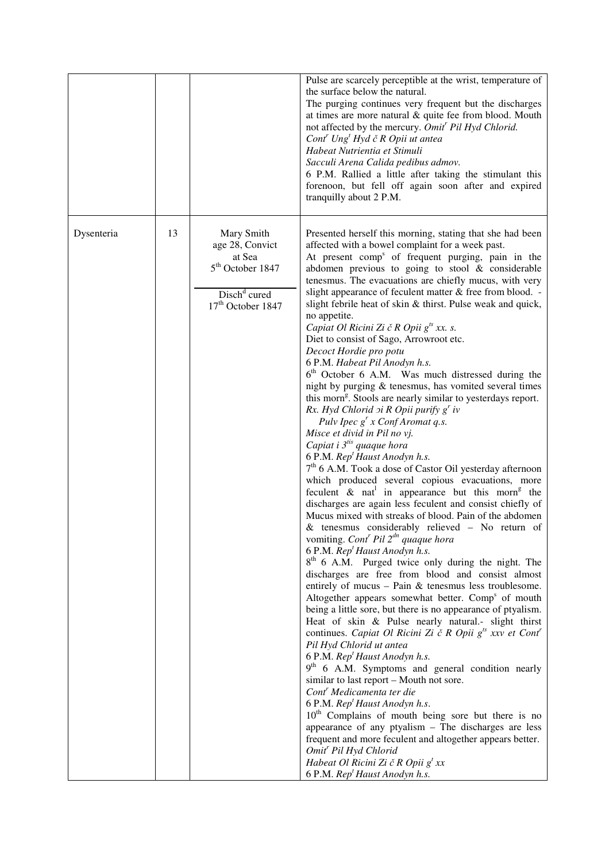|            |    |                                                                                                                                      | Pulse are scarcely perceptible at the wrist, temperature of<br>the surface below the natural.<br>The purging continues very frequent but the discharges<br>at times are more natural $\&$ quite fee from blood. Mouth<br>not affected by the mercury. Omit <sup>r</sup> Pil Hyd Chlorid.<br>$Contr Ungt Hyd \check{c} R$ Opii ut antea<br>Habeat Nutrientia et Stimuli<br>Sacculi Arena Calida pedibus admov.<br>6 P.M. Rallied a little after taking the stimulant this<br>forenoon, but fell off again soon after and expired<br>tranquilly about 2 P.M.                                                                                                                                                                                                                                                                                                                                                                                                                                                                                                                                                                                                                                                                                                                                                                                                                                                                                                                                                                                                                                                                                                                                                                                                                                                                                                                                                                                                                                                                                                                                                                                                                                                                                                                                                                                                                                                                                                                                                                                                             |
|------------|----|--------------------------------------------------------------------------------------------------------------------------------------|------------------------------------------------------------------------------------------------------------------------------------------------------------------------------------------------------------------------------------------------------------------------------------------------------------------------------------------------------------------------------------------------------------------------------------------------------------------------------------------------------------------------------------------------------------------------------------------------------------------------------------------------------------------------------------------------------------------------------------------------------------------------------------------------------------------------------------------------------------------------------------------------------------------------------------------------------------------------------------------------------------------------------------------------------------------------------------------------------------------------------------------------------------------------------------------------------------------------------------------------------------------------------------------------------------------------------------------------------------------------------------------------------------------------------------------------------------------------------------------------------------------------------------------------------------------------------------------------------------------------------------------------------------------------------------------------------------------------------------------------------------------------------------------------------------------------------------------------------------------------------------------------------------------------------------------------------------------------------------------------------------------------------------------------------------------------------------------------------------------------------------------------------------------------------------------------------------------------------------------------------------------------------------------------------------------------------------------------------------------------------------------------------------------------------------------------------------------------------------------------------------------------------------------------------------------------|
| Dysenteria | 13 | Mary Smith<br>age 28, Convict<br>at Sea<br>5 <sup>th</sup> October 1847<br>Disch <sup>d</sup> cured<br>17 <sup>th</sup> October 1847 | Presented herself this morning, stating that she had been<br>affected with a bowel complaint for a week past.<br>At present comp <sup>s</sup> of frequent purging, pain in the<br>abdomen previous to going to stool $&$ considerable<br>tenesmus. The evacuations are chiefly mucus, with very<br>slight appearance of feculent matter & free from blood. -<br>slight febrile heat of skin & thirst. Pulse weak and quick,<br>no appetite.<br>Capiat Ol Ricini Zi č R Opii $g^{ts}$ xx. s.<br>Diet to consist of Sago, Arrowroot etc.<br>Decoct Hordie pro potu<br>6 P.M. Habeat Pil Anodyn h.s.<br>6 <sup>th</sup> October 6 A.M. Was much distressed during the<br>night by purging & tenesmus, has vomited several times<br>this morn <sup>g</sup> . Stools are nearly similar to yesterdays report.<br>Rx. Hyd Chlorid $\sigma$ i R Opii purify g' iv<br>Pulv Ipec $g^r x$ Conf Aromat q.s.<br>Misce et divid in Pil no vj.<br>Capiat i 3 <sup>tis</sup> quaque hora<br>6 P.M. Rep <sup>t</sup> Haust Anodyn h.s.<br>7 <sup>th</sup> 6 A.M. Took a dose of Castor Oil yesterday afternoon<br>which produced several copious evacuations, more<br>feculent $\&$ nat <sup>1</sup> in appearance but this morn <sup>g</sup> the<br>discharges are again less feculent and consist chiefly of<br>Mucus mixed with streaks of blood. Pain of the abdomen<br>$&$ tenesmus considerably relieved – No return of<br>vomiting. Cont <sup>r</sup> Pil $2^{dn}$ quaque hora<br>6 P.M. Rep <sup>t</sup> Haust Anodyn h.s.<br>8 <sup>th</sup> 6 A.M. Purged twice only during the night. The<br>discharges are free from blood and consist almost<br>entirely of mucus $-$ Pain & tenesmus less troublesome.<br>Altogether appears somewhat better. Comp <sup>s</sup> of mouth<br>being a little sore, but there is no appearance of ptyalism.<br>Heat of skin & Pulse nearly natural.- slight thirst<br>continues. Capiat Ol Ricini Zi č R Opii g <sup>ts</sup> xxv et Cont <sup>r</sup><br>Pil Hyd Chlorid ut antea<br>6 P.M. Rep <sup>t</sup> Haust Anodyn h.s.<br>$9th$ 6 A.M. Symptoms and general condition nearly<br>similar to last report – Mouth not sore.<br>Cont <sup>'</sup> Medicamenta ter die<br>6 P.M. Rep <sup>t</sup> Haust Anodyn h.s.<br>10 <sup>th</sup> Complains of mouth being sore but there is no<br>appearance of any ptyalism $-$ The discharges are less<br>frequent and more feculent and altogether appears better.<br>Omit <sup>r</sup> Pil Hyd Chlorid<br>Habeat Ol Ricini Zi č R Opii $g^t$ xx<br>6 P.M. Rep <sup>t</sup> Haust Anodyn h.s. |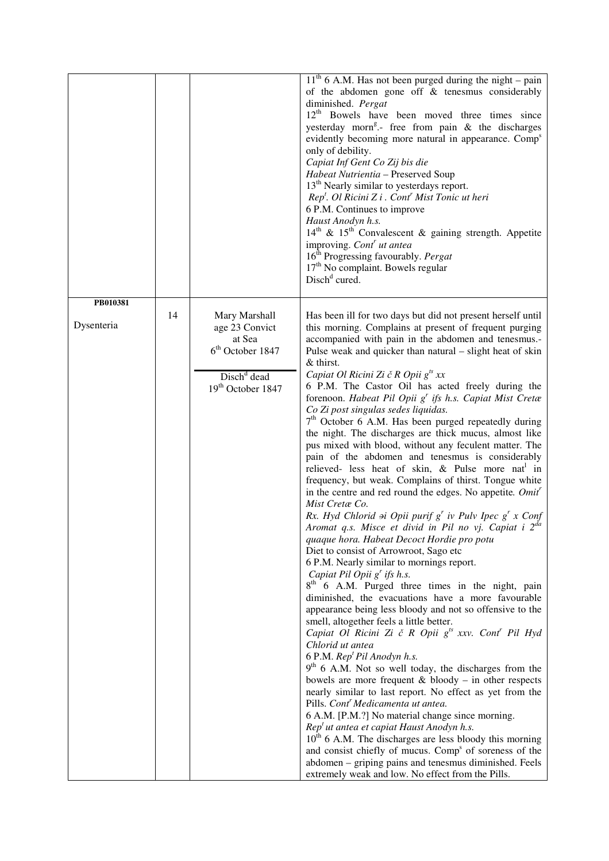|                        |    |                                                                                                                 | $11th$ 6 A.M. Has not been purged during the night – pain<br>of the abdomen gone off & tenesmus considerably<br>diminished. Pergat<br>12 <sup>th</sup> Bowels have been moved three times since<br>yesterday morn <sup>g</sup> .- free from pain & the discharges<br>evidently becoming more natural in appearance. Comp <sup>s</sup><br>only of debility.<br>Capiat Inf Gent Co Zij bis die<br>Habeat Nutrientia - Preserved Soup<br>13 <sup>th</sup> Nearly similar to yesterdays report.<br>$Rept$ . Ol Ricini Z i . Cont' Mist Tonic ut heri<br>6 P.M. Continues to improve<br>Haust Anodyn h.s.<br>$14th$ & $15th$ Convalescent & gaining strength. Appetite<br>improving. Cont' ut antea<br>16 <sup>th</sup> Progressing favourably. Pergat<br>17 <sup>th</sup> No complaint. Bowels regular<br>Disch <sup>d</sup> cured.                                                                                                                                                                                                                                                                                                                                                                                                                                                                                                                                                                                                                                                                                                                                                                                                                                                                                                                                                                                                                                                                                                                                                                                                                                                                                                                                                                                  |
|------------------------|----|-----------------------------------------------------------------------------------------------------------------|------------------------------------------------------------------------------------------------------------------------------------------------------------------------------------------------------------------------------------------------------------------------------------------------------------------------------------------------------------------------------------------------------------------------------------------------------------------------------------------------------------------------------------------------------------------------------------------------------------------------------------------------------------------------------------------------------------------------------------------------------------------------------------------------------------------------------------------------------------------------------------------------------------------------------------------------------------------------------------------------------------------------------------------------------------------------------------------------------------------------------------------------------------------------------------------------------------------------------------------------------------------------------------------------------------------------------------------------------------------------------------------------------------------------------------------------------------------------------------------------------------------------------------------------------------------------------------------------------------------------------------------------------------------------------------------------------------------------------------------------------------------------------------------------------------------------------------------------------------------------------------------------------------------------------------------------------------------------------------------------------------------------------------------------------------------------------------------------------------------------------------------------------------------------------------------------------------------|
| PB010381<br>Dysenteria | 14 | Mary Marshall<br>age 23 Convict<br>at Sea<br>$6th$ October 1847<br>Disch <sup>d</sup> dead<br>19th October 1847 | Has been ill for two days but did not present herself until<br>this morning. Complains at present of frequent purging<br>accompanied with pain in the abdomen and tenesmus.-<br>Pulse weak and quicker than natural – slight heat of skin<br>$&$ thirst.<br>Capiat Ol Ricini Zi č R Opii $g^{ts}$ xx<br>6 P.M. The Castor Oil has acted freely during the<br>forenoon. Habeat Pil Opii g' ifs h.s. Capiat Mist Cretæ<br>Co Zi post singulas sedes liquidas.<br>7 <sup>th</sup> October 6 A.M. Has been purged repeatedly during<br>the night. The discharges are thick mucus, almost like<br>pus mixed with blood, without any feculent matter. The<br>pain of the abdomen and tenesmus is considerably<br>relieved- less heat of skin, & Pulse more nat in<br>frequency, but weak. Complains of thirst. Tongue white<br>in the centre and red round the edges. No appetite. Omit'<br>Mist Cretæ Co.<br>Rx. Hyd Chlorid $\Rightarrow$ i Opii purif $g^r$ iv Pulv Ipec $g^r$ x Conf<br>Aromat q.s. Misce et divid in Pil no vj. Capiat i 2 <sup>da</sup><br>quaque hora. Habeat Decoct Hordie pro potu<br>Diet to consist of Arrowroot, Sago etc<br>6 P.M. Nearly similar to mornings report.<br>Capiat Pil Opii $g^r$ ifs h.s.<br>8 <sup>th</sup><br>6 A.M. Purged three times in the night, pain<br>diminished, the evacuations have a more favourable<br>appearance being less bloody and not so offensive to the<br>smell, altogether feels a little better.<br>Capiat Ol Ricini Zi č R Opii g <sup>ts</sup> xxv. Cont <sup>r</sup> Pil Hyd<br>Chlorid ut antea<br>6 P.M. Rep <sup>t</sup> Pil Anodyn h.s.<br>$9th$ 6 A.M. Not so well today, the discharges from the<br>bowels are more frequent $& bloody - in other$ respects<br>nearly similar to last report. No effect as yet from the<br>Pills. Cont <sup>r</sup> Medicamenta ut antea.<br>6 A.M. [P.M.?] No material change since morning.<br>Rep <sup>t</sup> ut antea et capiat Haust Anodyn h.s.<br>$10th$ 6 A.M. The discharges are less bloody this morning<br>and consist chiefly of mucus. Comp <sup>s</sup> of soreness of the<br>abdomen - griping pains and tenesmus diminished. Feels<br>extremely weak and low. No effect from the Pills. |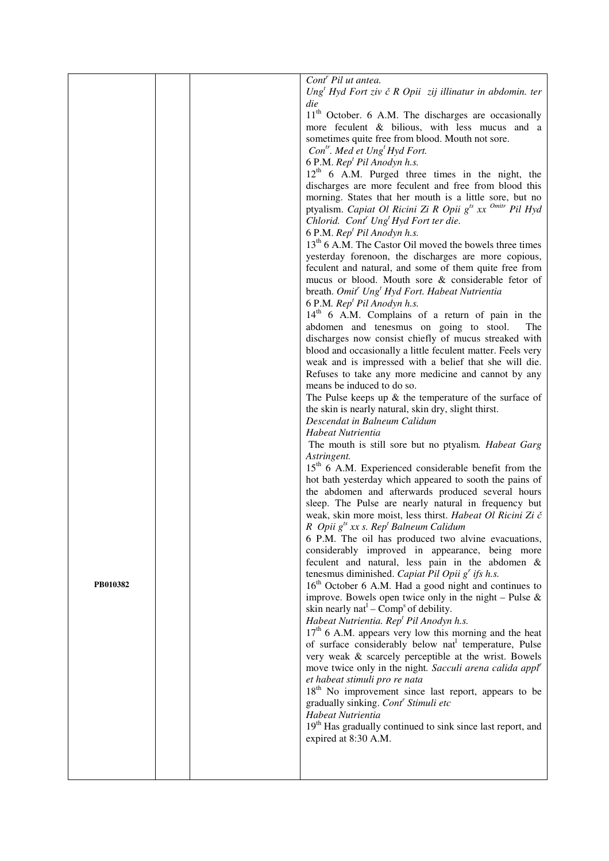|          |  | Cont <sup>r</sup> Pil ut antea.                                                                   |
|----------|--|---------------------------------------------------------------------------------------------------|
|          |  | Ung <sup>t</sup> Hyd Fort ziv č R Opii zij illinatur in abdomin. ter                              |
|          |  | die                                                                                               |
|          |  | 11 <sup>th</sup> October. 6 A.M. The discharges are occasionally                                  |
|          |  | more feculent & bilious, with less mucus and a                                                    |
|          |  | sometimes quite free from blood. Mouth not sore.                                                  |
|          |  | $Con^{tr}$ . Med et Ung <sup>t</sup> Hyd Fort.                                                    |
|          |  | 6 P.M. Rep <sup>t</sup> Pil Anodyn h.s.                                                           |
|          |  | $12th$ 6 A.M. Purged three times in the night, the                                                |
|          |  | discharges are more feculent and free from blood this                                             |
|          |  | morning. States that her mouth is a little sore, but no                                           |
|          |  | ptyalism. Capiat Ol Ricini Zi R Opii g <sup>ts</sup> xx <sup>Omitr</sup> Pil Hyd                  |
|          |  | Chlorid. Cont <sup>r</sup> Ung <sup>t</sup> Hyd Fort ter die.                                     |
|          |  | 6 P.M. Rep <sup>t</sup> Pil Anodyn h.s.                                                           |
|          |  | 13 <sup>th</sup> 6 A.M. The Castor Oil moved the bowels three times                               |
|          |  | yesterday forenoon, the discharges are more copious,                                              |
|          |  | feculent and natural, and some of them quite free from                                            |
|          |  | mucus or blood. Mouth sore & considerable fetor of                                                |
|          |  | breath. Omit <sup>r</sup> Ung <sup>t</sup> Hyd Fort. Habeat Nutrientia                            |
|          |  | 6 P.M. Rep <sup>t</sup> Pil Anodyn h.s.                                                           |
|          |  | 14 <sup>th</sup> 6 A.M. Complains of a return of pain in the                                      |
|          |  | abdomen and tenesmus on going to stool.<br>The                                                    |
|          |  | discharges now consist chiefly of mucus streaked with                                             |
|          |  | blood and occasionally a little feculent matter. Feels very                                       |
|          |  | weak and is impressed with a belief that she will die.                                            |
|          |  | Refuses to take any more medicine and cannot by any                                               |
|          |  | means be induced to do so.                                                                        |
|          |  | The Pulse keeps up $\&$ the temperature of the surface of                                         |
|          |  | the skin is nearly natural, skin dry, slight thirst.                                              |
|          |  | Descendat in Balneum Calidum                                                                      |
|          |  | Habeat Nutrientia                                                                                 |
|          |  | The mouth is still sore but no ptyalism. <i>Habeat Garg</i><br>Astringent.                        |
|          |  | $15th$ 6 A.M. Experienced considerable benefit from the                                           |
|          |  | hot bath yesterday which appeared to sooth the pains of                                           |
|          |  | the abdomen and afterwards produced several hours                                                 |
|          |  | sleep. The Pulse are nearly natural in frequency but                                              |
|          |  | weak, skin more moist, less thirst. Habeat Ol Ricini Zi č                                         |
|          |  | R Opii $g^{ts}$ xx s. Rep <sup>t</sup> Balneum Calidum                                            |
|          |  | 6 P.M. The oil has produced two alvine evacuations,                                               |
|          |  | considerably improved in appearance, being more                                                   |
|          |  | feculent and natural, less pain in the abdomen &                                                  |
|          |  | tenesmus diminished. Capiat Pil Opii $g^r$ ifs h.s.                                               |
| PB010382 |  | 16 <sup>th</sup> October 6 A.M. Had a good night and continues to                                 |
|          |  | improve. Bowels open twice only in the night – Pulse $\&$                                         |
|          |  | skin nearly nat $-$ Comp <sup>s</sup> of debility.                                                |
|          |  | Habeat Nutrientia. Rep <sup>t</sup> Pil Anodyn h.s.                                               |
|          |  | $17th$ 6 A.M. appears very low this morning and the heat                                          |
|          |  | of surface considerably below nat temperature, Pulse                                              |
|          |  | very weak & scarcely perceptible at the wrist. Bowels                                             |
|          |  | move twice only in the night. Sacculi arena calida appl <sup>r</sup>                              |
|          |  | et habeat stimuli pro re nata<br>18 <sup>th</sup> No improvement since last report, appears to be |
|          |  | gradually sinking. Cont <sup>r</sup> Stimuli etc                                                  |
|          |  | Habeat Nutrientia                                                                                 |
|          |  | 19 <sup>th</sup> Has gradually continued to sink since last report, and                           |
|          |  | expired at 8:30 A.M.                                                                              |
|          |  |                                                                                                   |
|          |  |                                                                                                   |
|          |  |                                                                                                   |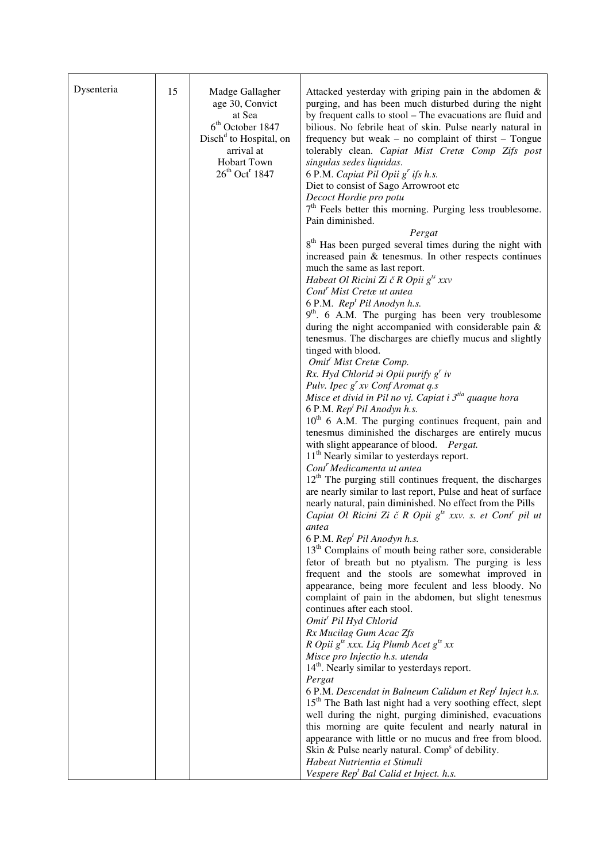| Dysenteria | 15 | Madge Gallagher<br>age 30, Convict<br>at Sea<br>$6th$ October 1847<br>Disch <sup>d</sup> to Hospital, on<br>arrival at<br><b>Hobart Town</b><br>$26^{th}$ Oct <sup>r</sup> 1847 | Attacked yesterday with griping pain in the abdomen &<br>purging, and has been much disturbed during the night<br>by frequent calls to stool – The evacuations are fluid and<br>bilious. No febrile heat of skin. Pulse nearly natural in<br>frequency but weak – no complaint of thirst – Tongue<br>tolerably clean. Capiat Mist Cretæ Comp Zifs post<br>singulas sedes liquidas.<br>6 P.M. Capiat Pil Opii g' ifs h.s.<br>Diet to consist of Sago Arrowroot etc<br>Decoct Hordie pro potu<br>$7th$ Feels better this morning. Purging less troublesome.<br>Pain diminished.<br>Pergat<br>8 <sup>th</sup> Has been purged several times during the night with<br>increased pain & tenesmus. In other respects continues<br>much the same as last report.<br>Habeat Ol Ricini Zi č R Opii $g^{ts}$ xxv<br>Cont <sup>r</sup> Mist Cretæ ut antea<br>6 P.M. Rep <sup>t</sup> Pil Anodyn h.s.<br>$9th$ . 6 A.M. The purging has been very troublesome<br>during the night accompanied with considerable pain &<br>tenesmus. The discharges are chiefly mucus and slightly<br>tinged with blood.<br>Omit <sup>r</sup> Mist Cretæ Comp.<br>Rx. Hyd Chlorid $\partial$ i Opii purify g' iv<br>Pulv. Ipec $g^r xv$ Conf Aromat q.s<br>Misce et divid in Pil no vj. Capiat i 3 <sup>tia</sup> quaque hora<br>6 P.M. Rep <sup>t</sup> Pil Anodyn h.s.<br>$10th$ 6 A.M. The purging continues frequent, pain and<br>tenesmus diminished the discharges are entirely mucus<br>with slight appearance of blood. Pergat.<br>$11th$ Nearly similar to yesterdays report.<br>Cont <sup>r</sup> Medicamenta ut antea<br>$12th$ The purging still continues frequent, the discharges<br>are nearly similar to last report, Pulse and heat of surface<br>nearly natural, pain diminished. No effect from the Pills<br>Capiat Ol Ricini Zi č R Opii g <sup>ts</sup> xxv. s. et Cont <sup>r</sup> pil ut<br>antea<br>6 P.M. Rep <sup>t</sup> Pil Anodyn h.s.<br>13 <sup>th</sup> Complains of mouth being rather sore, considerable<br>fetor of breath but no ptyalism. The purging is less<br>frequent and the stools are somewhat improved in<br>appearance, being more feculent and less bloody. No<br>complaint of pain in the abdomen, but slight tenesmus<br>continues after each stool.<br>Omit <sup>r</sup> Pil Hyd Chlorid<br>Rx Mucilag Gum Acac Zfs<br>R Opii g <sup>ts</sup> xxx. Liq Plumb Acet g <sup>ts</sup> xx |
|------------|----|---------------------------------------------------------------------------------------------------------------------------------------------------------------------------------|-------------------------------------------------------------------------------------------------------------------------------------------------------------------------------------------------------------------------------------------------------------------------------------------------------------------------------------------------------------------------------------------------------------------------------------------------------------------------------------------------------------------------------------------------------------------------------------------------------------------------------------------------------------------------------------------------------------------------------------------------------------------------------------------------------------------------------------------------------------------------------------------------------------------------------------------------------------------------------------------------------------------------------------------------------------------------------------------------------------------------------------------------------------------------------------------------------------------------------------------------------------------------------------------------------------------------------------------------------------------------------------------------------------------------------------------------------------------------------------------------------------------------------------------------------------------------------------------------------------------------------------------------------------------------------------------------------------------------------------------------------------------------------------------------------------------------------------------------------------------------------------------------------------------------------------------------------------------------------------------------------------------------------------------------------------------------------------------------------------------------------------------------------------------------------------------------------------------------------------------------------------------------------------------------------------------------------------------------------------------------------------------------------------|
|            |    |                                                                                                                                                                                 |                                                                                                                                                                                                                                                                                                                                                                                                                                                                                                                                                                                                                                                                                                                                                                                                                                                                                                                                                                                                                                                                                                                                                                                                                                                                                                                                                                                                                                                                                                                                                                                                                                                                                                                                                                                                                                                                                                                                                                                                                                                                                                                                                                                                                                                                                                                                                                                                             |
|            |    |                                                                                                                                                                                 |                                                                                                                                                                                                                                                                                                                                                                                                                                                                                                                                                                                                                                                                                                                                                                                                                                                                                                                                                                                                                                                                                                                                                                                                                                                                                                                                                                                                                                                                                                                                                                                                                                                                                                                                                                                                                                                                                                                                                                                                                                                                                                                                                                                                                                                                                                                                                                                                             |
|            |    |                                                                                                                                                                                 |                                                                                                                                                                                                                                                                                                                                                                                                                                                                                                                                                                                                                                                                                                                                                                                                                                                                                                                                                                                                                                                                                                                                                                                                                                                                                                                                                                                                                                                                                                                                                                                                                                                                                                                                                                                                                                                                                                                                                                                                                                                                                                                                                                                                                                                                                                                                                                                                             |
|            |    |                                                                                                                                                                                 |                                                                                                                                                                                                                                                                                                                                                                                                                                                                                                                                                                                                                                                                                                                                                                                                                                                                                                                                                                                                                                                                                                                                                                                                                                                                                                                                                                                                                                                                                                                                                                                                                                                                                                                                                                                                                                                                                                                                                                                                                                                                                                                                                                                                                                                                                                                                                                                                             |
|            |    |                                                                                                                                                                                 | Misce pro Injectio h.s. utenda<br>14 <sup>th</sup> . Nearly similar to yesterdays report.                                                                                                                                                                                                                                                                                                                                                                                                                                                                                                                                                                                                                                                                                                                                                                                                                                                                                                                                                                                                                                                                                                                                                                                                                                                                                                                                                                                                                                                                                                                                                                                                                                                                                                                                                                                                                                                                                                                                                                                                                                                                                                                                                                                                                                                                                                                   |
|            |    |                                                                                                                                                                                 | Pergat                                                                                                                                                                                                                                                                                                                                                                                                                                                                                                                                                                                                                                                                                                                                                                                                                                                                                                                                                                                                                                                                                                                                                                                                                                                                                                                                                                                                                                                                                                                                                                                                                                                                                                                                                                                                                                                                                                                                                                                                                                                                                                                                                                                                                                                                                                                                                                                                      |
|            |    |                                                                                                                                                                                 | 6 P.M. Descendat in Balneum Calidum et Rep <sup>t</sup> Inject h.s.                                                                                                                                                                                                                                                                                                                                                                                                                                                                                                                                                                                                                                                                                                                                                                                                                                                                                                                                                                                                                                                                                                                                                                                                                                                                                                                                                                                                                                                                                                                                                                                                                                                                                                                                                                                                                                                                                                                                                                                                                                                                                                                                                                                                                                                                                                                                         |
|            |    |                                                                                                                                                                                 | 15 <sup>th</sup> The Bath last night had a very soothing effect, slept                                                                                                                                                                                                                                                                                                                                                                                                                                                                                                                                                                                                                                                                                                                                                                                                                                                                                                                                                                                                                                                                                                                                                                                                                                                                                                                                                                                                                                                                                                                                                                                                                                                                                                                                                                                                                                                                                                                                                                                                                                                                                                                                                                                                                                                                                                                                      |
|            |    |                                                                                                                                                                                 | well during the night, purging diminished, evacuations                                                                                                                                                                                                                                                                                                                                                                                                                                                                                                                                                                                                                                                                                                                                                                                                                                                                                                                                                                                                                                                                                                                                                                                                                                                                                                                                                                                                                                                                                                                                                                                                                                                                                                                                                                                                                                                                                                                                                                                                                                                                                                                                                                                                                                                                                                                                                      |
|            |    |                                                                                                                                                                                 | this morning are quite feculent and nearly natural in<br>appearance with little or no mucus and free from blood.                                                                                                                                                                                                                                                                                                                                                                                                                                                                                                                                                                                                                                                                                                                                                                                                                                                                                                                                                                                                                                                                                                                                                                                                                                                                                                                                                                                                                                                                                                                                                                                                                                                                                                                                                                                                                                                                                                                                                                                                                                                                                                                                                                                                                                                                                            |
|            |    |                                                                                                                                                                                 | Skin & Pulse nearly natural. Comp <sup>s</sup> of debility.                                                                                                                                                                                                                                                                                                                                                                                                                                                                                                                                                                                                                                                                                                                                                                                                                                                                                                                                                                                                                                                                                                                                                                                                                                                                                                                                                                                                                                                                                                                                                                                                                                                                                                                                                                                                                                                                                                                                                                                                                                                                                                                                                                                                                                                                                                                                                 |
|            |    |                                                                                                                                                                                 | Habeat Nutrientia et Stimuli                                                                                                                                                                                                                                                                                                                                                                                                                                                                                                                                                                                                                                                                                                                                                                                                                                                                                                                                                                                                                                                                                                                                                                                                                                                                                                                                                                                                                                                                                                                                                                                                                                                                                                                                                                                                                                                                                                                                                                                                                                                                                                                                                                                                                                                                                                                                                                                |
|            |    |                                                                                                                                                                                 | Vespere Rep <sup>t</sup> Bal Calid et Inject. h.s.                                                                                                                                                                                                                                                                                                                                                                                                                                                                                                                                                                                                                                                                                                                                                                                                                                                                                                                                                                                                                                                                                                                                                                                                                                                                                                                                                                                                                                                                                                                                                                                                                                                                                                                                                                                                                                                                                                                                                                                                                                                                                                                                                                                                                                                                                                                                                          |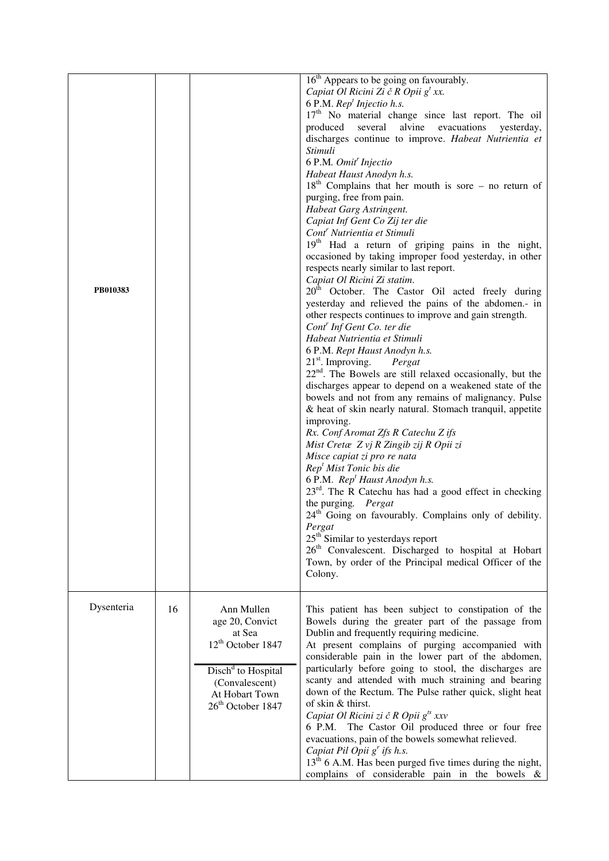| PB010383   |    |                                                                                                                                                                                 | $16th$ Appears to be going on favourably.<br>Capiat Ol Ricini Zi č R Opii $g^t$ xx.<br>6 P.M. Rep <sup>t</sup> Injectio h.s.<br>17 <sup>th</sup> No material change since last report. The oil<br>produced several alvine evacuations<br>yesterday,<br>discharges continue to improve. Habeat Nutrientia et<br>Stimuli<br>6 P.M. Omit' Injectio<br>Habeat Haust Anodyn h.s.<br>$18th$ Complains that her mouth is sore – no return of<br>purging, free from pain.<br>Habeat Garg Astringent.<br>Capiat Inf Gent Co Zij ter die<br>Cont <sup>r</sup> Nutrientia et Stimuli<br>19 <sup>th</sup> Had a return of griping pains in the night,<br>occasioned by taking improper food yesterday, in other<br>respects nearly similar to last report.<br>Capiat Ol Ricini Zi statim.<br>20 <sup>th</sup> October. The Castor Oil acted freely during<br>yesterday and relieved the pains of the abdomen.- in<br>other respects continues to improve and gain strength.<br>Cont <sup>r</sup> Inf Gent Co. ter die<br>Habeat Nutrientia et Stimuli<br>6 P.M. Rept Haust Anodyn h.s.<br>$21st$ . Improving.<br>Pergat<br>$22nd$ . The Bowels are still relaxed occasionally, but the<br>discharges appear to depend on a weakened state of the<br>bowels and not from any remains of malignancy. Pulse<br>& heat of skin nearly natural. Stomach tranquil, appetite<br>improving.<br>Rx. Conf Aromat Zfs R Catechu Z ifs<br>Mist Cretæ Z vj R Zingib zij R Opii zi<br>Misce capiat zi pro re nata<br>Rep <sup>t</sup> Mist Tonic bis die<br>6 P.M. Rep <sup>t</sup> Haust Anodyn h.s.<br>23 <sup>rd</sup> . The R Catechu has had a good effect in checking<br>the purging. Pergat<br>24 <sup>th</sup> Going on favourably. Complains only of debility.<br>Pergat<br>25 <sup>th</sup> Similar to yesterdays report<br>26 <sup>th</sup> Convalescent. Discharged to hospital at Hobart<br>Town, by order of the Principal medical Officer of the<br>Colony. |
|------------|----|---------------------------------------------------------------------------------------------------------------------------------------------------------------------------------|--------------------------------------------------------------------------------------------------------------------------------------------------------------------------------------------------------------------------------------------------------------------------------------------------------------------------------------------------------------------------------------------------------------------------------------------------------------------------------------------------------------------------------------------------------------------------------------------------------------------------------------------------------------------------------------------------------------------------------------------------------------------------------------------------------------------------------------------------------------------------------------------------------------------------------------------------------------------------------------------------------------------------------------------------------------------------------------------------------------------------------------------------------------------------------------------------------------------------------------------------------------------------------------------------------------------------------------------------------------------------------------------------------------------------------------------------------------------------------------------------------------------------------------------------------------------------------------------------------------------------------------------------------------------------------------------------------------------------------------------------------------------------------------------------------------------------------------------------------------------------------------------------------------------------------------------------|
| Dysenteria | 16 | Ann Mullen<br>age 20, Convict<br>at Sea<br>12 <sup>th</sup> October 1847<br>Disch <sup>d</sup> to Hospital<br>(Convalescent)<br>At Hobart Town<br>26 <sup>th</sup> October 1847 | This patient has been subject to constipation of the<br>Bowels during the greater part of the passage from<br>Dublin and frequently requiring medicine.<br>At present complains of purging accompanied with<br>considerable pain in the lower part of the abdomen,<br>particularly before going to stool, the discharges are<br>scanty and attended with much straining and bearing<br>down of the Rectum. The Pulse rather quick, slight heat<br>of skin & thirst.<br>Capiat Ol Ricini zi č R Opii $g^{ts}$ xxv<br>6 P.M.<br>The Castor Oil produced three or four free<br>evacuations, pain of the bowels somewhat relieved.<br>Capiat Pil Opii $gr$ ifs h.s.<br>$13th$ 6 A.M. Has been purged five times during the night,<br>complains of considerable pain in the bowels $\&$                                                                                                                                                                                                                                                                                                                                                                                                                                                                                                                                                                                                                                                                                                                                                                                                                                                                                                                                                                                                                                                                                                                                                               |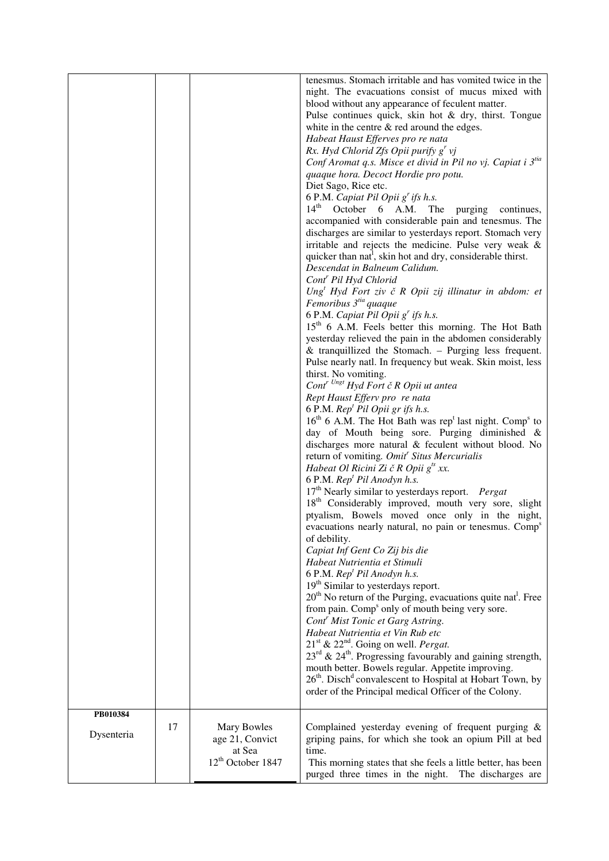|            |    |                                                                           | tenesmus. Stomach irritable and has vomited twice in the<br>night. The evacuations consist of mucus mixed with<br>blood without any appearance of feculent matter.<br>Pulse continues quick, skin hot & dry, thirst. Tongue<br>white in the centre $\&$ red around the edges.<br>Habeat Haust Efferves pro re nata<br>Rx. Hyd Chlorid Zfs Opii purify $gr$ vj<br>Conf Aromat q.s. Misce et divid in Pil no vj. Capiat i 3tia<br>quaque hora. Decoct Hordie pro potu.<br>Diet Sago, Rice etc.<br>6 P.M. Capiat Pil Opii g' ifs h.s.<br>$14th$ October 6 A.M.<br>The<br>purging continues,<br>accompanied with considerable pain and tenesmus. The<br>discharges are similar to yesterdays report. Stomach very<br>irritable and rejects the medicine. Pulse very weak &<br>quicker than nat <sup>1</sup> , skin hot and dry, considerable thirst.<br>Descendat in Balneum Calidum.<br>Cont <sup>r</sup> Pil Hyd Chlorid<br>$Ungt Hyd Fort ziv č R Opii zij illinatur in abdom: et$<br>Femoribus 3 <sup>tia</sup> quaque<br>6 P.M. Capiat Pil Opii g' ifs h.s.<br>15 <sup>th</sup> 6 A.M. Feels better this morning. The Hot Bath<br>yesterday relieved the pain in the abdomen considerably<br>$&$ tranquillized the Stomach. – Purging less frequent.<br>Pulse nearly natl. In frequency but weak. Skin moist, less<br>thirst. No vomiting.<br>$Contr Ungt Hyd Fort \ \zeta R$ Opii ut antea<br>Rept Haust Efferv pro re nata<br>6 P.M. $Rept Pil Opii gr if s h.s.$<br>$16th$ 6 A.M. The Hot Bath was rep <sup>t</sup> last night. Comp <sup>s</sup> to<br>day of Mouth being sore. Purging diminished &<br>discharges more natural & feculent without blood. No<br>return of vomiting. Omit <sup>r</sup> Situs Mercurialis<br>Habeat Ol Ricini Zi č R Opii $g^{ts}$ xx.<br>6 P.M. Rep <sup>t</sup> Pil Anodyn h.s.<br>$17th$ Nearly similar to yesterdays report. <i>Pergat</i><br>18 <sup>th</sup> Considerably improved, mouth very sore, slight<br>ptyalism, Bowels moved once only in the night,<br>evacuations nearly natural, no pain or tenesmus. Comp <sup>s</sup><br>of debility.<br>Capiat Inf Gent Co Zij bis die<br>Habeat Nutrientia et Stimuli<br>6 P.M. Rep <sup>t</sup> Pil Anodyn h.s.<br>19 <sup>th</sup> Similar to yesterdays report.<br>$20th$ No return of the Purging, evacuations quite nat. Free<br>from pain. Comp <sup>s</sup> only of mouth being very sore.<br>Cont <sup>r</sup> Mist Tonic et Garg Astring.<br>Habeat Nutrientia et Vin Rub etc<br>$21st$ & $22nd$ . Going on well. <i>Pergat</i> .<br>$23^{\text{rd}}$ & $24^{\text{th}}$ . Progressing favourably and gaining strength,<br>mouth better. Bowels regular. Appetite improving.<br>$26th$ . Disch <sup>d</sup> convalescent to Hospital at Hobart Town, by<br>order of the Principal medical Officer of the Colony. |
|------------|----|---------------------------------------------------------------------------|--------------------------------------------------------------------------------------------------------------------------------------------------------------------------------------------------------------------------------------------------------------------------------------------------------------------------------------------------------------------------------------------------------------------------------------------------------------------------------------------------------------------------------------------------------------------------------------------------------------------------------------------------------------------------------------------------------------------------------------------------------------------------------------------------------------------------------------------------------------------------------------------------------------------------------------------------------------------------------------------------------------------------------------------------------------------------------------------------------------------------------------------------------------------------------------------------------------------------------------------------------------------------------------------------------------------------------------------------------------------------------------------------------------------------------------------------------------------------------------------------------------------------------------------------------------------------------------------------------------------------------------------------------------------------------------------------------------------------------------------------------------------------------------------------------------------------------------------------------------------------------------------------------------------------------------------------------------------------------------------------------------------------------------------------------------------------------------------------------------------------------------------------------------------------------------------------------------------------------------------------------------------------------------------------------------------------------------------------------------------------------------------------------------------------------------------------------------------------------------------------------------------------------------------------------------------------------------------------------------------------------------------------------------------------------------------------------------------------------------------------------------------------------------------------------------------|
| PB010384   |    |                                                                           |                                                                                                                                                                                                                                                                                                                                                                                                                                                                                                                                                                                                                                                                                                                                                                                                                                                                                                                                                                                                                                                                                                                                                                                                                                                                                                                                                                                                                                                                                                                                                                                                                                                                                                                                                                                                                                                                                                                                                                                                                                                                                                                                                                                                                                                                                                                                                                                                                                                                                                                                                                                                                                                                                                                                                                                                                    |
| Dysenteria | 17 | Mary Bowles<br>age 21, Convict<br>at Sea<br>12 <sup>th</sup> October 1847 | Complained yesterday evening of frequent purging &<br>griping pains, for which she took an opium Pill at bed<br>time.<br>This morning states that she feels a little better, has been<br>purged three times in the night. The discharges are                                                                                                                                                                                                                                                                                                                                                                                                                                                                                                                                                                                                                                                                                                                                                                                                                                                                                                                                                                                                                                                                                                                                                                                                                                                                                                                                                                                                                                                                                                                                                                                                                                                                                                                                                                                                                                                                                                                                                                                                                                                                                                                                                                                                                                                                                                                                                                                                                                                                                                                                                                       |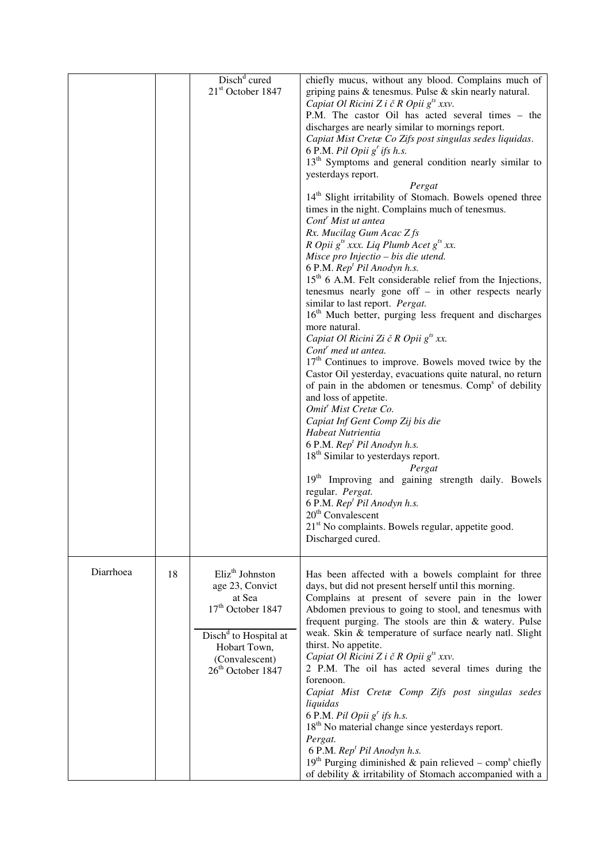|           |    | Disch <sup>d</sup> cured                                                                                                                                                                          | chiefly mucus, without any blood. Complains much of                                                                                                                                                                                                                                                                                                                                                                                                                                                                                                                                                                                                                                                                                                                                                                                                                                                                                                                                                                                                                                                                                                                                                                                                                                                                                                                                                                                                                                                                                                                                                                                                                                                                                                             |
|-----------|----|---------------------------------------------------------------------------------------------------------------------------------------------------------------------------------------------------|-----------------------------------------------------------------------------------------------------------------------------------------------------------------------------------------------------------------------------------------------------------------------------------------------------------------------------------------------------------------------------------------------------------------------------------------------------------------------------------------------------------------------------------------------------------------------------------------------------------------------------------------------------------------------------------------------------------------------------------------------------------------------------------------------------------------------------------------------------------------------------------------------------------------------------------------------------------------------------------------------------------------------------------------------------------------------------------------------------------------------------------------------------------------------------------------------------------------------------------------------------------------------------------------------------------------------------------------------------------------------------------------------------------------------------------------------------------------------------------------------------------------------------------------------------------------------------------------------------------------------------------------------------------------------------------------------------------------------------------------------------------------|
|           |    | $21st$ October 1847                                                                                                                                                                               | griping pains $\&$ tenesmus. Pulse $\&$ skin nearly natural.<br>Capiat Ol Ricini Z i č R Opii $g^{ts}$ xxv.<br>P.M. The castor Oil has acted several times - the<br>discharges are nearly similar to mornings report.<br>Capiat Mist Cretæ Co Zifs post singulas sedes liquidas.<br>6 P.M. Pil Opii g' ifs h.s.<br>13 <sup>th</sup> Symptoms and general condition nearly similar to<br>yesterdays report.<br>Pergat<br>14 <sup>th</sup> Slight irritability of Stomach. Bowels opened three<br>times in the night. Complains much of tenesmus.<br>Cont <sup>r</sup> Mist ut antea<br>Rx. Mucilag Gum Acac Zfs<br>R Opii $g^{ts}$ xxx. Liq Plumb Acet $g^{ts}$ xx.<br>Misce pro Injectio - bis die utend.<br>6 P.M. Rep <sup>t</sup> Pil Anodyn h.s.<br>$15th$ 6 A.M. Felt considerable relief from the Injections,<br>tenesmus nearly gone off $-$ in other respects nearly<br>similar to last report. Pergat.<br>16 <sup>th</sup> Much better, purging less frequent and discharges<br>more natural.<br>Capiat Ol Ricini Zi č R Opii $g^{ts}$ xx.<br>Cont <sup>r</sup> med ut antea.<br>$17th$ Continues to improve. Bowels moved twice by the<br>Castor Oil yesterday, evacuations quite natural, no return<br>of pain in the abdomen or tenesmus. Comp <sup>s</sup> of debility<br>and loss of appetite.<br>Omit <sup>'</sup> Mist Cretae Co.<br>Capiat Inf Gent Comp Zij bis die<br>Habeat Nutrientia<br>6 P.M. Rep <sup>t</sup> Pil Anodyn h.s.<br>18 <sup>th</sup> Similar to yesterdays report.<br>Pergat<br>19 <sup>th</sup> Improving and gaining strength daily. Bowels<br>regular. Pergat.<br>6 P.M. Rep <sup>t</sup> Pil Anodyn h.s.<br>$20th$ Convalescent<br>21 <sup>st</sup> No complaints. Bowels regular, appetite good.<br>Discharged cured. |
| Diarrhoea | 18 | Eliz <sup>th</sup> Johnston<br>age 23, Convict<br>at Sea<br>17 <sup>th</sup> October 1847<br>Disch <sup>d</sup> to Hospital at<br>Hobart Town,<br>(Convalescent)<br>26 <sup>th</sup> October 1847 | Has been affected with a bowels complaint for three<br>days, but did not present herself until this morning.<br>Complains at present of severe pain in the lower<br>Abdomen previous to going to stool, and tenesmus with<br>frequent purging. The stools are thin & watery. Pulse<br>weak. Skin & temperature of surface nearly natl. Slight<br>thirst. No appetite.<br>Capiat Ol Ricini Z i č R Opii $g^{ts}$ xxv.<br>2 P.M. The oil has acted several times during the<br>forenoon.<br>Capiat Mist Cretæ Comp Zifs post singulas sedes<br>liquidas<br>6 P.M. Pil Opii $g^r$ ifs h.s.<br>$18th$ No material change since yesterdays report.<br>Pergat.<br>6 P.M. Rep <sup>t</sup> Pil Anodyn h.s.<br>$19th$ Purging diminished & pain relieved – comp <sup>s</sup> chiefly<br>of debility & irritability of Stomach accompanied with a                                                                                                                                                                                                                                                                                                                                                                                                                                                                                                                                                                                                                                                                                                                                                                                                                                                                                                                        |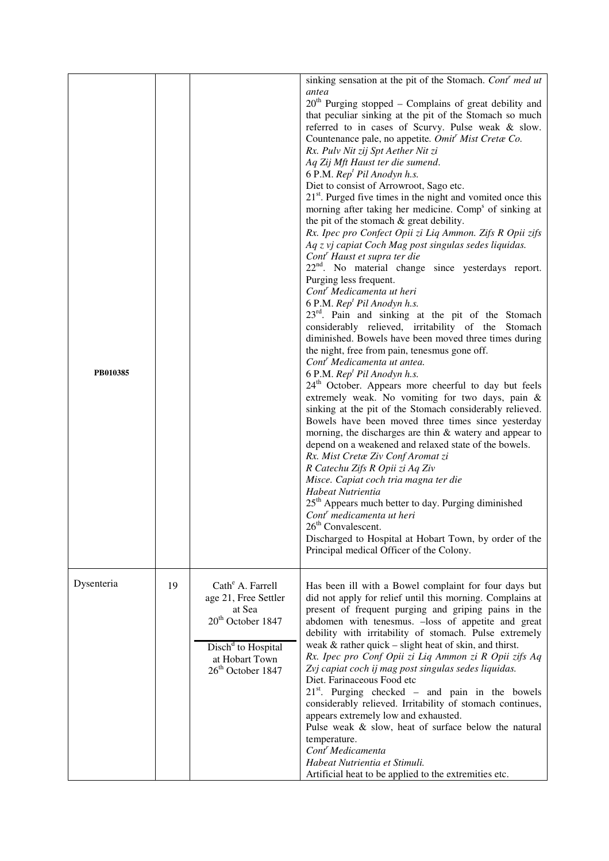| PB010385   |    |                                                                                                                                                                                      | sinking sensation at the pit of the Stomach. Cont <sup>r</sup> med ut<br>antea<br>$20th$ Purging stopped – Complains of great debility and<br>that peculiar sinking at the pit of the Stomach so much<br>referred to in cases of Scurvy. Pulse weak & slow.<br>Countenance pale, no appetite. Omit' Mist Cretæ Co.<br>Rx. Pulv Nit zij Spt Aether Nit zi<br>Aq Zij Mft Haust ter die sumend.<br>6 P.M. Rep <sup>t</sup> Pil Anodyn h.s.<br>Diet to consist of Arrowroot, Sago etc.<br>$21st$ . Purged five times in the night and vomited once this<br>morning after taking her medicine. Comp <sup>s</sup> of sinking at<br>the pit of the stomach & great debility.<br>Rx. Ipec pro Confect Opii zi Liq Ammon. Zifs R Opii zifs<br>Aq z vj capiat Coch Mag post singulas sedes liquidas.<br>Cont <sup>r</sup> Haust et supra ter die<br>$22nd$ . No material change since yesterdays report.<br>Purging less frequent.<br>Cont <sup>r</sup> Medicamenta ut heri<br>6 P.M. Rep <sup>t</sup> Pil Anodyn h.s.<br>23 <sup>rd</sup> . Pain and sinking at the pit of the Stomach<br>considerably relieved, irritability of the Stomach<br>diminished. Bowels have been moved three times during<br>the night, free from pain, tenesmus gone off.<br>Cont <sup>'</sup> Medicamenta ut antea.<br>6 P.M. Rep <sup>t</sup> Pil Anodyn h.s.<br>24 <sup>th</sup> October. Appears more cheerful to day but feels<br>extremely weak. No vomiting for two days, pain &<br>sinking at the pit of the Stomach considerably relieved.<br>Bowels have been moved three times since yesterday<br>morning, the discharges are thin $\&$ watery and appear to<br>depend on a weakened and relaxed state of the bowels.<br>Rx. Mist Cretæ Ziv Conf Aromat zi<br>R Catechu Zifs R Opii zi Aq Ziv<br>Misce. Capiat coch tria magna ter die<br>Habeat Nutrientia<br>25 <sup>th</sup> Appears much better to day. Purging diminished<br>Cont <sup>r</sup> medicamenta ut heri<br>$26th$ Convalescent.<br>Discharged to Hospital at Hobart Town, by order of the<br>Principal medical Officer of the Colony. |
|------------|----|--------------------------------------------------------------------------------------------------------------------------------------------------------------------------------------|--------------------------------------------------------------------------------------------------------------------------------------------------------------------------------------------------------------------------------------------------------------------------------------------------------------------------------------------------------------------------------------------------------------------------------------------------------------------------------------------------------------------------------------------------------------------------------------------------------------------------------------------------------------------------------------------------------------------------------------------------------------------------------------------------------------------------------------------------------------------------------------------------------------------------------------------------------------------------------------------------------------------------------------------------------------------------------------------------------------------------------------------------------------------------------------------------------------------------------------------------------------------------------------------------------------------------------------------------------------------------------------------------------------------------------------------------------------------------------------------------------------------------------------------------------------------------------------------------------------------------------------------------------------------------------------------------------------------------------------------------------------------------------------------------------------------------------------------------------------------------------------------------------------------------------------------------------------------------------------------------------------------------------------------------------------------------------------|
| Dysenteria | 19 | Cath <sup>e</sup> A. Farrell<br>age 21, Free Settler<br>at Sea<br>20 <sup>th</sup> October 1847<br>Disch <sup>d</sup> to Hospital<br>at Hobart Town<br>26 <sup>th</sup> October 1847 | Has been ill with a Bowel complaint for four days but<br>did not apply for relief until this morning. Complains at<br>present of frequent purging and griping pains in the<br>abdomen with tenesmus. - loss of appetite and great<br>debility with irritability of stomach. Pulse extremely<br>weak $&$ rather quick – slight heat of skin, and thirst.<br>Rx. Ipec pro Conf Opii zi Liq Ammon zi R Opii zifs Aq<br>Zvj capiat coch ij mag post singulas sedes liquidas.<br>Diet. Farinaceous Food etc<br>$21st$ . Purging checked – and pain in the bowels<br>considerably relieved. Irritability of stomach continues,<br>appears extremely low and exhausted.<br>Pulse weak & slow, heat of surface below the natural<br>temperature.<br>Cont <sup>r</sup> Medicamenta<br>Habeat Nutrientia et Stimuli.<br>Artificial heat to be applied to the extremities etc.                                                                                                                                                                                                                                                                                                                                                                                                                                                                                                                                                                                                                                                                                                                                                                                                                                                                                                                                                                                                                                                                                                                                                                                                                  |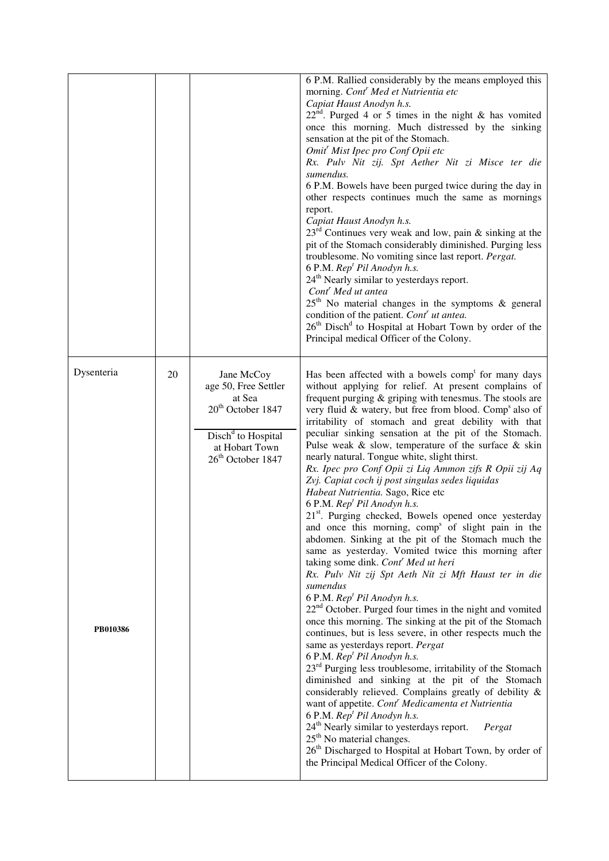|                        |    |                                                                                                                                                                    | 6 P.M. Rallied considerably by the means employed this<br>morning. Cont <sup>r</sup> Med et Nutrientia etc<br>Capiat Haust Anodyn h.s.<br>$22nd$ . Purged 4 or 5 times in the night & has vomited<br>once this morning. Much distressed by the sinking<br>sensation at the pit of the Stomach.<br>Omit <sup>r</sup> Mist Ipec pro Conf Opii etc<br>Rx. Pulv Nit zij. Spt Aether Nit zi Misce ter die<br>sumendus.<br>6 P.M. Bowels have been purged twice during the day in<br>other respects continues much the same as mornings<br>report.<br>Capiat Haust Anodyn h.s.<br>$23rd$ Continues very weak and low, pain & sinking at the<br>pit of the Stomach considerably diminished. Purging less<br>troublesome. No vomiting since last report. Pergat.<br>6 P.M. Rep <sup>t</sup> Pil Anodyn h.s.<br>24 <sup>th</sup> Nearly similar to yesterdays report.<br>Cont <sup>r</sup> Med ut antea<br>$25th$ No material changes in the symptoms & general<br>condition of the patient. Cont <sup>r</sup> ut antea.<br>26 <sup>th</sup> Disch <sup>d</sup> to Hospital at Hobart Town by order of the<br>Principal medical Officer of the Colony.                                                                                                                                                                                                                                                                                                                                                                                                                                                                                                                                                                                                                                                                                                                                                             |
|------------------------|----|--------------------------------------------------------------------------------------------------------------------------------------------------------------------|-----------------------------------------------------------------------------------------------------------------------------------------------------------------------------------------------------------------------------------------------------------------------------------------------------------------------------------------------------------------------------------------------------------------------------------------------------------------------------------------------------------------------------------------------------------------------------------------------------------------------------------------------------------------------------------------------------------------------------------------------------------------------------------------------------------------------------------------------------------------------------------------------------------------------------------------------------------------------------------------------------------------------------------------------------------------------------------------------------------------------------------------------------------------------------------------------------------------------------------------------------------------------------------------------------------------------------------------------------------------------------------------------------------------------------------------------------------------------------------------------------------------------------------------------------------------------------------------------------------------------------------------------------------------------------------------------------------------------------------------------------------------------------------------------------------------------------------------------------------------------------------------------------------|
| Dysenteria<br>PB010386 | 20 | Jane McCoy<br>age 50, Free Settler<br>at Sea<br>20 <sup>th</sup> October 1847<br>Disch <sup>d</sup> to Hospital<br>at Hobart Town<br>26 <sup>th</sup> October 1847 | Has been affected with a bowels comp <sup>t</sup> for many days<br>without applying for relief. At present complains of<br>frequent purging $\&$ griping with tenesmus. The stools are<br>very fluid & watery, but free from blood. Comp <sup>s</sup> also of<br>irritability of stomach and great debility with that<br>peculiar sinking sensation at the pit of the Stomach.<br>Pulse weak $\&$ slow, temperature of the surface $\&$ skin<br>nearly natural. Tongue white, slight thirst.<br>Rx. Ipec pro Conf Opii zi Liq Ammon zifs R Opii zij Aq<br>Zvj. Capiat coch ij post singulas sedes liquidas<br>Habeat Nutrientia. Sago, Rice etc<br>6 P.M. Rep <sup>t</sup> Pil Anodyn h.s.<br>21 <sup>st</sup> . Purging checked, Bowels opened once yesterday<br>and once this morning, comp <sup>s</sup> of slight pain in the<br>abdomen. Sinking at the pit of the Stomach much the<br>same as yesterday. Vomited twice this morning after<br>taking some dink. Cont' Med ut heri<br>Rx. Pulv Nit zij Spt Aeth Nit zi Mft Haust ter in die<br>sumendus<br>6 P.M. Rep <sup>t</sup> Pil Anodyn h.s.<br>22 <sup>nd</sup> October. Purged four times in the night and vomited<br>once this morning. The sinking at the pit of the Stomach<br>continues, but is less severe, in other respects much the<br>same as yesterdays report. Pergat<br>6 P.M. Rep <sup>t</sup> Pil Anodyn h.s.<br>$23rd$ Purging less troublesome, irritability of the Stomach<br>diminished and sinking at the pit of the Stomach<br>considerably relieved. Complains greatly of debility &<br>want of appetite. Cont <sup>'</sup> Medicamenta et Nutrientia<br>6 P.M. Rep <sup>t</sup> Pil Anodyn h.s.<br>24 <sup>th</sup> Nearly similar to yesterdays report.<br>Pergat<br>$25th$ No material changes.<br>26 <sup>th</sup> Discharged to Hospital at Hobart Town, by order of<br>the Principal Medical Officer of the Colony. |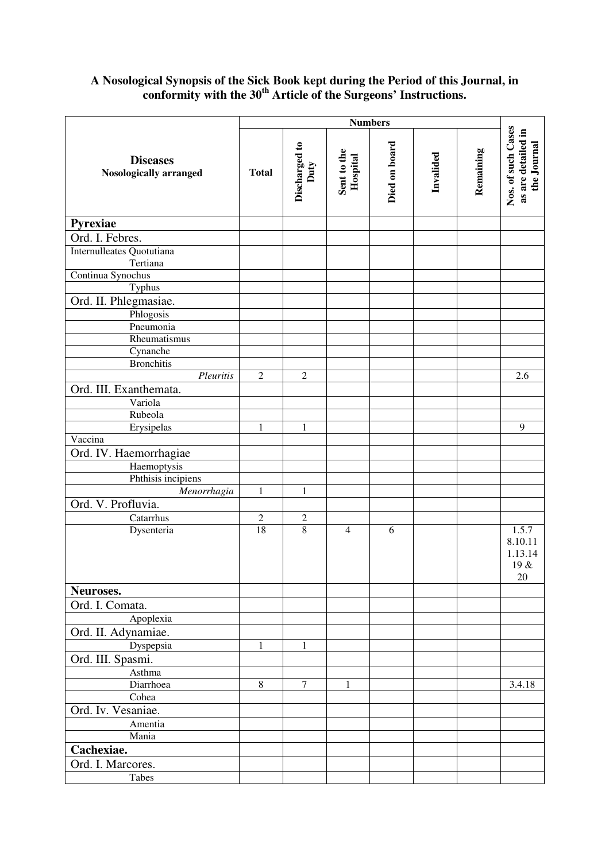#### **A Nosological Synopsis of the Sick Book kept during the Period of this Journal, in conformity with the 30th Article of the Surgeons' Instructions.**

|                                           | <b>Numbers</b> |                       |                         |               |           |           |                                                         |
|-------------------------------------------|----------------|-----------------------|-------------------------|---------------|-----------|-----------|---------------------------------------------------------|
| <b>Diseases</b><br>Nosologically arranged | <b>Total</b>   | Discharged to<br>Duty | Sent to the<br>Hospital | Died on board | Invalided | Remaining | Nos. of such Cases<br>as are detailed in<br>the Journal |
| <b>Pyrexiae</b>                           |                |                       |                         |               |           |           |                                                         |
| Ord. I. Febres.                           |                |                       |                         |               |           |           |                                                         |
| Internulleates Quotutiana<br>Tertiana     |                |                       |                         |               |           |           |                                                         |
| Continua Synochus                         |                |                       |                         |               |           |           |                                                         |
| Typhus                                    |                |                       |                         |               |           |           |                                                         |
| Ord. II. Phlegmasiae.                     |                |                       |                         |               |           |           |                                                         |
| Phlogosis                                 |                |                       |                         |               |           |           |                                                         |
| Pneumonia                                 |                |                       |                         |               |           |           |                                                         |
| Rheumatismus                              |                |                       |                         |               |           |           |                                                         |
| Cynanche<br><b>Bronchitis</b>             |                |                       |                         |               |           |           |                                                         |
| Pleuritis                                 | $\overline{2}$ | $\boldsymbol{2}$      |                         |               |           |           | 2.6                                                     |
| Ord. III. Exanthemata.                    |                |                       |                         |               |           |           |                                                         |
| Variola                                   |                |                       |                         |               |           |           |                                                         |
| Rubeola                                   |                |                       |                         |               |           |           |                                                         |
| Erysipelas                                | 1              | 1                     |                         |               |           |           | 9                                                       |
| Vaccina                                   |                |                       |                         |               |           |           |                                                         |
| Ord. IV. Haemorrhagiae                    |                |                       |                         |               |           |           |                                                         |
| Haemoptysis                               |                |                       |                         |               |           |           |                                                         |
| Phthisis incipiens                        |                |                       |                         |               |           |           |                                                         |
| Menorrhagia                               | 1              | $\mathbf{1}$          |                         |               |           |           |                                                         |
| Ord. V. Profluvia.                        |                |                       |                         |               |           |           |                                                         |
| Catarrhus                                 | $\overline{c}$ | $\overline{c}$        |                         |               |           |           |                                                         |
| Dysenteria                                | 18             | $\overline{8}$        | $\overline{4}$          | 6             |           |           | 1.5.7<br>8.10.11<br>1.13.14<br>19 &<br>20               |
| Neuroses.                                 |                |                       |                         |               |           |           |                                                         |
| Ord. I. Comata.                           |                |                       |                         |               |           |           |                                                         |
| Apoplexia                                 |                |                       |                         |               |           |           |                                                         |
| Ord. II. Adynamiae.                       |                |                       |                         |               |           |           |                                                         |
| Dyspepsia                                 | $\mathbf{1}$   | $\mathbf{1}$          |                         |               |           |           |                                                         |
| Ord. III. Spasmi.                         |                |                       |                         |               |           |           |                                                         |
| Asthma                                    |                |                       |                         |               |           |           |                                                         |
| Diarrhoea                                 | $\,8\,$        | $\tau$                | $\mathbf{1}$            |               |           |           | 3.4.18                                                  |
| Cohea                                     |                |                       |                         |               |           |           |                                                         |
| Ord. Iv. Vesaniae.                        |                |                       |                         |               |           |           |                                                         |
| Amentia                                   |                |                       |                         |               |           |           |                                                         |
| Mania                                     |                |                       |                         |               |           |           |                                                         |
| Cachexiae.                                |                |                       |                         |               |           |           |                                                         |
| Ord. I. Marcores.                         |                |                       |                         |               |           |           |                                                         |
| Tabes                                     |                |                       |                         |               |           |           |                                                         |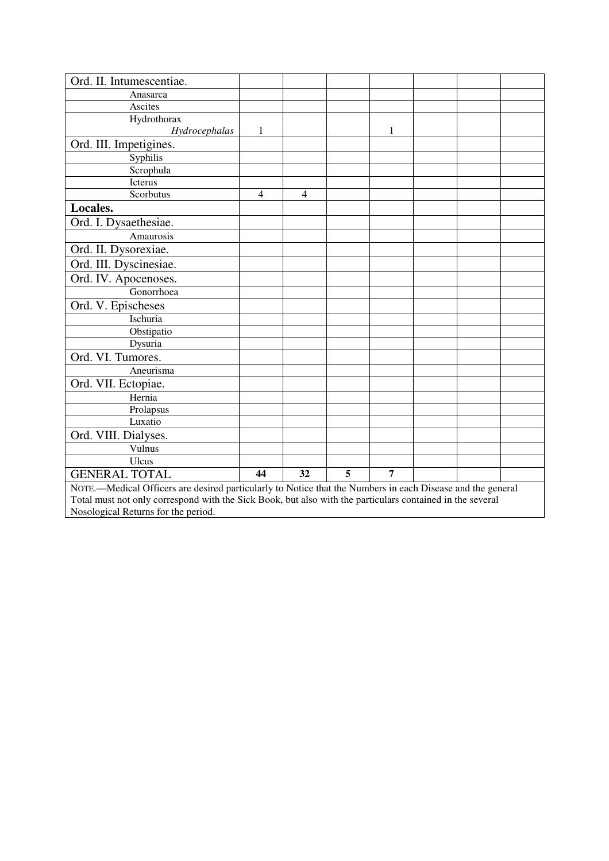| Ord. II. Intumescentiae.                                                                                   |                |                |   |                |  |  |  |
|------------------------------------------------------------------------------------------------------------|----------------|----------------|---|----------------|--|--|--|
| Anasarca                                                                                                   |                |                |   |                |  |  |  |
| Ascites                                                                                                    |                |                |   |                |  |  |  |
| Hydrothorax                                                                                                |                |                |   |                |  |  |  |
| Hydrocephalas                                                                                              | $\mathbf{1}$   |                |   | 1              |  |  |  |
| Ord. III. Impetigines.                                                                                     |                |                |   |                |  |  |  |
| Syphilis                                                                                                   |                |                |   |                |  |  |  |
| Scrophula                                                                                                  |                |                |   |                |  |  |  |
| Icterus                                                                                                    |                |                |   |                |  |  |  |
| Scorbutus                                                                                                  | $\overline{4}$ | $\overline{4}$ |   |                |  |  |  |
| Locales.                                                                                                   |                |                |   |                |  |  |  |
| Ord. I. Dysaethesiae.                                                                                      |                |                |   |                |  |  |  |
| Amaurosis                                                                                                  |                |                |   |                |  |  |  |
| Ord. II. Dysorexiae.                                                                                       |                |                |   |                |  |  |  |
| Ord. III. Dyscinesiae.                                                                                     |                |                |   |                |  |  |  |
| Ord. IV. Apocenoses.                                                                                       |                |                |   |                |  |  |  |
| Gonorrhoea                                                                                                 |                |                |   |                |  |  |  |
| Ord. V. Epischeses                                                                                         |                |                |   |                |  |  |  |
| Ischuria                                                                                                   |                |                |   |                |  |  |  |
| Obstipatio                                                                                                 |                |                |   |                |  |  |  |
| Dysuria                                                                                                    |                |                |   |                |  |  |  |
| Ord. VI. Tumores.                                                                                          |                |                |   |                |  |  |  |
| Aneurisma                                                                                                  |                |                |   |                |  |  |  |
| Ord. VII. Ectopiae.                                                                                        |                |                |   |                |  |  |  |
| Hernia                                                                                                     |                |                |   |                |  |  |  |
| Prolapsus                                                                                                  |                |                |   |                |  |  |  |
| Luxatio                                                                                                    |                |                |   |                |  |  |  |
| Ord. VIII. Dialyses.                                                                                       |                |                |   |                |  |  |  |
| Vulnus                                                                                                     |                |                |   |                |  |  |  |
| <b>Ulcus</b>                                                                                               |                |                |   |                |  |  |  |
| <b>GENERAL TOTAL</b>                                                                                       | 44             | 32             | 5 | $\overline{7}$ |  |  |  |
| NOTE.—Medical Officers are desired particularly to Notice that the Numbers in each Disease and the general |                |                |   |                |  |  |  |
| Total must not only correspond with the Sick Book, but also with the particulars contained in the several  |                |                |   |                |  |  |  |
| Nosological Returns for the period.                                                                        |                |                |   |                |  |  |  |